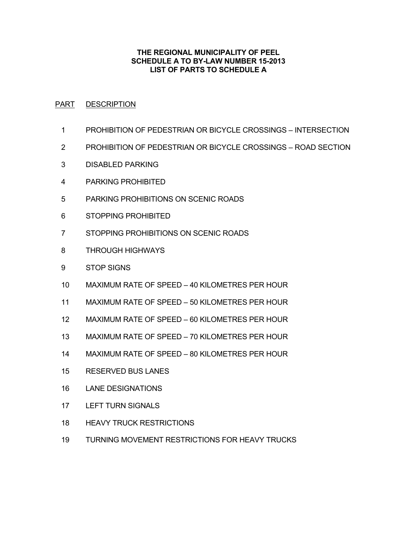## **THE REGIONAL MUNICIPALITY OF PEEL SCHEDULE A TO BY-LAW NUMBER 15-2013 LIST OF PARTS TO SCHEDULE A**

### PART DESCRIPTION

- PROHIBITION OF PEDESTRIAN OR BICYCLE CROSSINGS INTERSECTION
- PROHIBITION OF PEDESTRIAN OR BICYCLE CROSSINGS ROAD SECTION
- DISABLED PARKING
- PARKING PROHIBITED
- PARKING PROHIBITIONS ON SCENIC ROADS
- STOPPING PROHIBITED
- STOPPING PROHIBITIONS ON SCENIC ROADS
- THROUGH HIGHWAYS
- STOP SIGNS
- MAXIMUM RATE OF SPEED 40 KILOMETRES PER HOUR
- MAXIMUM RATE OF SPEED 50 KILOMETRES PER HOUR
- MAXIMUM RATE OF SPEED 60 KILOMETRES PER HOUR
- MAXIMUM RATE OF SPEED 70 KILOMETRES PER HOUR
- MAXIMUM RATE OF SPEED 80 KILOMETRES PER HOUR
- RESERVED BUS LANES
- LANE DESIGNATIONS
- LEFT TURN SIGNALS
- HEAVY TRUCK RESTRICTIONS
- TURNING MOVEMENT RESTRICTIONS FOR HEAVY TRUCKS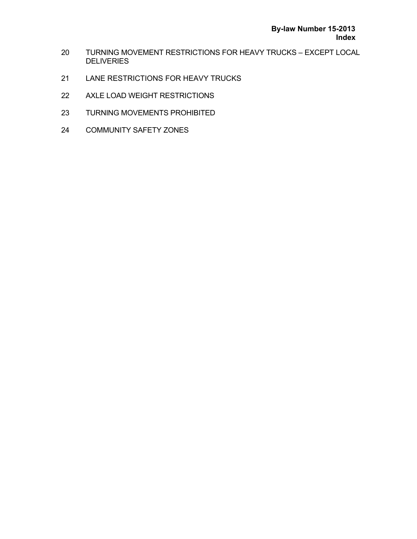- TURNING MOVEMENT RESTRICTIONS FOR HEAVY TRUCKS EXCEPT LOCAL **DELIVERIES**
- LANE RESTRICTIONS FOR HEAVY TRUCKS
- AXLE LOAD WEIGHT RESTRICTIONS
- TURNING MOVEMENTS PROHIBITED
- COMMUNITY SAFETY ZONES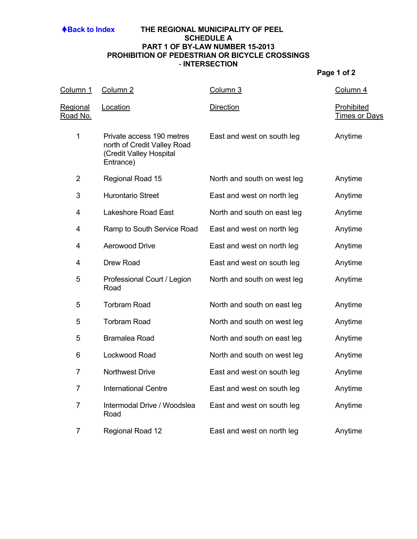### **ABack to Index THE REGIONAL MUNICIPALITY OF PEEL SCHEDULE A PART 1 OF BY-LAW NUMBER 15-2013 PROHIBITION OF PEDESTRIAN OR BICYCLE CROSSINGS** - **INTERSECTION**

| Column 1                           | Column <sub>2</sub>                                                                              | Column 3                    | Column 4                           |
|------------------------------------|--------------------------------------------------------------------------------------------------|-----------------------------|------------------------------------|
| <u>Regional</u><br><u>Road No.</u> | Location                                                                                         | <b>Direction</b>            | Prohibited<br><u>Times or Days</u> |
| $\mathbf{1}$                       | Private access 190 metres<br>north of Credit Valley Road<br>(Credit Valley Hospital<br>Entrance) | East and west on south leg  | Anytime                            |
| $\overline{2}$                     | Regional Road 15                                                                                 | North and south on west leg | Anytime                            |
| 3                                  | <b>Hurontario Street</b>                                                                         | East and west on north leg  | Anytime                            |
| 4                                  | Lakeshore Road East                                                                              | North and south on east leg | Anytime                            |
| 4                                  | Ramp to South Service Road                                                                       | East and west on north leg  | Anytime                            |
| 4                                  | <b>Aerowood Drive</b>                                                                            | East and west on north leg  | Anytime                            |
| 4                                  | Drew Road                                                                                        | East and west on south leg  | Anytime                            |
| 5                                  | Professional Court / Legion<br>Road                                                              | North and south on west leg | Anytime                            |
| 5                                  | <b>Torbram Road</b>                                                                              | North and south on east leg | Anytime                            |
| 5                                  | <b>Torbram Road</b>                                                                              | North and south on west leg | Anytime                            |
| 5                                  | <b>Bramalea Road</b>                                                                             | North and south on east leg | Anytime                            |
| 6                                  | Lockwood Road                                                                                    | North and south on west leg | Anytime                            |
| 7                                  | <b>Northwest Drive</b>                                                                           | East and west on south leg  | Anytime                            |
| $\overline{7}$                     | <b>International Centre</b>                                                                      | East and west on south leg  | Anytime                            |
| $\overline{7}$                     | Intermodal Drive / Woodslea<br>Road                                                              | East and west on south leg  | Anytime                            |
| $\overline{7}$                     | Regional Road 12                                                                                 | East and west on north leg  | Anytime                            |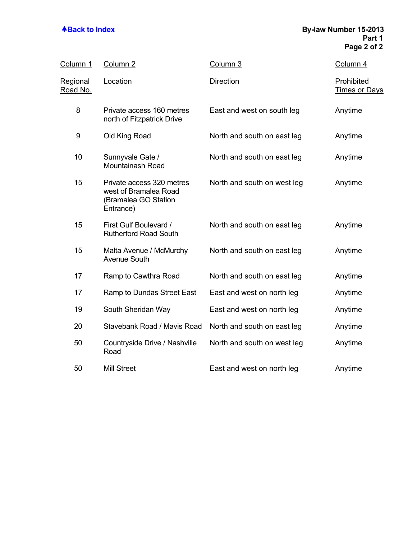## **A**Back to Index **By-law Number 15-2013 Part 1 Page 2 of 2**

| <u>Column 1</u>                    | Column <sub>2</sub>                                                                     | Column 3                    | Column 4                                  |
|------------------------------------|-----------------------------------------------------------------------------------------|-----------------------------|-------------------------------------------|
| <u>Regional</u><br><u>Road No.</u> | Location                                                                                | <b>Direction</b>            | <b>Prohibited</b><br><b>Times or Days</b> |
| 8                                  | Private access 160 metres<br>north of Fitzpatrick Drive                                 | East and west on south leg  | Anytime                                   |
| 9                                  | Old King Road                                                                           | North and south on east leg | Anytime                                   |
| 10                                 | Sunnyvale Gate /<br>Mountainash Road                                                    | North and south on east leg | Anytime                                   |
| 15                                 | Private access 320 metres<br>west of Bramalea Road<br>(Bramalea GO Station<br>Entrance) | North and south on west leg | Anytime                                   |
| 15                                 | First Gulf Boulevard /<br><b>Rutherford Road South</b>                                  | North and south on east leg | Anytime                                   |
| 15                                 | Malta Avenue / McMurchy<br><b>Avenue South</b>                                          | North and south on east leg | Anytime                                   |
| 17                                 | Ramp to Cawthra Road                                                                    | North and south on east leg | Anytime                                   |
| 17                                 | Ramp to Dundas Street East                                                              | East and west on north leg  | Anytime                                   |
| 19                                 | South Sheridan Way                                                                      | East and west on north leg  | Anytime                                   |
| 20                                 | Stavebank Road / Mavis Road                                                             | North and south on east leg | Anytime                                   |
| 50                                 | Countryside Drive / Nashville<br>Road                                                   | North and south on west leg | Anytime                                   |
| 50                                 | <b>Mill Street</b>                                                                      | East and west on north leg  | Anytime                                   |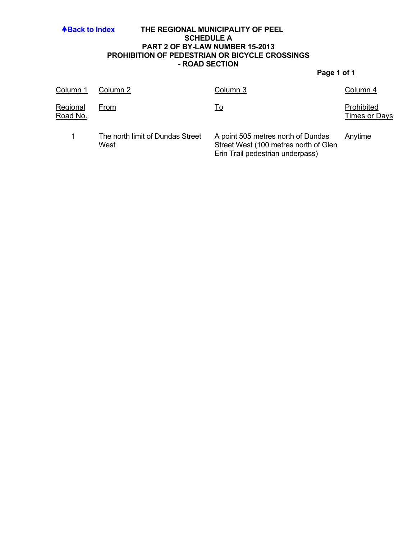### **ABack to Index THE REGIONAL MUNICIPALITY OF PEEL SCHEDULE A PART 2 OF BY-LAW NUMBER 15-2013 PROHIBITION OF PEDESTRIAN OR BICYCLE CROSSINGS - ROAD SECTION**

| Column 1             | Column 2                                 | Column 3                                                                                                        | Column 4                           |
|----------------------|------------------------------------------|-----------------------------------------------------------------------------------------------------------------|------------------------------------|
| Regional<br>Road No. | From                                     | <u>To</u>                                                                                                       | Prohibited<br><b>Times or Days</b> |
|                      | The north limit of Dundas Street<br>West | A point 505 metres north of Dundas<br>Street West (100 metres north of Glen<br>Erin Trail pedestrian underpass) | Anytime                            |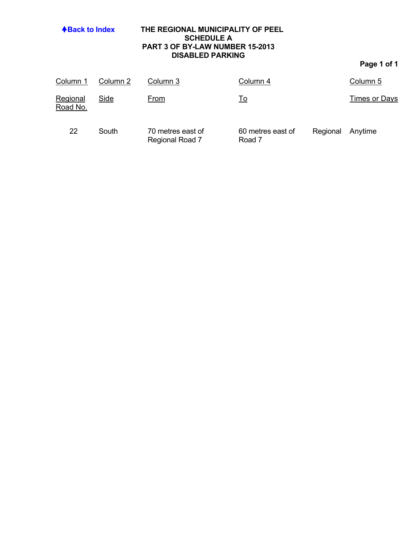| <b>4Back to Index</b> |          | THE REGIONAL MUNICIPALITY OF PEEL<br><b>SCHEDULE A</b><br>PART 3 OF BY-LAW NUMBER 15-2013<br><b>DISABLED PARKING</b> |                   |          | Page 1 of 1   |  |
|-----------------------|----------|----------------------------------------------------------------------------------------------------------------------|-------------------|----------|---------------|--|
| Column 1              | Column 2 | Column 3                                                                                                             | Column 4          |          | Column 5      |  |
| Regional<br>Road No.  | Side     | From                                                                                                                 | <u>To</u>         |          | Times or Days |  |
| 22                    | South    | 70 metres east of                                                                                                    | 60 metres east of | Regional | Anytime       |  |

Road 7

Regional Road 7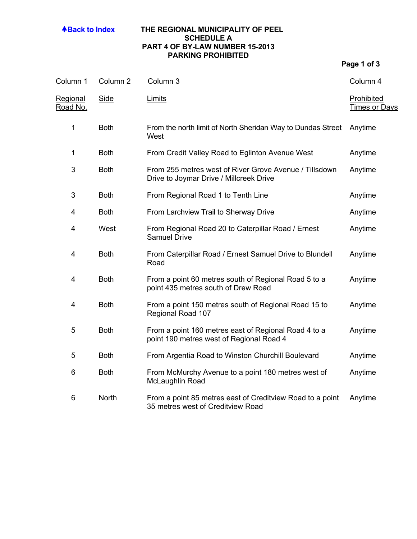## **ABack to Index THE REGIONAL MUNICIPALITY OF PEEL SCHEDULE A PART 4 OF BY-LAW NUMBER 15-2013 PARKING PROHIBITED**

| Column 1                           | Column <sub>2</sub> | Column 3                                                                                          | Column 4                           |
|------------------------------------|---------------------|---------------------------------------------------------------------------------------------------|------------------------------------|
| <b>Regional</b><br><u>Road No.</u> | <b>Side</b>         | <b>Limits</b>                                                                                     | Prohibited<br><b>Times or Days</b> |
| 1                                  | <b>Both</b>         | From the north limit of North Sheridan Way to Dundas Street<br>West                               | Anytime                            |
| 1                                  | <b>Both</b>         | From Credit Valley Road to Eglinton Avenue West                                                   | Anytime                            |
| 3                                  | <b>Both</b>         | From 255 metres west of River Grove Avenue / Tillsdown<br>Drive to Joymar Drive / Millcreek Drive | Anytime                            |
| 3                                  | <b>Both</b>         | From Regional Road 1 to Tenth Line                                                                | Anytime                            |
| 4                                  | <b>Both</b>         | From Larchview Trail to Sherway Drive                                                             | Anytime                            |
| 4                                  | West                | From Regional Road 20 to Caterpillar Road / Ernest<br><b>Samuel Drive</b>                         | Anytime                            |
| 4                                  | <b>Both</b>         | From Caterpillar Road / Ernest Samuel Drive to Blundell<br>Road                                   | Anytime                            |
| 4                                  | <b>Both</b>         | From a point 60 metres south of Regional Road 5 to a<br>point 435 metres south of Drew Road       | Anytime                            |
| 4                                  | <b>Both</b>         | From a point 150 metres south of Regional Road 15 to<br>Regional Road 107                         | Anytime                            |
| 5                                  | <b>Both</b>         | From a point 160 metres east of Regional Road 4 to a<br>point 190 metres west of Regional Road 4  | Anytime                            |
| 5                                  | <b>Both</b>         | From Argentia Road to Winston Churchill Boulevard                                                 | Anytime                            |
| 6                                  | <b>Both</b>         | From McMurchy Avenue to a point 180 metres west of<br>McLaughlin Road                             | Anytime                            |
| 6                                  | North               | From a point 85 metres east of Creditview Road to a point<br>35 metres west of Creditview Road    | Anytime                            |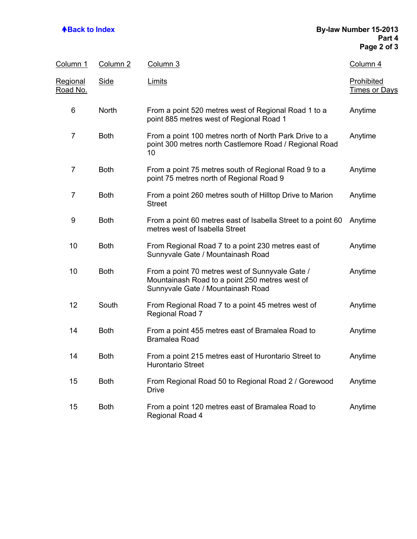### **Back to Index By-law Number 15-2013 Part 4 Page 2 of 3**

| Column 1                    | Column 2    | Column 3                                                                                                                               | Column 4                           |
|-----------------------------|-------------|----------------------------------------------------------------------------------------------------------------------------------------|------------------------------------|
| Regional<br><u>Road No.</u> | <b>Side</b> | Limits                                                                                                                                 | Prohibited<br><b>Times or Days</b> |
| 6                           | North       | From a point 520 metres west of Regional Road 1 to a<br>point 885 metres west of Regional Road 1                                       | Anytime                            |
| $\overline{7}$              | <b>Both</b> | From a point 100 metres north of North Park Drive to a<br>point 300 metres north Castlemore Road / Regional Road<br>10                 | Anytime                            |
| $\overline{7}$              | <b>Both</b> | From a point 75 metres south of Regional Road 9 to a<br>point 75 metres north of Regional Road 9                                       | Anytime                            |
| $\overline{7}$              | <b>Both</b> | From a point 260 metres south of Hilltop Drive to Marion<br><b>Street</b>                                                              | Anytime                            |
| 9                           | <b>Both</b> | From a point 60 metres east of Isabella Street to a point 60<br>metres west of Isabella Street                                         | Anytime                            |
| 10                          | <b>Both</b> | From Regional Road 7 to a point 230 metres east of<br>Sunnyvale Gate / Mountainash Road                                                | Anytime                            |
| 10                          | <b>Both</b> | From a point 70 metres west of Sunnyvale Gate /<br>Mountainash Road to a point 250 metres west of<br>Sunnyvale Gate / Mountainash Road | Anytime                            |
| 12                          | South       | From Regional Road 7 to a point 45 metres west of<br>Regional Road 7                                                                   | Anytime                            |
| 14                          | <b>Both</b> | From a point 455 metres east of Bramalea Road to<br><b>Bramalea Road</b>                                                               | Anytime                            |
| 14                          | <b>Both</b> | From a point 215 metres east of Hurontario Street to<br><b>Hurontario Street</b>                                                       | Anytime                            |
| 15                          | <b>Both</b> | From Regional Road 50 to Regional Road 2 / Gorewood<br><b>Drive</b>                                                                    | Anytime                            |
| 15                          | <b>Both</b> | From a point 120 metres east of Bramalea Road to<br>Regional Road 4                                                                    | Anytime                            |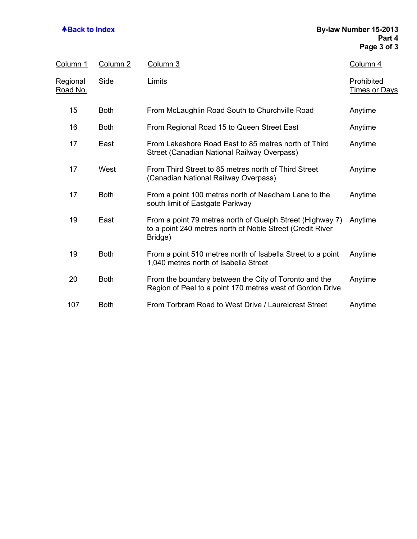| <u>Column 1</u>             | Column <sub>2</sub> | Column 3                                                                                                                          | Column 4                           |
|-----------------------------|---------------------|-----------------------------------------------------------------------------------------------------------------------------------|------------------------------------|
| <b>Regional</b><br>Road No. | <b>Side</b>         | Limits                                                                                                                            | Prohibited<br><u>Times or Days</u> |
| 15                          | <b>Both</b>         | From McLaughlin Road South to Churchville Road                                                                                    | Anytime                            |
| 16                          | <b>Both</b>         | From Regional Road 15 to Queen Street East                                                                                        | Anytime                            |
| 17                          | East                | From Lakeshore Road East to 85 metres north of Third<br>Street (Canadian National Railway Overpass)                               | Anytime                            |
| 17                          | West                | From Third Street to 85 metres north of Third Street<br>(Canadian National Railway Overpass)                                      | Anytime                            |
| 17                          | <b>Both</b>         | From a point 100 metres north of Needham Lane to the<br>south limit of Eastgate Parkway                                           | Anytime                            |
| 19                          | East                | From a point 79 metres north of Guelph Street (Highway 7)<br>to a point 240 metres north of Noble Street (Credit River<br>Bridge) | Anytime                            |
| 19                          | <b>Both</b>         | From a point 510 metres north of Isabella Street to a point<br>1,040 metres north of Isabella Street                              | Anytime                            |
| 20                          | <b>Both</b>         | From the boundary between the City of Toronto and the<br>Region of Peel to a point 170 metres west of Gordon Drive                | Anytime                            |
| 107                         | <b>Both</b>         | From Torbram Road to West Drive / Laurelcrest Street                                                                              | Anytime                            |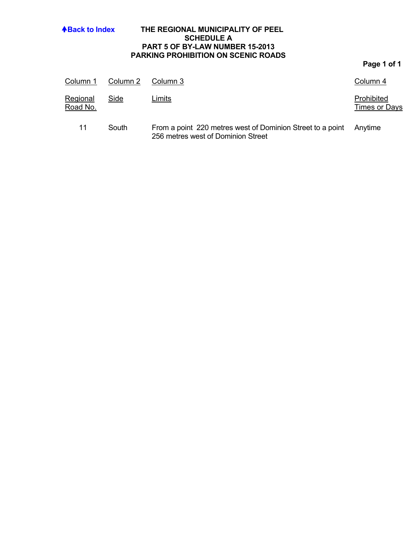| <b>4Back to Index</b> |          | THE REGIONAL MUNICIPALITY OF PEEL<br><b>SCHEDULE A</b><br><b>PART 5 OF BY-LAW NUMBER 15-2013</b><br><b>PARKING PROHIBITION ON SCENIC ROADS</b> |                                    |
|-----------------------|----------|------------------------------------------------------------------------------------------------------------------------------------------------|------------------------------------|
|                       |          |                                                                                                                                                | Page 1 of 1                        |
| Column 1              | Column 2 | Column 3                                                                                                                                       | Column 4                           |
| Regional<br>Road No.  | Side     | Limits                                                                                                                                         | Prohibited<br><b>Times or Days</b> |

11 South From a point 220 metres west of Dominion Street to a point 256 metres west of Dominion Street Anytime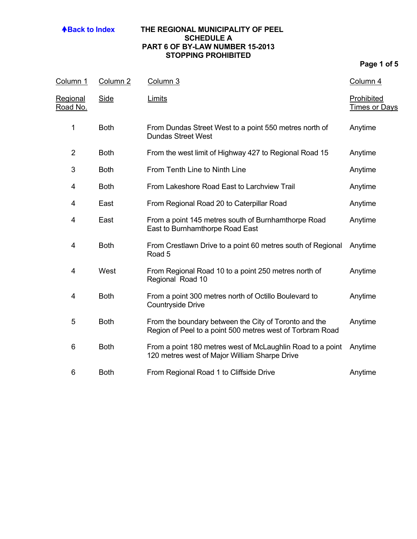## **ABack to Index THE REGIONAL MUNICIPALITY OF PEEL SCHEDULE A PART 6 OF BY-LAW NUMBER 15-2013 STOPPING PROHIBITED**

| Column 1                    | Column <sub>2</sub> | Column 3                                                                                                           | Column 4                           |
|-----------------------------|---------------------|--------------------------------------------------------------------------------------------------------------------|------------------------------------|
| <u>Regional</u><br>Road No. | <b>Side</b>         | Limits                                                                                                             | Prohibited<br><b>Times or Days</b> |
| 1                           | <b>Both</b>         | From Dundas Street West to a point 550 metres north of<br><b>Dundas Street West</b>                                | Anytime                            |
| $\overline{2}$              | <b>Both</b>         | From the west limit of Highway 427 to Regional Road 15                                                             | Anytime                            |
| 3                           | <b>Both</b>         | From Tenth Line to Ninth Line                                                                                      | Anytime                            |
| 4                           | <b>Both</b>         | From Lakeshore Road East to Larchview Trail                                                                        | Anytime                            |
| 4                           | East                | From Regional Road 20 to Caterpillar Road                                                                          | Anytime                            |
| 4                           | East                | From a point 145 metres south of Burnhamthorpe Road<br>East to Burnhamthorpe Road East                             | Anytime                            |
| 4                           | <b>Both</b>         | From Crestlawn Drive to a point 60 metres south of Regional<br>Road 5                                              | Anytime                            |
| 4                           | West                | From Regional Road 10 to a point 250 metres north of<br>Regional Road 10                                           | Anytime                            |
| 4                           | <b>Both</b>         | From a point 300 metres north of Octillo Boulevard to<br><b>Countryside Drive</b>                                  | Anytime                            |
| 5                           | <b>Both</b>         | From the boundary between the City of Toronto and the<br>Region of Peel to a point 500 metres west of Torbram Road | Anytime                            |
| 6                           | <b>Both</b>         | From a point 180 metres west of McLaughlin Road to a point<br>120 metres west of Major William Sharpe Drive        | Anytime                            |
| 6                           | <b>Both</b>         | From Regional Road 1 to Cliffside Drive                                                                            | Anytime                            |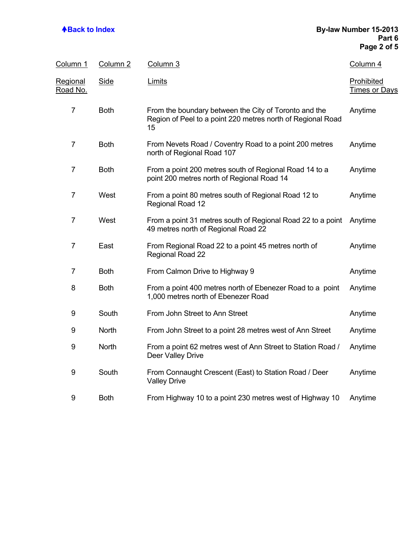### **Back to Index By-law Number 15-2013 Part 6 Page 2 of 5**

| Column 1                    | Column <sub>2</sub> | Column 3                                                                                                                   | Column 4                                  |
|-----------------------------|---------------------|----------------------------------------------------------------------------------------------------------------------------|-------------------------------------------|
| <u>Regional</u><br>Road No. | <b>Side</b>         | Limits                                                                                                                     | <b>Prohibited</b><br><b>Times or Days</b> |
| $\overline{7}$              | <b>Both</b>         | From the boundary between the City of Toronto and the<br>Region of Peel to a point 220 metres north of Regional Road<br>15 | Anytime                                   |
| $\overline{7}$              | <b>Both</b>         | From Nevets Road / Coventry Road to a point 200 metres<br>north of Regional Road 107                                       | Anytime                                   |
| $\overline{7}$              | <b>Both</b>         | From a point 200 metres south of Regional Road 14 to a<br>point 200 metres north of Regional Road 14                       | Anytime                                   |
| $\overline{7}$              | West                | From a point 80 metres south of Regional Road 12 to<br>Regional Road 12                                                    | Anytime                                   |
| $\overline{7}$              | West                | From a point 31 metres south of Regional Road 22 to a point<br>49 metres north of Regional Road 22                         | Anytime                                   |
| $\overline{7}$              | East                | From Regional Road 22 to a point 45 metres north of<br><b>Regional Road 22</b>                                             | Anytime                                   |
| $\overline{7}$              | <b>Both</b>         | From Calmon Drive to Highway 9                                                                                             | Anytime                                   |
| 8                           | <b>Both</b>         | From a point 400 metres north of Ebenezer Road to a point<br>1,000 metres north of Ebenezer Road                           | Anytime                                   |
| 9                           | South               | From John Street to Ann Street                                                                                             | Anytime                                   |
| 9                           | North               | From John Street to a point 28 metres west of Ann Street                                                                   | Anytime                                   |
| 9                           | <b>North</b>        | From a point 62 metres west of Ann Street to Station Road /<br>Deer Valley Drive                                           | Anytime                                   |
| 9                           | South               | From Connaught Crescent (East) to Station Road / Deer<br><b>Valley Drive</b>                                               | Anytime                                   |
| 9                           | <b>Both</b>         | From Highway 10 to a point 230 metres west of Highway 10                                                                   | Anytime                                   |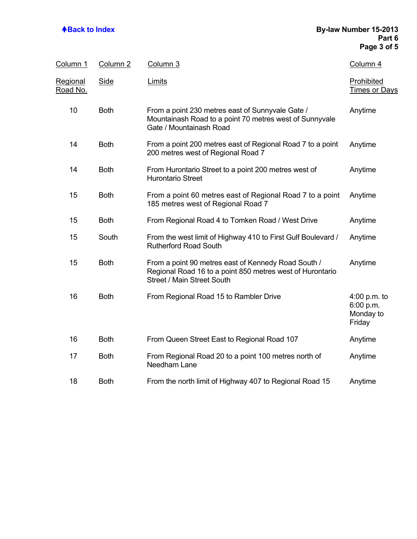## **ABack to Index By-law Number 15-2013 Part 6 Page 3 of 5**

| Column 1                           | Column <sub>2</sub> | Column 3                                                                                                                                              | Column 4                                         |
|------------------------------------|---------------------|-------------------------------------------------------------------------------------------------------------------------------------------------------|--------------------------------------------------|
| <u>Regional</u><br><u>Road No.</u> | <b>Side</b>         | Limits                                                                                                                                                | Prohibited<br><b>Times or Days</b>               |
| 10                                 | <b>Both</b>         | From a point 230 metres east of Sunnyvale Gate /<br>Mountainash Road to a point 70 metres west of Sunnyvale<br>Gate / Mountainash Road                | Anytime                                          |
| 14                                 | <b>Both</b>         | From a point 200 metres east of Regional Road 7 to a point<br>200 metres west of Regional Road 7                                                      | Anytime                                          |
| 14                                 | <b>Both</b>         | From Hurontario Street to a point 200 metres west of<br><b>Hurontario Street</b>                                                                      | Anytime                                          |
| 15                                 | <b>Both</b>         | From a point 60 metres east of Regional Road 7 to a point<br>185 metres west of Regional Road 7                                                       | Anytime                                          |
| 15                                 | <b>Both</b>         | From Regional Road 4 to Tomken Road / West Drive                                                                                                      | Anytime                                          |
| 15                                 | South               | From the west limit of Highway 410 to First Gulf Boulevard /<br><b>Rutherford Road South</b>                                                          | Anytime                                          |
| 15                                 | <b>Both</b>         | From a point 90 metres east of Kennedy Road South /<br>Regional Road 16 to a point 850 metres west of Hurontario<br><b>Street / Main Street South</b> | Anytime                                          |
| 16                                 | <b>Both</b>         | From Regional Road 15 to Rambler Drive                                                                                                                | 4:00 p.m. to<br>6:00 p.m.<br>Monday to<br>Friday |
| 16                                 | <b>Both</b>         | From Queen Street East to Regional Road 107                                                                                                           | Anytime                                          |
| 17                                 | <b>Both</b>         | From Regional Road 20 to a point 100 metres north of<br>Needham Lane                                                                                  | Anytime                                          |
| 18                                 | <b>Both</b>         | From the north limit of Highway 407 to Regional Road 15                                                                                               | Anytime                                          |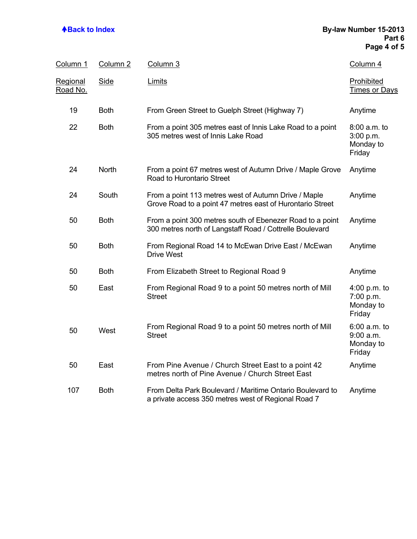## **ABack to Index By-law Number 15-2013 Part 6 Page 4 of 5**

| <u>Column 1</u>                    | Column <sub>2</sub> | Column 3                                                                                                              | Column 4                                             |
|------------------------------------|---------------------|-----------------------------------------------------------------------------------------------------------------------|------------------------------------------------------|
| <b>Regional</b><br><u>Road No.</u> | <b>Side</b>         | Limits                                                                                                                | Prohibited<br><b>Times or Days</b>                   |
| 19                                 | <b>Both</b>         | From Green Street to Guelph Street (Highway 7)                                                                        | Anytime                                              |
| 22                                 | <b>Both</b>         | From a point 305 metres east of Innis Lake Road to a point<br>305 metres west of Innis Lake Road                      | 8:00 a.m. to<br>3:00 p.m.<br>Monday to<br>Friday     |
| 24                                 | <b>North</b>        | From a point 67 metres west of Autumn Drive / Maple Grove<br>Road to Hurontario Street                                | Anytime                                              |
| 24                                 | South               | From a point 113 metres west of Autumn Drive / Maple<br>Grove Road to a point 47 metres east of Hurontario Street     | Anytime                                              |
| 50                                 | <b>Both</b>         | From a point 300 metres south of Ebenezer Road to a point<br>300 metres north of Langstaff Road / Cottrelle Boulevard | Anytime                                              |
| 50                                 | <b>Both</b>         | From Regional Road 14 to McEwan Drive East / McEwan<br><b>Drive West</b>                                              | Anytime                                              |
| 50                                 | <b>Both</b>         | From Elizabeth Street to Regional Road 9                                                                              | Anytime                                              |
| 50                                 | East                | From Regional Road 9 to a point 50 metres north of Mill<br><b>Street</b>                                              | $4:00$ p.m. to<br>7:00 p.m.<br>Monday to<br>Friday   |
| 50                                 | West                | From Regional Road 9 to a point 50 metres north of Mill<br><b>Street</b>                                              | $6:00$ a.m. to<br>$9:00$ a.m.<br>Monday to<br>Friday |
| 50                                 | East                | From Pine Avenue / Church Street East to a point 42<br>metres north of Pine Avenue / Church Street East               | Anytime                                              |
| 107                                | <b>Both</b>         | From Delta Park Boulevard / Maritime Ontario Boulevard to<br>a private access 350 metres west of Regional Road 7      | Anytime                                              |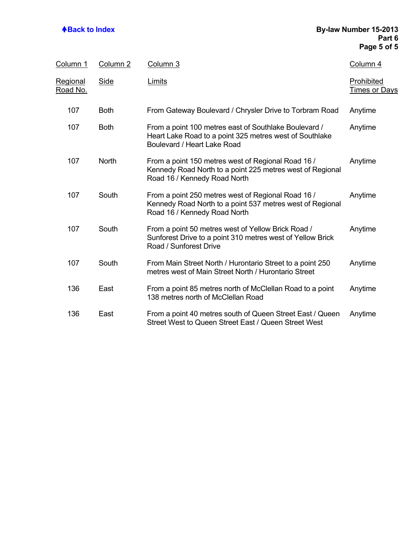## **Back to Index By-law Number 15-2013 Part 6 Page 5 of 5**

| Column 1                           | Column 2    | Column 3                                                                                                                                        | Column 4                           |
|------------------------------------|-------------|-------------------------------------------------------------------------------------------------------------------------------------------------|------------------------------------|
| <u>Regional</u><br><u>Road No.</u> | <b>Side</b> | Limits                                                                                                                                          | Prohibited<br><b>Times or Days</b> |
| 107                                | <b>Both</b> | From Gateway Boulevard / Chrysler Drive to Torbram Road                                                                                         | Anytime                            |
| 107                                | <b>Both</b> | From a point 100 metres east of Southlake Boulevard /<br>Heart Lake Road to a point 325 metres west of Southlake<br>Boulevard / Heart Lake Road | Anytime                            |
| 107                                | North       | From a point 150 metres west of Regional Road 16 /<br>Kennedy Road North to a point 225 metres west of Regional<br>Road 16 / Kennedy Road North | Anytime                            |
| 107                                | South       | From a point 250 metres west of Regional Road 16 /<br>Kennedy Road North to a point 537 metres west of Regional<br>Road 16 / Kennedy Road North | Anytime                            |
| 107                                | South       | From a point 50 metres west of Yellow Brick Road /<br>Sunforest Drive to a point 310 metres west of Yellow Brick<br>Road / Sunforest Drive      | Anytime                            |
| 107                                | South       | From Main Street North / Hurontario Street to a point 250<br>metres west of Main Street North / Hurontario Street                               | Anytime                            |
| 136                                | East        | From a point 85 metres north of McClellan Road to a point<br>138 metres north of McClellan Road                                                 | Anytime                            |
| 136                                | East        | From a point 40 metres south of Queen Street East / Queen<br>Street West to Queen Street East / Queen Street West                               | Anytime                            |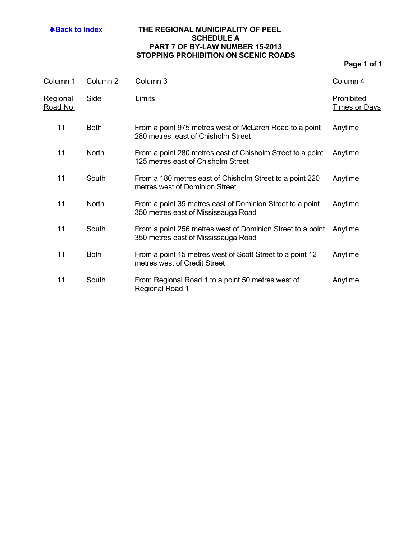### **ABack to Index THE REGIONAL MUNICIPALITY OF PEEL SCHEDULE A PART 7 OF BY-LAW NUMBER 15-2013 STOPPING PROHIBITION ON SCENIC ROADS**

| Column 1             | Column <sub>2</sub> | Column 3                                                                                          | Column 4                           |
|----------------------|---------------------|---------------------------------------------------------------------------------------------------|------------------------------------|
| Regional<br>Road No. | <b>Side</b>         | <b>Limits</b>                                                                                     | Prohibited<br><b>Times or Days</b> |
| 11                   | <b>Both</b>         | From a point 975 metres west of McLaren Road to a point<br>280 metres east of Chisholm Street     | Anytime                            |
| 11                   | North               | From a point 280 metres east of Chisholm Street to a point<br>125 metres east of Chisholm Street  | Anytime                            |
| 11                   | South               | From a 180 metres east of Chisholm Street to a point 220<br>metres west of Dominion Street        | Anytime                            |
| 11                   | <b>North</b>        | From a point 35 metres east of Dominion Street to a point<br>350 metres east of Mississauga Road  | Anytime                            |
| 11                   | South               | From a point 256 metres west of Dominion Street to a point<br>350 metres east of Mississauga Road | Anytime                            |
| 11                   | <b>Both</b>         | From a point 15 metres west of Scott Street to a point 12<br>metres west of Credit Street         | Anytime                            |
| 11                   | South               | From Regional Road 1 to a point 50 metres west of<br>Regional Road 1                              | Anytime                            |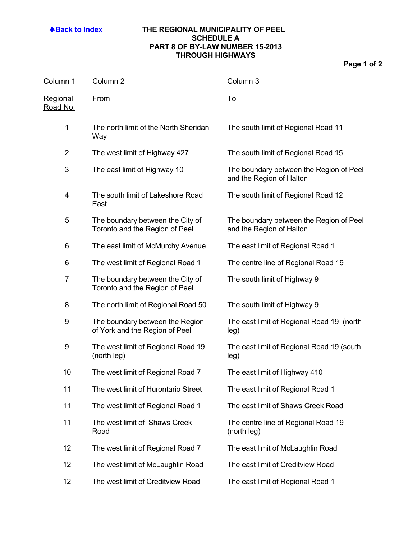## **ABack to Index THE REGIONAL MUNICIPALITY OF PEEL SCHEDULE A PART 8 OF BY-LAW NUMBER 15-2013 THROUGH HIGHWAYS**

| Column 1                           | Column <sub>2</sub>                                                | Column 3                                                            |
|------------------------------------|--------------------------------------------------------------------|---------------------------------------------------------------------|
| <u>Regional</u><br><u>Road No.</u> | <b>From</b>                                                        | <u>To</u>                                                           |
| 1                                  | The north limit of the North Sheridan<br>Way                       | The south limit of Regional Road 11                                 |
| $\overline{2}$                     | The west limit of Highway 427                                      | The south limit of Regional Road 15                                 |
| 3                                  | The east limit of Highway 10                                       | The boundary between the Region of Peel<br>and the Region of Halton |
| 4                                  | The south limit of Lakeshore Road<br>East                          | The south limit of Regional Road 12                                 |
| 5                                  | The boundary between the City of<br>Toronto and the Region of Peel | The boundary between the Region of Peel<br>and the Region of Halton |
| 6                                  | The east limit of McMurchy Avenue                                  | The east limit of Regional Road 1                                   |
| 6                                  | The west limit of Regional Road 1                                  | The centre line of Regional Road 19                                 |
| 7                                  | The boundary between the City of<br>Toronto and the Region of Peel | The south limit of Highway 9                                        |
| 8                                  | The north limit of Regional Road 50                                | The south limit of Highway 9                                        |
| 9                                  | The boundary between the Region<br>of York and the Region of Peel  | The east limit of Regional Road 19 (north<br>leg)                   |
| 9                                  | The west limit of Regional Road 19<br>(north leg)                  | The east limit of Regional Road 19 (south<br>leg)                   |
| 10                                 | The west limit of Regional Road 7                                  | The east limit of Highway 410                                       |
| 11                                 | The west limit of Hurontario Street                                | The east limit of Regional Road 1                                   |
| 11                                 | The west limit of Regional Road 1                                  | The east limit of Shaws Creek Road                                  |
| 11                                 | The west limit of Shaws Creek<br>Road                              | The centre line of Regional Road 19<br>(north leg)                  |
| 12                                 | The west limit of Regional Road 7                                  | The east limit of McLaughlin Road                                   |
| 12                                 | The west limit of McLaughlin Road                                  | The east limit of Creditview Road                                   |
| 12                                 | The west limit of Creditview Road                                  | The east limit of Regional Road 1                                   |
|                                    |                                                                    |                                                                     |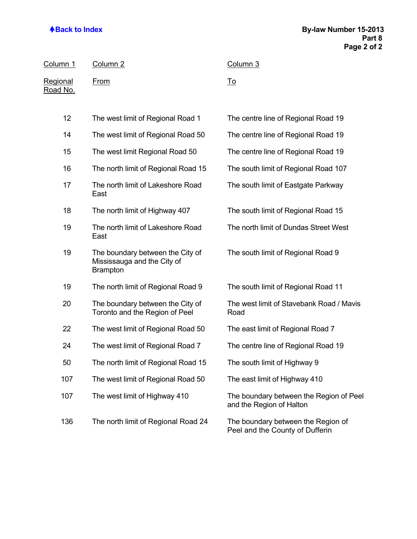| Column 1                           | Column <sub>2</sub>                                                                | Column 3                                                            |
|------------------------------------|------------------------------------------------------------------------------------|---------------------------------------------------------------------|
| <u>Regional</u><br><u>Road No.</u> | <u>From</u>                                                                        | <u>To</u>                                                           |
| 12                                 | The west limit of Regional Road 1                                                  | The centre line of Regional Road 19                                 |
| 14                                 | The west limit of Regional Road 50                                                 | The centre line of Regional Road 19                                 |
| 15                                 | The west limit Regional Road 50                                                    | The centre line of Regional Road 19                                 |
| 16                                 | The north limit of Regional Road 15                                                | The south limit of Regional Road 107                                |
| 17                                 | The north limit of Lakeshore Road<br>East                                          | The south limit of Eastgate Parkway                                 |
| 18                                 | The north limit of Highway 407                                                     | The south limit of Regional Road 15                                 |
| 19                                 | The north limit of Lakeshore Road<br>East                                          | The north limit of Dundas Street West                               |
| 19                                 | The boundary between the City of<br>Mississauga and the City of<br><b>Brampton</b> | The south limit of Regional Road 9                                  |
| 19                                 | The north limit of Regional Road 9                                                 | The south limit of Regional Road 11                                 |
| 20                                 | The boundary between the City of<br>Toronto and the Region of Peel                 | The west limit of Stavebank Road / Mavis<br>Road                    |
| 22                                 | The west limit of Regional Road 50                                                 | The east limit of Regional Road 7                                   |
| 24                                 | The west limit of Regional Road 7                                                  | The centre line of Regional Road 19                                 |
| 50                                 | The north limit of Regional Road 15                                                | The south limit of Highway 9                                        |
| 107                                | The west limit of Regional Road 50                                                 | The east limit of Highway 410                                       |
| 107                                | The west limit of Highway 410                                                      | The boundary between the Region of Peel<br>and the Region of Halton |
| 136                                | The north limit of Regional Road 24                                                | The boundary between the Region of                                  |

Peel and the County of Dufferin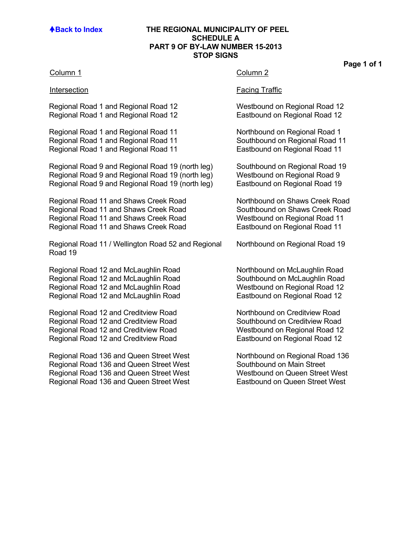### **Back to Index THE REGIONAL MUNICIPALITY OF PEEL SCHEDULE A PART 9 OF BY-LAW NUMBER 15-2013 STOP SIGNS**

### Column 1 Column 2

Regional Road 1 and Regional Road 12 Westbound on Regional Road 12 Regional Road 1 and Regional Road 12 Eastbound on Regional Road 12

Regional Road 1 and Regional Road 11 Northbound on Regional Road 1 Regional Road 1 and Regional Road 11 Southbound on Regional Road 11 Regional Road 1 and Regional Road 11 Eastbound on Regional Road 11

Regional Road 9 and Regional Road 19 (north leg) Southbound on Regional Road 19 Regional Road 9 and Regional Road 19 (north leg) Westbound on Regional Road 9 Regional Road 9 and Regional Road 19 (north leg) Eastbound on Regional Road 19

Regional Road 11 and Shaws Creek Road Northbound on Shaws Creek Road<br>Regional Road 11 and Shaws Creek Road Southbound on Shaws Creek Road Regional Road 11 and Shaws Creek Road Regional Road 11 and Shaws Creek Road Westbound on Regional Road 11 Regional Road 11 and Shaws Creek Road **Eastbound on Regional Road 11** 

Regional Road 11 / Wellington Road 52 and Regional Road 19

Regional Road 12 and McLaughlin Road Northbound on McLaughlin Road Regional Road 12 and McLaughlin Road Southbound on McLaughlin Road Regional Road 12 and McLaughlin Road Westbound on Regional Road 12<br>Regional Road 12 and McLaughlin Road Eastbound on Regional Road 12 Regional Road 12 and McLaughlin Road

Regional Road 12 and Creditview Road Northbound on Creditview Road Regional Road 12 and Creditview Road Southbound on Creditview Road Regional Road 12 and Creditview Road Westbound on Regional Road 12 Regional Road 12 and Creditview Road **Eastbound on Regional Road 12** 

Regional Road 136 and Queen Street West Northbound on Regional Road 136<br>Regional Road 136 and Queen Street West Southbound on Main Street Regional Road 136 and Queen Street West Regional Road 136 and Queen Street West Westbound on Queen Street West<br>Regional Road 136 and Queen Street West Eastbound on Queen Street West Regional Road 136 and Queen Street West

### Intersection **Facing Traffic**

Northbound on Regional Road 19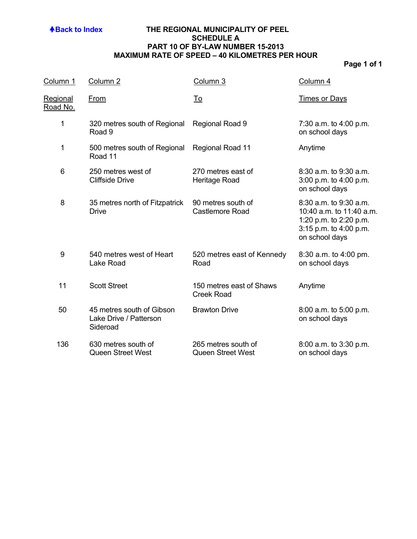## **ABack to Index THE REGIONAL MUNICIPALITY OF PEEL SCHEDULE A PART 10 OF BY-LAW NUMBER 15-2013 MAXIMUM RATE OF SPEED – 40 KILOMETRES PER HOUR**

| Column 1                           | Column <sub>2</sub>                                             | Column 3                                        | Column 4                                                                                                                 |
|------------------------------------|-----------------------------------------------------------------|-------------------------------------------------|--------------------------------------------------------------------------------------------------------------------------|
| <u>Regional</u><br><u>Road No.</u> | From                                                            | <u>To</u>                                       | <b>Times or Days</b>                                                                                                     |
| 1                                  | 320 metres south of Regional<br>Road 9                          | Regional Road 9                                 | 7:30 a.m. to 4:00 p.m.<br>on school days                                                                                 |
| 1                                  | 500 metres south of Regional<br>Road 11                         | Regional Road 11                                | Anytime                                                                                                                  |
| 6                                  | 250 metres west of<br><b>Cliffside Drive</b>                    | 270 metres east of<br>Heritage Road             | $8:30$ a.m. to $9:30$ a.m.<br>3:00 p.m. to 4:00 p.m.<br>on school days                                                   |
| 8                                  | 35 metres north of Fitzpatrick<br><b>Drive</b>                  | 90 metres south of<br><b>Castlemore Road</b>    | 8:30 a.m. to 9:30 a.m.<br>10:40 a.m. to 11:40 a.m.<br>1:20 p.m. to 2:20 p.m.<br>3:15 p.m. to 4:00 p.m.<br>on school days |
| 9                                  | 540 metres west of Heart<br>Lake Road                           | 520 metres east of Kennedy<br>Road              | 8:30 a.m. to 4:00 pm.<br>on school days                                                                                  |
| 11                                 | <b>Scott Street</b>                                             | 150 metres east of Shaws<br><b>Creek Road</b>   | Anytime                                                                                                                  |
| 50                                 | 45 metres south of Gibson<br>Lake Drive / Patterson<br>Sideroad | <b>Brawton Drive</b>                            | 8:00 a.m. to 5:00 p.m.<br>on school days                                                                                 |
| 136                                | 630 metres south of<br><b>Queen Street West</b>                 | 265 metres south of<br><b>Queen Street West</b> | 8:00 a.m. to 3:30 p.m.<br>on school days                                                                                 |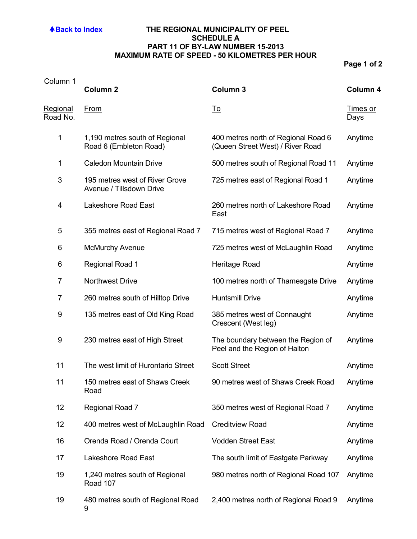## **ABack to Index THE REGIONAL MUNICIPALITY OF PEEL SCHEDULE A PART 11 OF BY-LAW NUMBER 15-2013 MAXIMUM RATE OF SPEED - 50 KILOMETRES PER HOUR**

| Column 1                           |                                                            |                                                                         |                                |
|------------------------------------|------------------------------------------------------------|-------------------------------------------------------------------------|--------------------------------|
|                                    | <b>Column 2</b>                                            | <b>Column 3</b>                                                         | Column 4                       |
| <u>Regional</u><br><u>Road No.</u> | <b>From</b>                                                | <u>To</u>                                                               | <u>Times or</u><br><u>Days</u> |
| 1                                  | 1,190 metres south of Regional<br>Road 6 (Embleton Road)   | 400 metres north of Regional Road 6<br>(Queen Street West) / River Road | Anytime                        |
| 1                                  | <b>Caledon Mountain Drive</b>                              | 500 metres south of Regional Road 11                                    | Anytime                        |
| 3                                  | 195 metres west of River Grove<br>Avenue / Tillsdown Drive | 725 metres east of Regional Road 1                                      | Anytime                        |
| 4                                  | <b>Lakeshore Road East</b>                                 | 260 metres north of Lakeshore Road<br>East                              | Anytime                        |
| 5                                  | 355 metres east of Regional Road 7                         | 715 metres west of Regional Road 7                                      | Anytime                        |
| 6                                  | <b>McMurchy Avenue</b>                                     | 725 metres west of McLaughlin Road                                      | Anytime                        |
| 6                                  | <b>Regional Road 1</b>                                     | Heritage Road                                                           | Anytime                        |
| $\overline{7}$                     | <b>Northwest Drive</b>                                     | 100 metres north of Thamesgate Drive                                    | Anytime                        |
| $\overline{7}$                     | 260 metres south of Hilltop Drive                          | <b>Huntsmill Drive</b>                                                  | Anytime                        |
| 9                                  | 135 metres east of Old King Road                           | 385 metres west of Connaught<br>Crescent (West leg)                     | Anytime                        |
| 9                                  | 230 metres east of High Street                             | The boundary between the Region of<br>Peel and the Region of Halton     | Anytime                        |
| 11                                 | The west limit of Hurontario Street                        | <b>Scott Street</b>                                                     | Anytime                        |
| 11                                 | 150 metres east of Shaws Creek<br>Road                     | 90 metres west of Shaws Creek Road                                      | Anytime                        |
| 12                                 | Regional Road 7                                            | 350 metres west of Regional Road 7                                      | Anytime                        |
| 12                                 | 400 metres west of McLaughlin Road                         | <b>Creditview Road</b>                                                  | Anytime                        |
| 16                                 | Orenda Road / Orenda Court                                 | <b>Vodden Street East</b>                                               | Anytime                        |
| 17                                 | Lakeshore Road East                                        | The south limit of Eastgate Parkway                                     | Anytime                        |
| 19                                 | 1,240 metres south of Regional<br>Road 107                 | 980 metres north of Regional Road 107                                   | Anytime                        |
| 19                                 | 480 metres south of Regional Road<br>9                     | 2,400 metres north of Regional Road 9                                   | Anytime                        |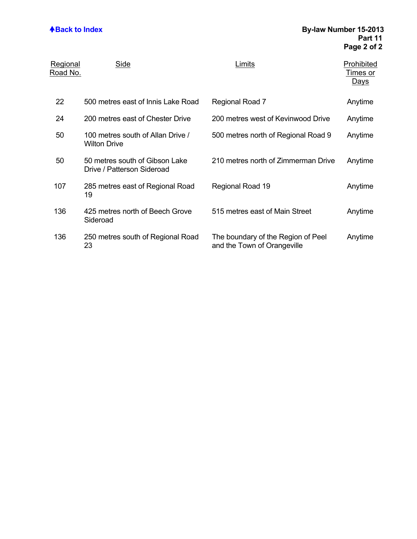| Regional<br>Road No. | Side                                                         | Limits                                                            | Prohibited<br><u>Times or</u><br><b>Days</b> |
|----------------------|--------------------------------------------------------------|-------------------------------------------------------------------|----------------------------------------------|
| 22                   | 500 metres east of Innis Lake Road                           | Regional Road 7                                                   | Anytime                                      |
| 24                   | 200 metres east of Chester Drive                             | 200 metres west of Kevinwood Drive                                | Anytime                                      |
| 50                   | 100 metres south of Allan Drive /<br><b>Wilton Drive</b>     | 500 metres north of Regional Road 9                               | Anytime                                      |
| 50                   | 50 metres south of Gibson Lake<br>Drive / Patterson Sideroad | 210 metres north of Zimmerman Drive                               | Anytime                                      |
| 107                  | 285 metres east of Regional Road<br>19                       | Regional Road 19                                                  | Anytime                                      |
| 136                  | 425 metres north of Beech Grove<br>Sideroad                  | 515 metres east of Main Street                                    | Anytime                                      |
| 136                  | 250 metres south of Regional Road<br>23                      | The boundary of the Region of Peel<br>and the Town of Orangeville | Anytime                                      |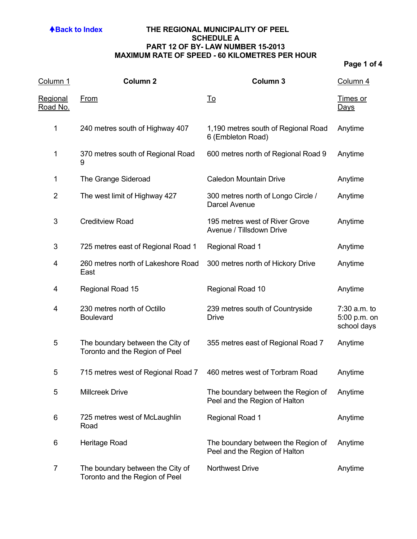## **ABack to Index THE REGIONAL MUNICIPALITY OF PEEL SCHEDULE A PART 12 OF BY- LAW NUMBER 15-2013 MAXIMUM RATE OF SPEED - 60 KILOMETRES PER HOUR**

| Column 1                    | <b>Column 2</b>                                                    | Column 3                                                            | Column 4                                    |
|-----------------------------|--------------------------------------------------------------------|---------------------------------------------------------------------|---------------------------------------------|
| <u>Regional</u><br>Road No. | <b>From</b>                                                        | <u>To</u>                                                           | <u>Times or</u><br><u>Days</u>              |
| $\mathbf 1$                 | 240 metres south of Highway 407                                    | 1,190 metres south of Regional Road<br>6 (Embleton Road)            | Anytime                                     |
| 1                           | 370 metres south of Regional Road<br>9                             | 600 metres north of Regional Road 9                                 | Anytime                                     |
| 1                           | The Grange Sideroad                                                | <b>Caledon Mountain Drive</b>                                       | Anytime                                     |
| $\overline{2}$              | The west limit of Highway 427                                      | 300 metres north of Longo Circle /<br>Darcel Avenue                 | Anytime                                     |
| 3                           | <b>Creditview Road</b>                                             | 195 metres west of River Grove<br>Avenue / Tillsdown Drive          | Anytime                                     |
| 3                           | 725 metres east of Regional Road 1                                 | <b>Regional Road 1</b>                                              | Anytime                                     |
| 4                           | 260 metres north of Lakeshore Road<br>East                         | 300 metres north of Hickory Drive                                   | Anytime                                     |
| 4                           | Regional Road 15                                                   | Regional Road 10                                                    | Anytime                                     |
| 4                           | 230 metres north of Octillo<br><b>Boulevard</b>                    | 239 metres south of Countryside<br><b>Drive</b>                     | 7:30 a.m. to<br>5:00 p.m. on<br>school days |
| 5                           | The boundary between the City of<br>Toronto and the Region of Peel | 355 metres east of Regional Road 7                                  | Anytime                                     |
| 5                           | 715 metres west of Regional Road 7                                 | 460 metres west of Torbram Road                                     | Anytime                                     |
| 5                           | <b>Millcreek Drive</b>                                             | The boundary between the Region of<br>Peel and the Region of Halton | Anytime                                     |
| 6                           | 725 metres west of McLaughlin<br>Road                              | <b>Regional Road 1</b>                                              | Anytime                                     |
| 6                           | Heritage Road                                                      | The boundary between the Region of<br>Peel and the Region of Halton | Anytime                                     |
| 7                           | The boundary between the City of<br>Toronto and the Region of Peel | <b>Northwest Drive</b>                                              | Anytime                                     |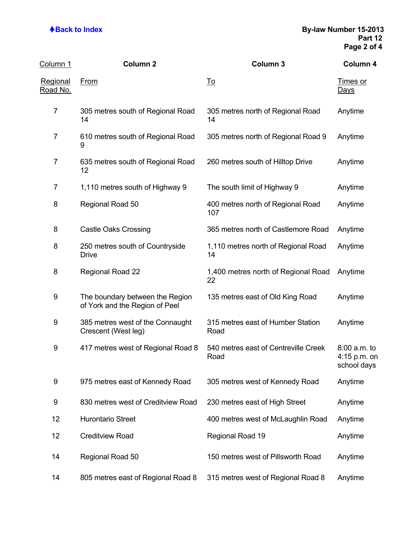| Column 1                           | <b>Column 2</b>                                                   | <b>Column 3</b>                              | Column 4                                      |
|------------------------------------|-------------------------------------------------------------------|----------------------------------------------|-----------------------------------------------|
| <u>Regional</u><br><u>Road No.</u> | <u>From</u>                                                       | <u>To</u>                                    | <u>Times or</u><br><u>Days</u>                |
| $\overline{7}$                     | 305 metres south of Regional Road<br>14                           | 305 metres north of Regional Road<br>14      | Anytime                                       |
| $\overline{7}$                     | 610 metres south of Regional Road<br>9                            | 305 metres north of Regional Road 9          | Anytime                                       |
| $\overline{7}$                     | 635 metres south of Regional Road<br>12                           | 260 metres south of Hilltop Drive            | Anytime                                       |
| $\overline{7}$                     | 1,110 metres south of Highway 9                                   | The south limit of Highway 9                 | Anytime                                       |
| 8                                  | Regional Road 50                                                  | 400 metres north of Regional Road<br>107     | Anytime                                       |
| 8                                  | <b>Castle Oaks Crossing</b>                                       | 365 metres north of Castlemore Road          | Anytime                                       |
| 8                                  | 250 metres south of Countryside<br><b>Drive</b>                   | 1,110 metres north of Regional Road<br>14    | Anytime                                       |
| 8                                  | Regional Road 22                                                  | 1,400 metres north of Regional Road<br>22    | Anytime                                       |
| 9                                  | The boundary between the Region<br>of York and the Region of Peel | 135 metres east of Old King Road             | Anytime                                       |
| 9                                  | 385 metres west of the Connaught<br>Crescent (West leg)           | 315 metres east of Humber Station<br>Road    | Anytime                                       |
| 9                                  | 417 metres west of Regional Road 8                                | 540 metres east of Centreville Creek<br>Road | $8:00$ a.m. to<br>4:15 p.m. on<br>school days |
| 9                                  | 975 metres east of Kennedy Road                                   | 305 metres west of Kennedy Road              | Anytime                                       |
| 9                                  | 830 metres west of Creditview Road                                | 230 metres east of High Street               | Anytime                                       |
| 12                                 | <b>Hurontario Street</b>                                          | 400 metres west of McLaughlin Road           | Anytime                                       |
| 12                                 | <b>Creditview Road</b>                                            | Regional Road 19                             | Anytime                                       |
| 14                                 | Regional Road 50                                                  | 150 metres west of Pillsworth Road           | Anytime                                       |
| 14                                 | 805 metres east of Regional Road 8                                | 315 metres west of Regional Road 8           | Anytime                                       |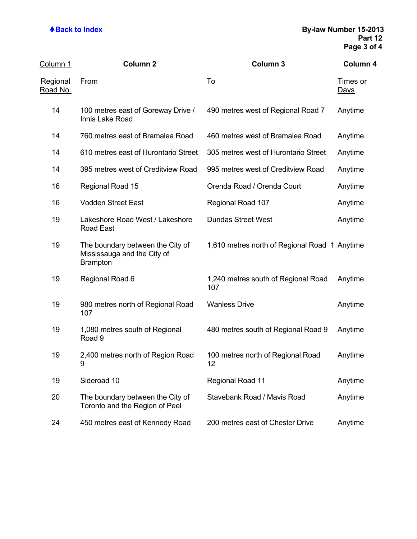| Column 1                    | Column <sub>2</sub>                                                                | Column 3                                      | Column 4                       |
|-----------------------------|------------------------------------------------------------------------------------|-----------------------------------------------|--------------------------------|
| <b>Regional</b><br>Road No. | <b>From</b>                                                                        | <u>To</u>                                     | <b>Times or</b><br><u>Days</u> |
| 14                          | 100 metres east of Goreway Drive /<br>Innis Lake Road                              | 490 metres west of Regional Road 7            | Anytime                        |
| 14                          | 760 metres east of Bramalea Road                                                   | 460 metres west of Bramalea Road              | Anytime                        |
| 14                          | 610 metres east of Hurontario Street                                               | 305 metres west of Hurontario Street          | Anytime                        |
| 14                          | 395 metres west of Creditview Road                                                 | 995 metres west of Creditview Road            | Anytime                        |
| 16                          | Regional Road 15                                                                   | Orenda Road / Orenda Court                    | Anytime                        |
| 16                          | <b>Vodden Street East</b>                                                          | Regional Road 107                             | Anytime                        |
| 19                          | Lakeshore Road West / Lakeshore<br>Road East                                       | <b>Dundas Street West</b>                     | Anytime                        |
| 19                          | The boundary between the City of<br>Mississauga and the City of<br><b>Brampton</b> | 1,610 metres north of Regional Road 1 Anytime |                                |
| 19                          | Regional Road 6                                                                    | 1,240 metres south of Regional Road<br>107    | Anytime                        |
| 19                          | 980 metres north of Regional Road<br>107                                           | <b>Wanless Drive</b>                          | Anytime                        |
| 19                          | 1,080 metres south of Regional<br>Road 9                                           | 480 metres south of Regional Road 9           | Anytime                        |
| 19                          | 2,400 metres north of Region Road<br>9                                             | 100 metres north of Regional Road<br>12       | Anytime                        |
| 19                          | Sideroad 10                                                                        | <b>Regional Road 11</b>                       | Anytime                        |
| 20                          | The boundary between the City of<br>Toronto and the Region of Peel                 | Stavebank Road / Mavis Road                   | Anytime                        |
| 24                          | 450 metres east of Kennedy Road                                                    | 200 metres east of Chester Drive              | Anytime                        |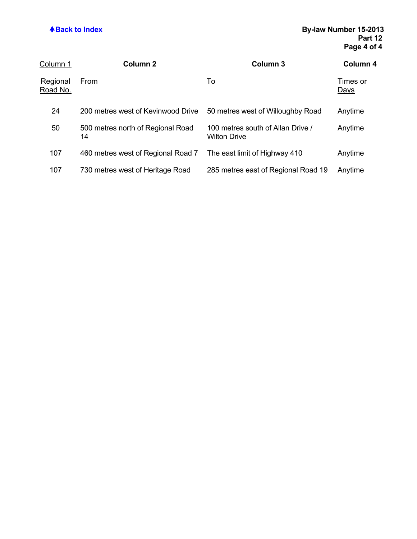| Column 1             | Column <sub>2</sub>                     | Column 3                                                 | Column 4                |
|----------------------|-----------------------------------------|----------------------------------------------------------|-------------------------|
| Regional<br>Road No. | From                                    | <u>To</u>                                                | Times or<br><u>Days</u> |
| 24                   | 200 metres west of Kevinwood Drive      | 50 metres west of Willoughby Road                        | Anytime                 |
| 50                   | 500 metres north of Regional Road<br>14 | 100 metres south of Allan Drive /<br><b>Wilton Drive</b> | Anytime                 |
| 107                  | 460 metres west of Regional Road 7      | The east limit of Highway 410                            | Anytime                 |
| 107                  | 730 metres west of Heritage Road        | 285 metres east of Regional Road 19                      | Anytime                 |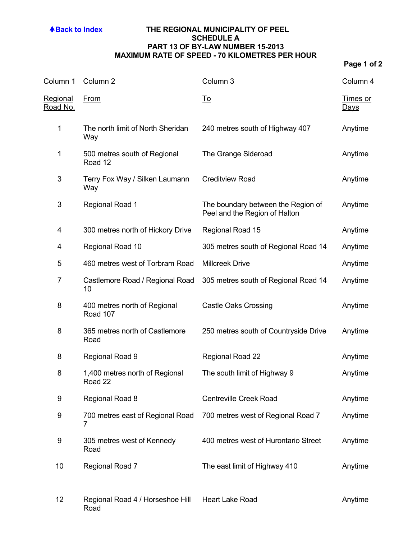## **ABack to Index THE REGIONAL MUNICIPALITY OF PEEL SCHEDULE A PART 13 OF BY-LAW NUMBER 15-2013 MAXIMUM RATE OF SPEED - 70 KILOMETRES PER HOUR**

| Column 1                    | Column <sub>2</sub>                       | Column 3                                                            | Column 4                |
|-----------------------------|-------------------------------------------|---------------------------------------------------------------------|-------------------------|
| Regional<br><u>Road No.</u> | <u>From</u>                               | <u>To</u>                                                           | Times or<br><b>Days</b> |
| 1                           | The north limit of North Sheridan<br>Way  | 240 metres south of Highway 407                                     | Anytime                 |
| 1                           | 500 metres south of Regional<br>Road 12   | The Grange Sideroad                                                 | Anytime                 |
| 3                           | Terry Fox Way / Silken Laumann<br>Way     | <b>Creditview Road</b>                                              | Anytime                 |
| 3                           | <b>Regional Road 1</b>                    | The boundary between the Region of<br>Peel and the Region of Halton | Anytime                 |
| 4                           | 300 metres north of Hickory Drive         | Regional Road 15                                                    | Anytime                 |
| 4                           | Regional Road 10                          | 305 metres south of Regional Road 14                                | Anytime                 |
| 5                           | 460 metres west of Torbram Road           | <b>Millcreek Drive</b>                                              | Anytime                 |
| 7                           | Castlemore Road / Regional Road<br>10     | 305 metres south of Regional Road 14                                | Anytime                 |
| 8                           | 400 metres north of Regional<br>Road 107  | <b>Castle Oaks Crossing</b>                                         | Anytime                 |
| 8                           | 365 metres north of Castlemore<br>Road    | 250 metres south of Countryside Drive                               | Anytime                 |
| 8                           | Regional Road 9                           | Regional Road 22                                                    | Anytime                 |
| 8                           | 1,400 metres north of Regional<br>Road 22 | The south limit of Highway 9                                        | Anytime                 |
| 9                           | Regional Road 8                           | <b>Centreville Creek Road</b>                                       | Anytime                 |
| 9                           | 700 metres east of Regional Road<br>7     | 700 metres west of Regional Road 7                                  | Anytime                 |
| 9                           | 305 metres west of Kennedy<br>Road        | 400 metres west of Hurontario Street                                | Anytime                 |
| 10                          | Regional Road 7                           | The east limit of Highway 410                                       | Anytime                 |
| 12                          | Regional Road 4 / Horseshoe Hill<br>Road  | <b>Heart Lake Road</b>                                              | Anytime                 |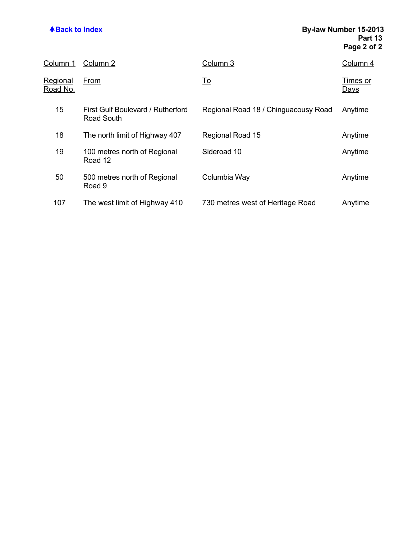| Column 1             | Column 2                                        | Column 3                             | Column 4                |
|----------------------|-------------------------------------------------|--------------------------------------|-------------------------|
| Regional<br>Road No. | From                                            | <u>To</u>                            | Times or<br><u>Days</u> |
| 15                   | First Gulf Boulevard / Rutherford<br>Road South | Regional Road 18 / Chinguacousy Road | Anytime                 |
| 18                   | The north limit of Highway 407                  | Regional Road 15                     | Anytime                 |
| 19                   | 100 metres north of Regional<br>Road 12         | Sideroad 10                          | Anytime                 |
| 50                   | 500 metres north of Regional<br>Road 9          | Columbia Way                         | Anytime                 |
| 107                  | The west limit of Highway 410                   | 730 metres west of Heritage Road     | Anytime                 |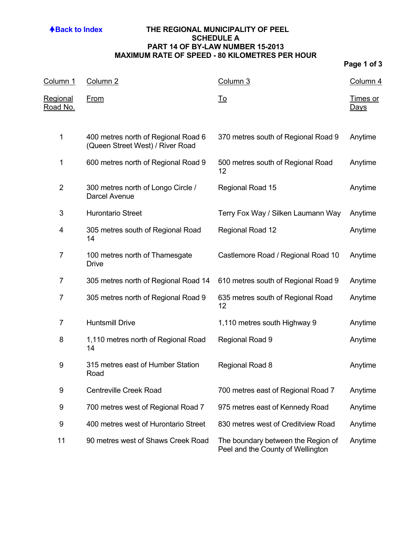## **ABack to Index THE REGIONAL MUNICIPALITY OF PEEL SCHEDULE A PART 14 OF BY-LAW NUMBER 15-2013 MAXIMUM RATE OF SPEED - 80 KILOMETRES PER HOUR**

| <u>Column 1</u>             | Column <sub>2</sub>                                                     | Column 3                                                                | <u>Column 4</u>         |
|-----------------------------|-------------------------------------------------------------------------|-------------------------------------------------------------------------|-------------------------|
| <u>Regional</u><br>Road No. | <b>From</b>                                                             | <u>To</u>                                                               | Times or<br><u>Days</u> |
| $\mathbf 1$                 | 400 metres north of Regional Road 6<br>(Queen Street West) / River Road | 370 metres south of Regional Road 9                                     | Anytime                 |
| 1                           | 600 metres north of Regional Road 9                                     | 500 metres south of Regional Road<br>12                                 | Anytime                 |
| $\overline{2}$              | 300 metres north of Longo Circle /<br>Darcel Avenue                     | Regional Road 15                                                        | Anytime                 |
| 3                           | <b>Hurontario Street</b>                                                | Terry Fox Way / Silken Laumann Way                                      | Anytime                 |
| 4                           | 305 metres south of Regional Road<br>14                                 | Regional Road 12                                                        | Anytime                 |
| $\overline{7}$              | 100 metres north of Thamesgate<br><b>Drive</b>                          | Castlemore Road / Regional Road 10                                      | Anytime                 |
| 7                           | 305 metres north of Regional Road 14                                    | 610 metres south of Regional Road 9                                     | Anytime                 |
| $\overline{7}$              | 305 metres north of Regional Road 9                                     | 635 metres south of Regional Road<br>12                                 | Anytime                 |
| $\overline{7}$              | <b>Huntsmill Drive</b>                                                  | 1,110 metres south Highway 9                                            | Anytime                 |
| 8                           | 1,110 metres north of Regional Road<br>14                               | Regional Road 9                                                         | Anytime                 |
| 9                           | 315 metres east of Humber Station<br>Road                               | Regional Road 8                                                         | Anytime                 |
| 9                           | <b>Centreville Creek Road</b>                                           | 700 metres east of Regional Road 7                                      | Anytime                 |
| 9                           | 700 metres west of Regional Road 7                                      | 975 metres east of Kennedy Road                                         | Anytime                 |
| 9                           | 400 metres west of Hurontario Street                                    | 830 metres west of Creditview Road                                      | Anytime                 |
| 11                          | 90 metres west of Shaws Creek Road                                      | The boundary between the Region of<br>Peel and the County of Wellington | Anytime                 |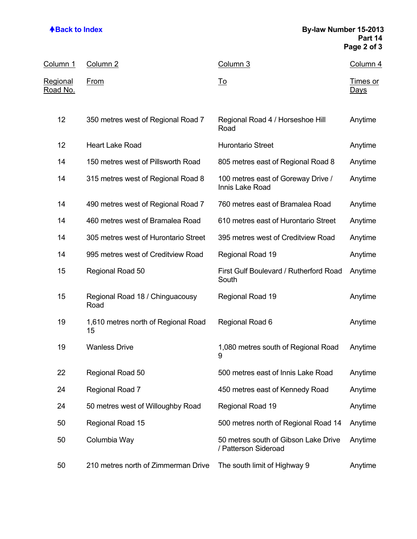## **ABack to Index By-law Number 15-2013 Part 14 Page 2 of 3**

| <u>Column 1</u>                    | Column 2                                  | Column 3                                                     | Column 4                       |
|------------------------------------|-------------------------------------------|--------------------------------------------------------------|--------------------------------|
| <u>Regional</u><br><u>Road No.</u> | <b>From</b>                               | <u>To</u>                                                    | <u>Times or</u><br><u>Days</u> |
| 12                                 | 350 metres west of Regional Road 7        | Regional Road 4 / Horseshoe Hill<br>Road                     | Anytime                        |
| 12                                 | <b>Heart Lake Road</b>                    | <b>Hurontario Street</b>                                     | Anytime                        |
| 14                                 | 150 metres west of Pillsworth Road        | 805 metres east of Regional Road 8                           | Anytime                        |
| 14                                 | 315 metres west of Regional Road 8        | 100 metres east of Goreway Drive /<br>Innis Lake Road        | Anytime                        |
| 14                                 | 490 metres west of Regional Road 7        | 760 metres east of Bramalea Road                             | Anytime                        |
| 14                                 | 460 metres west of Bramalea Road          | 610 metres east of Hurontario Street                         | Anytime                        |
| 14                                 | 305 metres west of Hurontario Street      | 395 metres west of Creditview Road                           | Anytime                        |
| 14                                 | 995 metres west of Creditview Road        | Regional Road 19                                             | Anytime                        |
| 15                                 | Regional Road 50                          | First Gulf Boulevard / Rutherford Road<br>South              | Anytime                        |
| 15                                 | Regional Road 18 / Chinguacousy<br>Road   | Regional Road 19                                             | Anytime                        |
| 19                                 | 1,610 metres north of Regional Road<br>15 | Regional Road 6                                              | Anytime                        |
| 19                                 | <b>Wanless Drive</b>                      | 1,080 metres south of Regional Road<br>9                     | Anytime                        |
| 22                                 | Regional Road 50                          | 500 metres east of Innis Lake Road                           | Anytime                        |
| 24                                 | Regional Road 7                           | 450 metres east of Kennedy Road                              | Anytime                        |
| 24                                 | 50 metres west of Willoughby Road         | Regional Road 19                                             | Anytime                        |
| 50                                 | Regional Road 15                          | 500 metres north of Regional Road 14                         | Anytime                        |
| 50                                 | Columbia Way                              | 50 metres south of Gibson Lake Drive<br>/ Patterson Sideroad | Anytime                        |
| 50                                 | 210 metres north of Zimmerman Drive       | The south limit of Highway 9                                 | Anytime                        |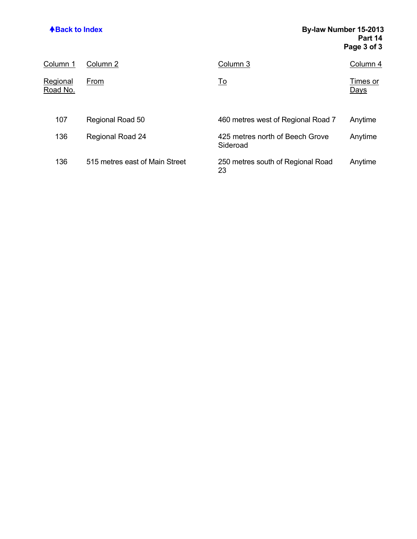# **ABack to Index By-law Number 15-2013 Part 14 Page 3 of 3**

| Column 1             | Column 2                       | Column 3                                    | Column 4                |
|----------------------|--------------------------------|---------------------------------------------|-------------------------|
| Regional<br>Road No. | From                           | <u>To</u>                                   | Times or<br><u>Days</u> |
| 107                  | Regional Road 50               | 460 metres west of Regional Road 7          | Anytime                 |
| 136                  | <b>Regional Road 24</b>        | 425 metres north of Beech Grove<br>Sideroad | Anytime                 |
| 136                  | 515 metres east of Main Street | 250 metres south of Regional Road<br>23     | Anytime                 |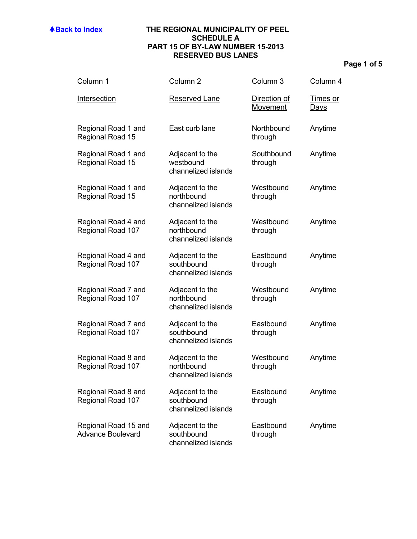### **ABack to Index THE REGIONAL MUNICIPALITY OF PEEL SCHEDULE A PART 15 OF BY-LAW NUMBER 15-2013 RESERVED BUS LANES**

| Column <sub>1</sub>                              | Column <sub>2</sub>                                  | Column 3                        | Column 4                       |
|--------------------------------------------------|------------------------------------------------------|---------------------------------|--------------------------------|
| Intersection                                     | <b>Reserved Lane</b>                                 | Direction of<br><b>Movement</b> | <u>Times or</u><br><u>Days</u> |
| Regional Road 1 and<br>Regional Road 15          | East curb lane                                       | Northbound<br>through           | Anytime                        |
| Regional Road 1 and<br>Regional Road 15          | Adjacent to the<br>westbound<br>channelized islands  | Southbound<br>through           | Anytime                        |
| Regional Road 1 and<br>Regional Road 15          | Adjacent to the<br>northbound<br>channelized islands | Westbound<br>through            | Anytime                        |
| Regional Road 4 and<br>Regional Road 107         | Adjacent to the<br>northbound<br>channelized islands | Westbound<br>through            | Anytime                        |
| Regional Road 4 and<br>Regional Road 107         | Adjacent to the<br>southbound<br>channelized islands | Eastbound<br>through            | Anytime                        |
| Regional Road 7 and<br>Regional Road 107         | Adjacent to the<br>northbound<br>channelized islands | Westbound<br>through            | Anytime                        |
| Regional Road 7 and<br>Regional Road 107         | Adjacent to the<br>southbound<br>channelized islands | Eastbound<br>through            | Anytime                        |
| Regional Road 8 and<br>Regional Road 107         | Adjacent to the<br>northbound<br>channelized islands | Westbound<br>through            | Anytime                        |
| Regional Road 8 and<br>Regional Road 107         | Adjacent to the<br>southbound<br>channelized islands | Eastbound<br>through            | Anytime                        |
| Regional Road 15 and<br><b>Advance Boulevard</b> | Adjacent to the<br>southbound<br>channelized islands | Eastbound<br>through            | Anytime                        |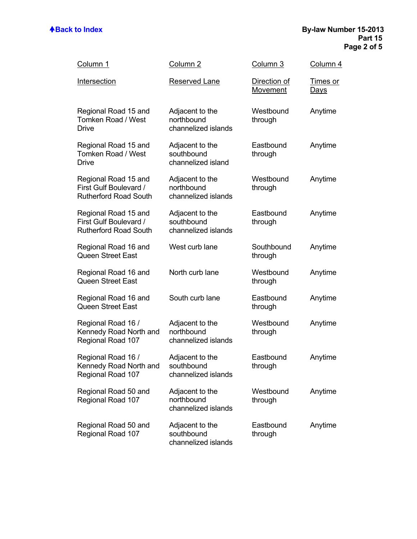| <u>Column 1</u>                                                                | Column <sub>2</sub>                                  | Column 3                 | Column 4                       |
|--------------------------------------------------------------------------------|------------------------------------------------------|--------------------------|--------------------------------|
| Intersection                                                                   | Reserved Lane                                        | Direction of<br>Movement | <u>Times or</u><br><u>Days</u> |
| Regional Road 15 and<br>Tomken Road / West<br><b>Drive</b>                     | Adjacent to the<br>northbound<br>channelized islands | Westbound<br>through     | Anytime                        |
| Regional Road 15 and<br>Tomken Road / West<br><b>Drive</b>                     | Adjacent to the<br>southbound<br>channelized island  | Eastbound<br>through     | Anytime                        |
| Regional Road 15 and<br>First Gulf Boulevard /<br><b>Rutherford Road South</b> | Adjacent to the<br>northbound<br>channelized islands | Westbound<br>through     | Anytime                        |
| Regional Road 15 and<br>First Gulf Boulevard /<br><b>Rutherford Road South</b> | Adjacent to the<br>southbound<br>channelized islands | Eastbound<br>through     | Anytime                        |
| Regional Road 16 and<br><b>Queen Street East</b>                               | West curb lane                                       | Southbound<br>through    | Anytime                        |
| Regional Road 16 and<br><b>Queen Street East</b>                               | North curb lane                                      | Westbound<br>through     | Anytime                        |
| Regional Road 16 and<br><b>Queen Street East</b>                               | South curb lane                                      | Eastbound<br>through     | Anytime                        |
| Regional Road 16 /<br>Kennedy Road North and<br>Regional Road 107              | Adjacent to the<br>northbound<br>channelized islands | Westbound<br>through     | Anytime                        |
| Regional Road 16 /<br>Kennedy Road North and<br>Regional Road 107              | Adjacent to the<br>southbound<br>channelized islands | Eastbound<br>through     | Anytime                        |
| Regional Road 50 and<br>Regional Road 107                                      | Adjacent to the<br>northbound<br>channelized islands | Westbound<br>through     | Anytime                        |
| Regional Road 50 and<br>Regional Road 107                                      | Adjacent to the<br>southbound<br>channelized islands | Eastbound<br>through     | Anytime                        |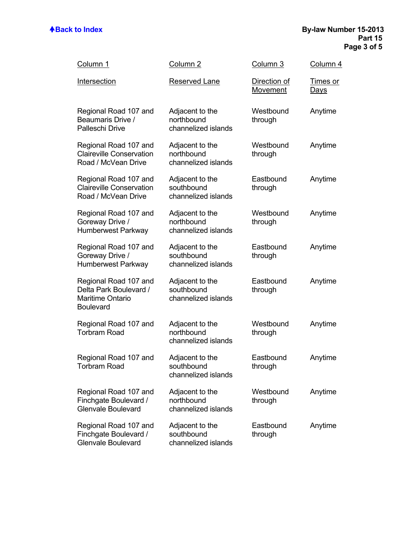| <b>Column 1</b>                                                                                | Column <sub>2</sub>                                  | Column 3                 | Column 4                       |
|------------------------------------------------------------------------------------------------|------------------------------------------------------|--------------------------|--------------------------------|
| Intersection                                                                                   | Reserved Lane                                        | Direction of<br>Movement | <u>Times or</u><br><u>Days</u> |
| Regional Road 107 and<br>Beaumaris Drive /<br>Palleschi Drive                                  | Adjacent to the<br>northbound<br>channelized islands | Westbound<br>through     | Anytime                        |
| Regional Road 107 and<br><b>Claireville Conservation</b><br>Road / McVean Drive                | Adjacent to the<br>northbound<br>channelized islands | Westbound<br>through     | Anytime                        |
| Regional Road 107 and<br><b>Claireville Conservation</b><br>Road / McVean Drive                | Adjacent to the<br>southbound<br>channelized islands | Eastbound<br>through     | Anytime                        |
| Regional Road 107 and<br>Goreway Drive /<br>Humberwest Parkway                                 | Adjacent to the<br>northbound<br>channelized islands | Westbound<br>through     | Anytime                        |
| Regional Road 107 and<br>Goreway Drive /<br>Humberwest Parkway                                 | Adjacent to the<br>southbound<br>channelized islands | Eastbound<br>through     | Anytime                        |
| Regional Road 107 and<br>Delta Park Boulevard /<br><b>Maritime Ontario</b><br><b>Boulevard</b> | Adjacent to the<br>southbound<br>channelized islands | Eastbound<br>through     | Anytime                        |
| Regional Road 107 and<br><b>Torbram Road</b>                                                   | Adjacent to the<br>northbound<br>channelized islands | Westbound<br>through     | Anytime                        |
| Regional Road 107 and<br><b>Torbram Road</b>                                                   | Adjacent to the<br>southbound<br>channelized islands | Eastbound<br>through     | Anytime                        |
| Regional Road 107 and<br>Finchgate Boulevard /<br><b>Glenvale Boulevard</b>                    | Adjacent to the<br>northbound<br>channelized islands | Westbound<br>through     | Anytime                        |
| Regional Road 107 and<br>Finchgate Boulevard /<br><b>Glenvale Boulevard</b>                    | Adjacent to the<br>southbound<br>channelized islands | Eastbound<br>through     | Anytime                        |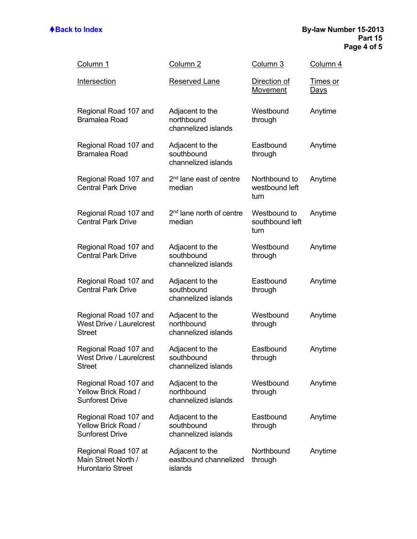| Column 1                                                                  | Column <sub>2</sub>                                  | Column 3                                | Column 4                       |
|---------------------------------------------------------------------------|------------------------------------------------------|-----------------------------------------|--------------------------------|
| Intersection                                                              | <b>Reserved Lane</b>                                 | Direction of<br>Movement                | <u>Times or</u><br><u>Days</u> |
| Regional Road 107 and<br><b>Bramalea Road</b>                             | Adjacent to the<br>northbound<br>channelized islands | Westbound<br>through                    | Anytime                        |
| Regional Road 107 and<br><b>Bramalea Road</b>                             | Adjacent to the<br>southbound<br>channelized islands | Eastbound<br>through                    | Anytime                        |
| Regional Road 107 and<br><b>Central Park Drive</b>                        | 2 <sup>nd</sup> lane east of centre<br>median        | Northbound to<br>westbound left<br>turn | Anytime                        |
| Regional Road 107 and<br><b>Central Park Drive</b>                        | 2 <sup>nd</sup> lane north of centre<br>median       | Westbound to<br>southbound left<br>turn | Anytime                        |
| Regional Road 107 and<br><b>Central Park Drive</b>                        | Adjacent to the<br>southbound<br>channelized islands | Westbound<br>through                    | Anytime                        |
| Regional Road 107 and<br><b>Central Park Drive</b>                        | Adjacent to the<br>southbound<br>channelized islands | Eastbound<br>through                    | Anytime                        |
| Regional Road 107 and<br><b>West Drive / Laurelcrest</b><br><b>Street</b> | Adjacent to the<br>northbound<br>channelized islands | Westbound<br>through                    | Anytime                        |
| Regional Road 107 and<br>West Drive / Laurelcrest<br><b>Street</b>        | Adjacent to the<br>southbound<br>channelized islands | Eastbound<br>through                    | Anytime                        |
| Regional Road 107 and<br>Yellow Brick Road /<br><b>Sunforest Drive</b>    | Adjacent to the<br>northbound<br>channelized islands | Westbound<br>through                    | Anytime                        |
| Regional Road 107 and<br>Yellow Brick Road /<br><b>Sunforest Drive</b>    | Adjacent to the<br>southbound<br>channelized islands | Eastbound<br>through                    | Anytime                        |
| Regional Road 107 at<br>Main Street North /<br><b>Hurontario Street</b>   | Adjacent to the<br>eastbound channelized<br>islands  | Northbound<br>through                   | Anytime                        |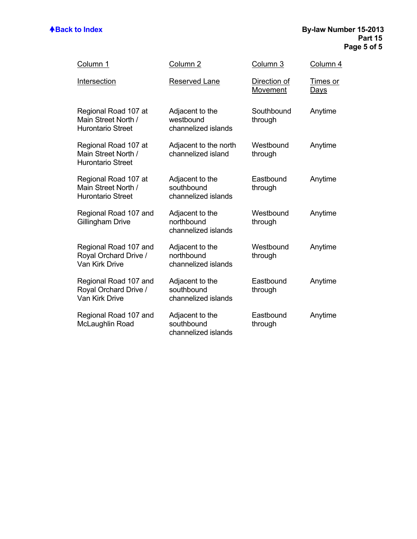| Column 1                                                                | Column <sub>2</sub>                                  | Column 3                 | Column 4                |
|-------------------------------------------------------------------------|------------------------------------------------------|--------------------------|-------------------------|
| Intersection                                                            | <b>Reserved Lane</b>                                 | Direction of<br>Movement | Times or<br><u>Days</u> |
| Regional Road 107 at<br>Main Street North /<br><b>Hurontario Street</b> | Adjacent to the<br>westbound<br>channelized islands  | Southbound<br>through    | Anytime                 |
| Regional Road 107 at<br>Main Street North /<br><b>Hurontario Street</b> | Adjacent to the north<br>channelized island          | Westbound<br>through     | Anytime                 |
| Regional Road 107 at<br>Main Street North /<br><b>Hurontario Street</b> | Adjacent to the<br>southbound<br>channelized islands | Eastbound<br>through     | Anytime                 |
| Regional Road 107 and<br><b>Gillingham Drive</b>                        | Adjacent to the<br>northbound<br>channelized islands | Westbound<br>through     | Anytime                 |
| Regional Road 107 and<br>Royal Orchard Drive /<br><b>Van Kirk Drive</b> | Adjacent to the<br>northbound<br>channelized islands | Westbound<br>through     | Anytime                 |
| Regional Road 107 and<br>Royal Orchard Drive /<br><b>Van Kirk Drive</b> | Adjacent to the<br>southbound<br>channelized islands | Eastbound<br>through     | Anytime                 |
| Regional Road 107 and<br>McLaughlin Road                                | Adjacent to the<br>southbound<br>channelized islands | Eastbound<br>through     | Anytime                 |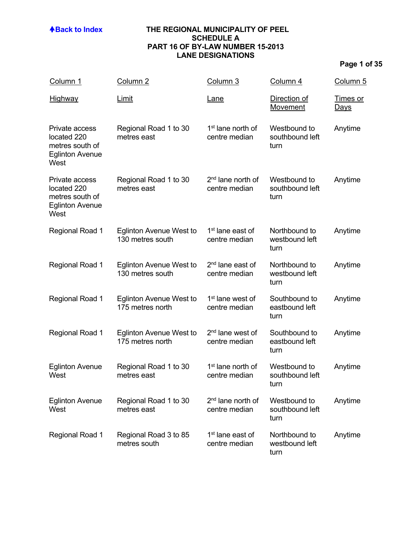### **ABack to Index THE REGIONAL MUNICIPALITY OF PEEL SCHEDULE A PART 16 OF BY-LAW NUMBER 15-2013 LANE DESIGNATIONS**

# **Page 1 of 35**

| Column 1                                                                           | Column <sub>2</sub>                                | Column 3                                       | Column 4                                | Column <sub>5</sub>     |
|------------------------------------------------------------------------------------|----------------------------------------------------|------------------------------------------------|-----------------------------------------|-------------------------|
| Highway                                                                            | <u>Limit</u>                                       | <u>Lane</u>                                    | Direction of<br><u>Movement</u>         | Times or<br><u>Days</u> |
| Private access<br>located 220<br>metres south of<br><b>Eglinton Avenue</b><br>West | Regional Road 1 to 30<br>metres east               | 1 <sup>st</sup> lane north of<br>centre median | Westbound to<br>southbound left<br>turn | Anytime                 |
| Private access<br>located 220<br>metres south of<br><b>Eglinton Avenue</b><br>West | Regional Road 1 to 30<br>metres east               | 2 <sup>nd</sup> lane north of<br>centre median | Westbound to<br>southbound left<br>turn | Anytime                 |
| Regional Road 1                                                                    | <b>Eglinton Avenue West to</b><br>130 metres south | 1 <sup>st</sup> lane east of<br>centre median  | Northbound to<br>westbound left<br>turn | Anytime                 |
| Regional Road 1                                                                    | <b>Eglinton Avenue West to</b><br>130 metres south | $2nd$ lane east of<br>centre median            | Northbound to<br>westbound left<br>turn | Anytime                 |
| <b>Regional Road 1</b>                                                             | <b>Eglinton Avenue West to</b><br>175 metres north | 1 <sup>st</sup> lane west of<br>centre median  | Southbound to<br>eastbound left<br>turn | Anytime                 |
| Regional Road 1                                                                    | <b>Eglinton Avenue West to</b><br>175 metres north | 2 <sup>nd</sup> lane west of<br>centre median  | Southbound to<br>eastbound left<br>turn | Anytime                 |
| <b>Eglinton Avenue</b><br>West                                                     | Regional Road 1 to 30<br>metres east               | 1 <sup>st</sup> lane north of<br>centre median | Westbound to<br>southbound left<br>turn | Anytime                 |
| <b>Eglinton Avenue</b><br>West                                                     | Regional Road 1 to 30<br>metres east               | 2 <sup>nd</sup> lane north of<br>centre median | Westbound to<br>southbound left<br>turn | Anytime                 |
| Regional Road 1                                                                    | Regional Road 3 to 85<br>metres south              | 1 <sup>st</sup> lane east of<br>centre median  | Northbound to<br>westbound left<br>turn | Anytime                 |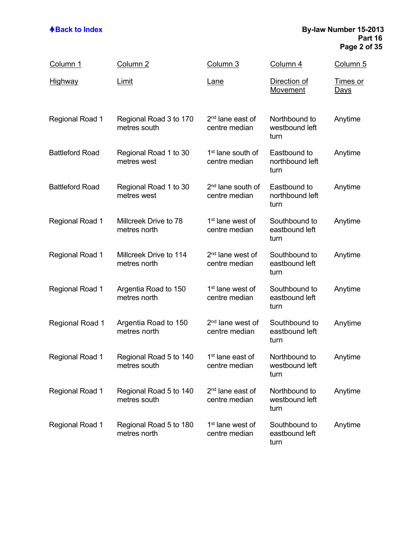### **ABack to Index By-law Number 15-2013 Part 16 Page 2 of 35**

| Column 1               | Column <sub>2</sub>                    | Column 3                                       | Column 4                                | Column 5                       |
|------------------------|----------------------------------------|------------------------------------------------|-----------------------------------------|--------------------------------|
| <u>Highway</u>         | Limit                                  | <u>Lane</u>                                    | Direction of<br>Movement                | <b>Times or</b><br><u>Days</u> |
| <b>Regional Road 1</b> | Regional Road 3 to 170<br>metres south | 2 <sup>nd</sup> lane east of<br>centre median  | Northbound to<br>westbound left<br>turn | Anytime                        |
| <b>Battleford Road</b> | Regional Road 1 to 30<br>metres west   | 1 <sup>st</sup> lane south of<br>centre median | Eastbound to<br>northbound left<br>turn | Anytime                        |
| <b>Battleford Road</b> | Regional Road 1 to 30<br>metres west   | 2 <sup>nd</sup> lane south of<br>centre median | Eastbound to<br>northbound left<br>turn | Anytime                        |
| Regional Road 1        | Millcreek Drive to 78<br>metres north  | 1 <sup>st</sup> lane west of<br>centre median  | Southbound to<br>eastbound left<br>turn | Anytime                        |
| Regional Road 1        | Millcreek Drive to 114<br>metres north | 2 <sup>nd</sup> lane west of<br>centre median  | Southbound to<br>eastbound left<br>turn | Anytime                        |
| <b>Regional Road 1</b> | Argentia Road to 150<br>metres north   | 1 <sup>st</sup> lane west of<br>centre median  | Southbound to<br>eastbound left<br>turn | Anytime                        |
| <b>Regional Road 1</b> | Argentia Road to 150<br>metres north   | 2 <sup>nd</sup> lane west of<br>centre median  | Southbound to<br>eastbound left<br>turn | Anytime                        |
| <b>Regional Road 1</b> | Regional Road 5 to 140<br>metres south | 1 <sup>st</sup> lane east of<br>centre median  | Northbound to<br>westbound left<br>turn | Anytime                        |
| <b>Regional Road 1</b> | Regional Road 5 to 140<br>metres south | 2 <sup>nd</sup> lane east of<br>centre median  | Northbound to<br>westbound left<br>turn | Anytime                        |
| <b>Regional Road 1</b> | Regional Road 5 to 180<br>metres north | 1 <sup>st</sup> lane west of<br>centre median  | Southbound to<br>eastbound left<br>turn | Anytime                        |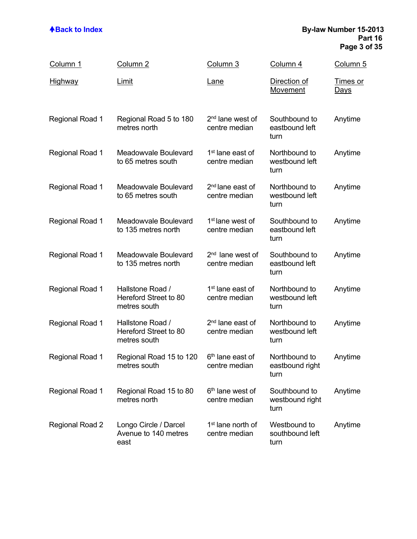### **ABack to Index By-law Number 15-2013 Part 16 Page 3 of 35**

| Column 1               | Column <sub>2</sub>                                       | Column 3                                       | Column 4                                 | Column 5                       |
|------------------------|-----------------------------------------------------------|------------------------------------------------|------------------------------------------|--------------------------------|
| <b>Highway</b>         | Limit                                                     | Lane                                           | Direction of<br>Movement                 | <b>Times or</b><br><u>Days</u> |
| <b>Regional Road 1</b> | Regional Road 5 to 180<br>metres north                    | 2 <sup>nd</sup> lane west of<br>centre median  | Southbound to<br>eastbound left<br>turn  | Anytime                        |
| <b>Regional Road 1</b> | Meadowvale Boulevard<br>to 65 metres south                | 1 <sup>st</sup> lane east of<br>centre median  | Northbound to<br>westbound left<br>turn  | Anytime                        |
| <b>Regional Road 1</b> | Meadowvale Boulevard<br>to 65 metres south                | 2 <sup>nd</sup> lane east of<br>centre median  | Northbound to<br>westbound left<br>turn  | Anytime                        |
| Regional Road 1        | Meadowvale Boulevard<br>to 135 metres north               | 1 <sup>st</sup> lane west of<br>centre median  | Southbound to<br>eastbound left<br>turn  | Anytime                        |
| <b>Regional Road 1</b> | Meadowvale Boulevard<br>to 135 metres north               | 2 <sup>nd</sup> lane west of<br>centre median  | Southbound to<br>eastbound left<br>turn  | Anytime                        |
| Regional Road 1        | Hallstone Road /<br>Hereford Street to 80<br>metres south | 1 <sup>st</sup> lane east of<br>centre median  | Northbound to<br>westbound left<br>turn  | Anytime                        |
| Regional Road 1        | Hallstone Road /<br>Hereford Street to 80<br>metres south | 2 <sup>nd</sup> lane east of<br>centre median  | Northbound to<br>westbound left<br>turn  | Anytime                        |
| Regional Road 1        | Regional Road 15 to 120<br>metres south                   | 6 <sup>th</sup> lane east of<br>centre median  | Northbound to<br>eastbound right<br>turn | Anytime                        |
| <b>Regional Road 1</b> | Regional Road 15 to 80<br>metres north                    | 6 <sup>th</sup> lane west of<br>centre median  | Southbound to<br>westbound right<br>turn | Anytime                        |
| <b>Regional Road 2</b> | Longo Circle / Darcel<br>Avenue to 140 metres<br>east     | 1 <sup>st</sup> lane north of<br>centre median | Westbound to<br>southbound left<br>turn  | Anytime                        |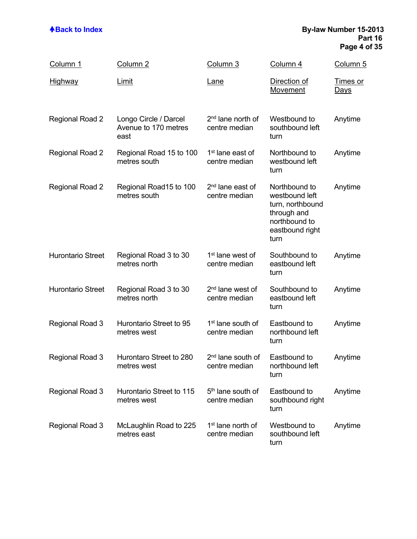### **ABack to Index By-law Number 15-2013 Part 16 Page 4 of 35**

| Column 1                 | Column <sub>2</sub>                                   | Column 3                                       | Column 4                                                                                                       | Column <sub>5</sub>            |
|--------------------------|-------------------------------------------------------|------------------------------------------------|----------------------------------------------------------------------------------------------------------------|--------------------------------|
| <b>Highway</b>           | <u>Limit</u>                                          | <u>Lane</u>                                    | Direction of<br>Movement                                                                                       | <u>Times or</u><br><u>Days</u> |
| Regional Road 2          | Longo Circle / Darcel<br>Avenue to 170 metres<br>east | 2 <sup>nd</sup> lane north of<br>centre median | Westbound to<br>southbound left<br>turn                                                                        | Anytime                        |
| Regional Road 2          | Regional Road 15 to 100<br>metres south               | 1 <sup>st</sup> lane east of<br>centre median  | Northbound to<br>westbound left<br>turn                                                                        | Anytime                        |
| <b>Regional Road 2</b>   | Regional Road15 to 100<br>metres south                | 2 <sup>nd</sup> lane east of<br>centre median  | Northbound to<br>westbound left<br>turn, northbound<br>through and<br>northbound to<br>eastbound right<br>turn | Anytime                        |
| <b>Hurontario Street</b> | Regional Road 3 to 30<br>metres north                 | 1 <sup>st</sup> lane west of<br>centre median  | Southbound to<br>eastbound left<br>turn                                                                        | Anytime                        |
| <b>Hurontario Street</b> | Regional Road 3 to 30<br>metres north                 | 2 <sup>nd</sup> lane west of<br>centre median  | Southbound to<br>eastbound left<br>turn                                                                        | Anytime                        |
| Regional Road 3          | Hurontario Street to 95<br>metres west                | 1 <sup>st</sup> lane south of<br>centre median | Eastbound to<br>northbound left<br>turn                                                                        | Anytime                        |
| Regional Road 3          | Hurontaro Street to 280<br>metres west                | 2 <sup>nd</sup> lane south of<br>centre median | Eastbound to<br>northbound left<br>turn                                                                        | Anytime                        |
| Regional Road 3          | Hurontario Street to 115<br>metres west               | 5 <sup>th</sup> lane south of<br>centre median | Eastbound to<br>southbound right<br>turn                                                                       | Anytime                        |
| Regional Road 3          | McLaughlin Road to 225<br>metres east                 | 1 <sup>st</sup> lane north of<br>centre median | Westbound to<br>southbound left<br>turn                                                                        | Anytime                        |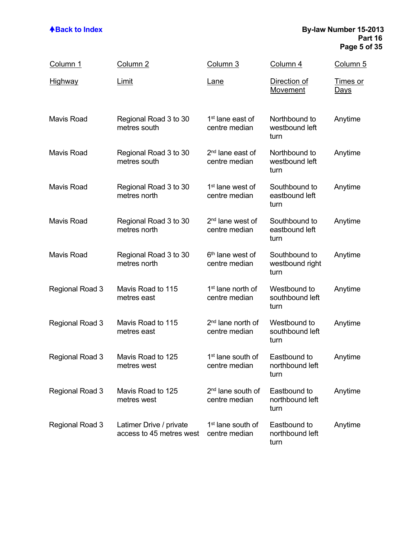### **ABack to Index By-law Number 15-2013 Part 16 Page 5 of 35**

| <u>Column 1</u>        | Column <sub>2</sub>                                 | Column 3                                       | Column 4                                 | Column 5                       |
|------------------------|-----------------------------------------------------|------------------------------------------------|------------------------------------------|--------------------------------|
| <b>Highway</b>         | Limit                                               | <u>Lane</u>                                    | Direction of<br>Movement                 | <u>Times or</u><br><u>Days</u> |
| <b>Mavis Road</b>      | Regional Road 3 to 30<br>metres south               | 1 <sup>st</sup> lane east of<br>centre median  | Northbound to<br>westbound left<br>turn  | Anytime                        |
| Mavis Road             | Regional Road 3 to 30<br>metres south               | 2 <sup>nd</sup> lane east of<br>centre median  | Northbound to<br>westbound left<br>turn  | Anytime                        |
| <b>Mavis Road</b>      | Regional Road 3 to 30<br>metres north               | 1 <sup>st</sup> lane west of<br>centre median  | Southbound to<br>eastbound left<br>turn  | Anytime                        |
| <b>Mavis Road</b>      | Regional Road 3 to 30<br>metres north               | 2 <sup>nd</sup> lane west of<br>centre median  | Southbound to<br>eastbound left<br>turn  | Anytime                        |
| <b>Mavis Road</b>      | Regional Road 3 to 30<br>metres north               | 6 <sup>th</sup> lane west of<br>centre median  | Southbound to<br>westbound right<br>turn | Anytime                        |
| Regional Road 3        | Mavis Road to 115<br>metres east                    | 1 <sup>st</sup> lane north of<br>centre median | Westbound to<br>southbound left<br>turn  | Anytime                        |
| Regional Road 3        | Mavis Road to 115<br>metres east                    | 2 <sup>nd</sup> lane north of<br>centre median | Westbound to<br>southbound left<br>turn  | Anytime                        |
| Regional Road 3        | Mavis Road to 125<br>metres west                    | 1 <sup>st</sup> lane south of<br>centre median | Eastbound to<br>northbound left<br>turn  | Anytime                        |
| <b>Regional Road 3</b> | Mavis Road to 125<br>metres west                    | 2 <sup>nd</sup> lane south of<br>centre median | Eastbound to<br>northbound left<br>turn  | Anytime                        |
| Regional Road 3        | Latimer Drive / private<br>access to 45 metres west | 1 <sup>st</sup> lane south of<br>centre median | Eastbound to<br>northbound left<br>turn  | Anytime                        |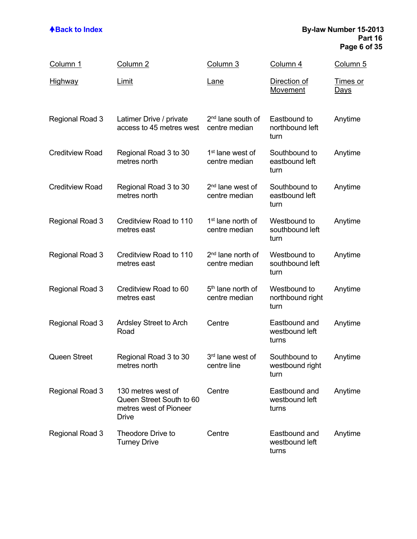### **ABack to Index By-law Number 15-2013 Part 16 Page 6 of 35**

| Column 1               | Column <sub>2</sub>                                                                      | <u>Column 3</u>                                | Column 4                                 | <u>Column 5</u>                |
|------------------------|------------------------------------------------------------------------------------------|------------------------------------------------|------------------------------------------|--------------------------------|
| <b>Highway</b>         | Limit                                                                                    | <u>Lane</u>                                    | Direction of<br>Movement                 | <u>Times or</u><br><u>Days</u> |
| Regional Road 3        | Latimer Drive / private<br>access to 45 metres west                                      | 2 <sup>nd</sup> lane south of<br>centre median | Eastbound to<br>northbound left<br>turn  | Anytime                        |
| <b>Creditview Road</b> | Regional Road 3 to 30<br>metres north                                                    | 1 <sup>st</sup> lane west of<br>centre median  | Southbound to<br>eastbound left<br>turn  | Anytime                        |
| <b>Creditview Road</b> | Regional Road 3 to 30<br>metres north                                                    | 2 <sup>nd</sup> lane west of<br>centre median  | Southbound to<br>eastbound left<br>turn  | Anytime                        |
| Regional Road 3        | Creditview Road to 110<br>metres east                                                    | 1 <sup>st</sup> lane north of<br>centre median | Westbound to<br>southbound left<br>turn  | Anytime                        |
| Regional Road 3        | Creditview Road to 110<br>metres east                                                    | 2 <sup>nd</sup> lane north of<br>centre median | Westbound to<br>southbound left<br>turn  | Anytime                        |
| Regional Road 3        | Creditview Road to 60<br>metres east                                                     | 5 <sup>th</sup> lane north of<br>centre median | Westbound to<br>northbound right<br>turn | Anytime                        |
| Regional Road 3        | Ardsley Street to Arch<br>Road                                                           | Centre                                         | Eastbound and<br>westbound left<br>turns | Anytime                        |
| <b>Queen Street</b>    | Regional Road 3 to 30<br>metres north                                                    | 3 <sup>rd</sup> lane west of<br>centre line    | Southbound to<br>westbound right<br>turn | Anytime                        |
| Regional Road 3        | 130 metres west of<br>Queen Street South to 60<br>metres west of Pioneer<br><b>Drive</b> | Centre                                         | Eastbound and<br>westbound left<br>turns | Anytime                        |
| Regional Road 3        | Theodore Drive to<br><b>Turney Drive</b>                                                 | Centre                                         | Eastbound and<br>westbound left<br>turns | Anytime                        |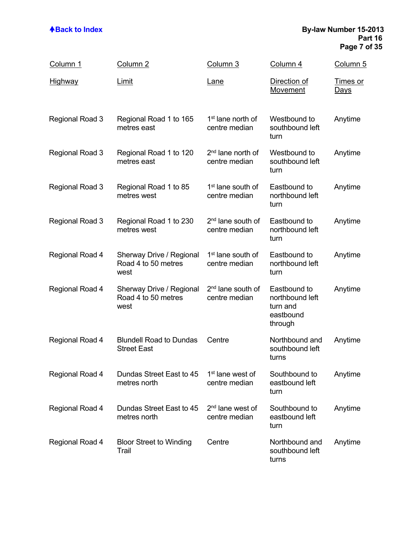### **ABack to Index By-law Number 15-2013 Part 16 Page 7 of 35**

| Column 1               | Column 2                                                | Column 3                                       | Column 4                                                            | <u>Column 5</u>                |
|------------------------|---------------------------------------------------------|------------------------------------------------|---------------------------------------------------------------------|--------------------------------|
| <u>Highway</u>         | Limit                                                   | <u>Lane</u>                                    | Direction of<br>Movement                                            | <u>Times or</u><br><u>Days</u> |
| Regional Road 3        | Regional Road 1 to 165<br>metres east                   | 1 <sup>st</sup> lane north of<br>centre median | Westbound to<br>southbound left<br>turn                             | Anytime                        |
| Regional Road 3        | Regional Road 1 to 120<br>metres east                   | 2 <sup>nd</sup> lane north of<br>centre median | Westbound to<br>southbound left<br>turn                             | Anytime                        |
| Regional Road 3        | Regional Road 1 to 85<br>metres west                    | 1 <sup>st</sup> lane south of<br>centre median | Eastbound to<br>northbound left<br>turn                             | Anytime                        |
| Regional Road 3        | Regional Road 1 to 230<br>metres west                   | 2 <sup>nd</sup> lane south of<br>centre median | Eastbound to<br>northbound left<br>turn                             | Anytime                        |
| Regional Road 4        | Sherway Drive / Regional<br>Road 4 to 50 metres<br>west | 1 <sup>st</sup> lane south of<br>centre median | Eastbound to<br>northbound left<br>turn                             | Anytime                        |
| Regional Road 4        | Sherway Drive / Regional<br>Road 4 to 50 metres<br>west | 2 <sup>nd</sup> lane south of<br>centre median | Eastbound to<br>northbound left<br>turn and<br>eastbound<br>through | Anytime                        |
| Regional Road 4        | <b>Blundell Road to Dundas</b><br><b>Street East</b>    | Centre                                         | Northbound and<br>southbound left<br>turns                          | Anytime                        |
| Regional Road 4        | Dundas Street East to 45<br>metres north                | 1 <sup>st</sup> lane west of<br>centre median  | Southbound to<br>eastbound left<br>turn                             | Anytime                        |
| <b>Regional Road 4</b> | Dundas Street East to 45<br>metres north                | 2 <sup>nd</sup> lane west of<br>centre median  | Southbound to<br>eastbound left<br>turn                             | Anytime                        |
| <b>Regional Road 4</b> | <b>Bloor Street to Winding</b><br>Trail                 | Centre                                         | Northbound and<br>southbound left<br>turns                          | Anytime                        |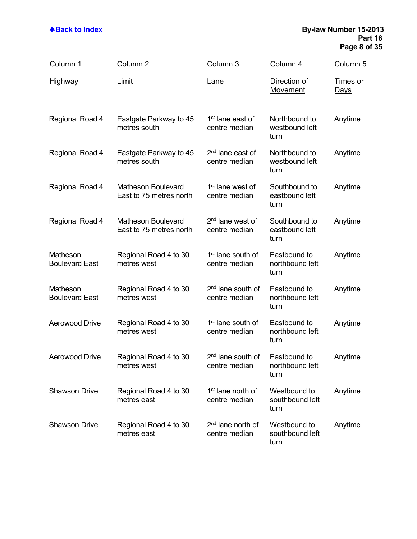### **ABack to Index By-law Number 15-2013 Part 16 Page 8 of 35**

| <u>Column 1</u>                   | Column <sub>2</sub>                                  | Column 3                                       | Column 4                                | Column 5                       |
|-----------------------------------|------------------------------------------------------|------------------------------------------------|-----------------------------------------|--------------------------------|
| <b>Highway</b>                    | Limit                                                | <u>Lane</u>                                    | Direction of<br><b>Movement</b>         | <u>Times or</u><br><u>Days</u> |
| Regional Road 4                   | Eastgate Parkway to 45<br>metres south               | 1 <sup>st</sup> lane east of<br>centre median  | Northbound to<br>westbound left<br>turn | Anytime                        |
| Regional Road 4                   | Eastgate Parkway to 45<br>metres south               | 2 <sup>nd</sup> lane east of<br>centre median  | Northbound to<br>westbound left<br>turn | Anytime                        |
| Regional Road 4                   | <b>Matheson Boulevard</b><br>East to 75 metres north | 1 <sup>st</sup> lane west of<br>centre median  | Southbound to<br>eastbound left<br>turn | Anytime                        |
| Regional Road 4                   | <b>Matheson Boulevard</b><br>East to 75 metres north | 2 <sup>nd</sup> lane west of<br>centre median  | Southbound to<br>eastbound left<br>turn | Anytime                        |
| Matheson<br><b>Boulevard East</b> | Regional Road 4 to 30<br>metres west                 | 1 <sup>st</sup> lane south of<br>centre median | Eastbound to<br>northbound left<br>turn | Anytime                        |
| Matheson<br><b>Boulevard East</b> | Regional Road 4 to 30<br>metres west                 | 2 <sup>nd</sup> lane south of<br>centre median | Eastbound to<br>northbound left<br>turn | Anytime                        |
| <b>Aerowood Drive</b>             | Regional Road 4 to 30<br>metres west                 | 1 <sup>st</sup> lane south of<br>centre median | Eastbound to<br>northbound left<br>turn | Anytime                        |
| <b>Aerowood Drive</b>             | Regional Road 4 to 30<br>metres west                 | 2 <sup>nd</sup> lane south of<br>centre median | Eastbound to<br>northbound left<br>turn | Anytime                        |
| <b>Shawson Drive</b>              | Regional Road 4 to 30<br>metres east                 | 1 <sup>st</sup> lane north of<br>centre median | Westbound to<br>southbound left<br>turn | Anytime                        |
| <b>Shawson Drive</b>              | Regional Road 4 to 30<br>metres east                 | 2 <sup>nd</sup> lane north of<br>centre median | Westbound to<br>southbound left<br>turn | Anytime                        |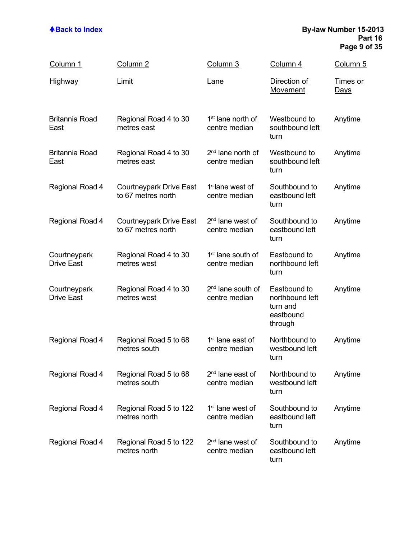### **ABack to Index By-law Number 15-2013 Part 16 Page 9 of 35**

| <u>Column 1</u>                   | Column <sub>2</sub>                                  | Column 3                                       | Column 4                                                            | Column 5                       |
|-----------------------------------|------------------------------------------------------|------------------------------------------------|---------------------------------------------------------------------|--------------------------------|
| <u>Highway</u>                    | Limit                                                | <u>Lane</u>                                    | Direction of<br><u>Movement</u>                                     | <u>Times or</u><br><u>Days</u> |
| <b>Britannia Road</b><br>East     | Regional Road 4 to 30<br>metres east                 | 1 <sup>st</sup> lane north of<br>centre median | Westbound to<br>southbound left<br>turn                             | Anytime                        |
| <b>Britannia Road</b><br>East     | Regional Road 4 to 30<br>metres east                 | 2 <sup>nd</sup> lane north of<br>centre median | Westbound to<br>southbound left<br>turn                             | Anytime                        |
| Regional Road 4                   | Courtneypark Drive East<br>to 67 metres north        | 1 <sup>st</sup> lane west of<br>centre median  | Southbound to<br>eastbound left<br>turn                             | Anytime                        |
| Regional Road 4                   | <b>Courtneypark Drive East</b><br>to 67 metres north | 2 <sup>nd</sup> lane west of<br>centre median  | Southbound to<br>eastbound left<br>turn                             | Anytime                        |
| Courtneypark<br><b>Drive East</b> | Regional Road 4 to 30<br>metres west                 | 1 <sup>st</sup> lane south of<br>centre median | Eastbound to<br>northbound left<br>turn                             | Anytime                        |
| Courtneypark<br><b>Drive East</b> | Regional Road 4 to 30<br>metres west                 | 2 <sup>nd</sup> lane south of<br>centre median | Eastbound to<br>northbound left<br>turn and<br>eastbound<br>through | Anytime                        |
| Regional Road 4                   | Regional Road 5 to 68<br>metres south                | 1 <sup>st</sup> lane east of<br>centre median  | Northbound to<br>westbound left<br>turn                             | Anytime                        |
| Regional Road 4                   | Regional Road 5 to 68<br>metres south                | 2 <sup>nd</sup> lane east of<br>centre median  | Northbound to<br>westbound left<br>turn                             | Anytime                        |
| Regional Road 4                   | Regional Road 5 to 122<br>metres north               | 1 <sup>st</sup> lane west of<br>centre median  | Southbound to<br>eastbound left<br>turn                             | Anytime                        |
| Regional Road 4                   | Regional Road 5 to 122<br>metres north               | 2 <sup>nd</sup> lane west of<br>centre median  | Southbound to<br>eastbound left<br>turn                             | Anytime                        |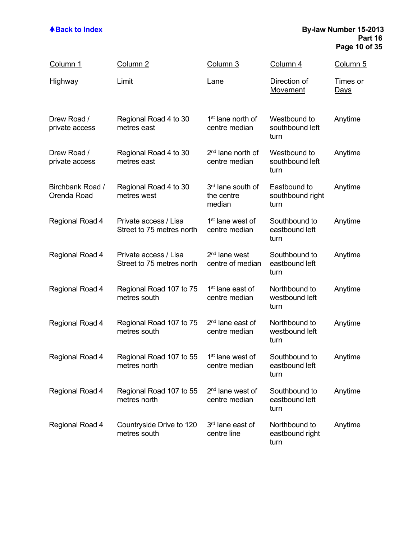### **ABack to Index By-law Number 15-2013 Part 16 Page 10 of 35**

| Column 1                        | Column <sub>2</sub>                                | Column 3                                       | Column 4                                 | Column 5                       |
|---------------------------------|----------------------------------------------------|------------------------------------------------|------------------------------------------|--------------------------------|
| <u>Highway</u>                  | <b>Limit</b>                                       | <u>Lane</u>                                    | Direction of<br>Movement                 | <u>Times or</u><br><u>Days</u> |
| Drew Road /<br>private access   | Regional Road 4 to 30<br>metres east               | 1 <sup>st</sup> lane north of<br>centre median | Westbound to<br>southbound left<br>turn  | Anytime                        |
| Drew Road /<br>private access   | Regional Road 4 to 30<br>metres east               | 2 <sup>nd</sup> lane north of<br>centre median | Westbound to<br>southbound left<br>turn  | Anytime                        |
| Birchbank Road /<br>Orenda Road | Regional Road 4 to 30<br>metres west               | 3rd lane south of<br>the centre<br>median      | Eastbound to<br>southbound right<br>turn | Anytime                        |
| Regional Road 4                 | Private access / Lisa<br>Street to 75 metres north | 1 <sup>st</sup> lane west of<br>centre median  | Southbound to<br>eastbound left<br>turn  | Anytime                        |
| Regional Road 4                 | Private access / Lisa<br>Street to 75 metres north | 2 <sup>nd</sup> lane west<br>centre of median  | Southbound to<br>eastbound left<br>turn  | Anytime                        |
| Regional Road 4                 | Regional Road 107 to 75<br>metres south            | 1 <sup>st</sup> lane east of<br>centre median  | Northbound to<br>westbound left<br>turn  | Anytime                        |
| Regional Road 4                 | Regional Road 107 to 75<br>metres south            | 2 <sup>nd</sup> lane east of<br>centre median  | Northbound to<br>westbound left<br>turn  | Anytime                        |
| Regional Road 4                 | Regional Road 107 to 55<br>metres north            | 1 <sup>st</sup> lane west of<br>centre median  | Southbound to<br>eastbound left<br>turn  | Anytime                        |
| Regional Road 4                 | Regional Road 107 to 55<br>metres north            | 2 <sup>nd</sup> lane west of<br>centre median  | Southbound to<br>eastbound left<br>turn  | Anytime                        |
| Regional Road 4                 | Countryside Drive to 120<br>metres south           | 3rd lane east of<br>centre line                | Northbound to<br>eastbound right<br>turn | Anytime                        |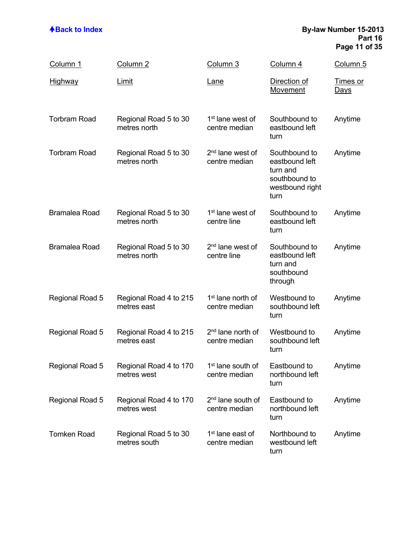### **ABack to Index By-law Number 15-2013 Part 16 Page 11 of 35**

| <u>Column 1</u>      | Column <sub>2</sub>                   | Column 3                                       | Column 4                                                                                | <u>Column 5</u>                |
|----------------------|---------------------------------------|------------------------------------------------|-----------------------------------------------------------------------------------------|--------------------------------|
| <u>Highway</u>       | <b>Limit</b>                          | <u>Lane</u>                                    | Direction of<br>Movement                                                                | <u>Times or</u><br><u>Days</u> |
| <b>Torbram Road</b>  | Regional Road 5 to 30<br>metres north | 1 <sup>st</sup> lane west of<br>centre median  | Southbound to<br>eastbound left<br>turn                                                 | Anytime                        |
| <b>Torbram Road</b>  | Regional Road 5 to 30<br>metres north | 2 <sup>nd</sup> lane west of<br>centre median  | Southbound to<br>eastbound left<br>turn and<br>southbound to<br>westbound right<br>turn | Anytime                        |
| <b>Bramalea Road</b> | Regional Road 5 to 30<br>metres north | 1 <sup>st</sup> lane west of<br>centre line    | Southbound to<br>eastbound left<br>turn                                                 | Anytime                        |
| <b>Bramalea Road</b> | Regional Road 5 to 30<br>metres north | 2 <sup>nd</sup> lane west of<br>centre line    | Southbound to<br>eastbound left<br>turn and<br>southbound<br>through                    | Anytime                        |
| Regional Road 5      | Regional Road 4 to 215<br>metres east | 1 <sup>st</sup> lane north of<br>centre median | Westbound to<br>southbound left<br>turn                                                 | Anytime                        |
| Regional Road 5      | Regional Road 4 to 215<br>metres east | 2 <sup>nd</sup> lane north of<br>centre median | Westbound to<br>southbound left<br>turn                                                 | Anytime                        |
| Regional Road 5      | Regional Road 4 to 170<br>metres west | 1 <sup>st</sup> lane south of<br>centre median | Eastbound to<br>northbound left<br>turn                                                 | Anytime                        |
| Regional Road 5      | Regional Road 4 to 170<br>metres west | 2 <sup>nd</sup> lane south of<br>centre median | Eastbound to<br>northbound left<br>turn                                                 | Anytime                        |
| <b>Tomken Road</b>   | Regional Road 5 to 30<br>metres south | 1 <sup>st</sup> lane east of<br>centre median  | Northbound to<br>westbound left<br>turn                                                 | Anytime                        |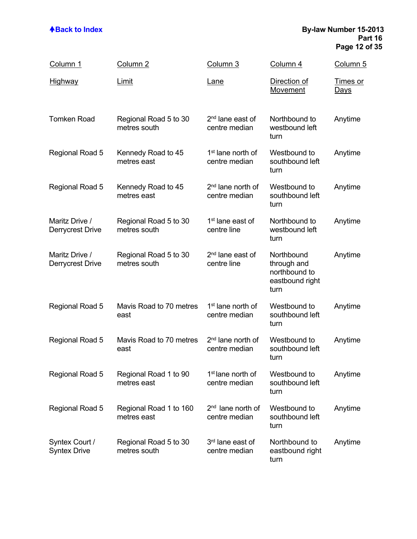### **ABack to Index By-law Number 15-2013 Part 16 Page 12 of 35**

| <u>Column 1</u>                           | Column 2                              | Column 3                                       | Column 4                                                              | Column 5                       |
|-------------------------------------------|---------------------------------------|------------------------------------------------|-----------------------------------------------------------------------|--------------------------------|
| <u>Highway</u>                            | <b>Limit</b>                          | <u>Lane</u>                                    | Direction of<br>Movement                                              | <u>Times or</u><br><u>Days</u> |
| <b>Tomken Road</b>                        | Regional Road 5 to 30<br>metres south | 2 <sup>nd</sup> lane east of<br>centre median  | Northbound to<br>westbound left<br>turn                               | Anytime                        |
| Regional Road 5                           | Kennedy Road to 45<br>metres east     | 1 <sup>st</sup> lane north of<br>centre median | Westbound to<br>southbound left<br>turn                               | Anytime                        |
| Regional Road 5                           | Kennedy Road to 45<br>metres east     | 2 <sup>nd</sup> lane north of<br>centre median | Westbound to<br>southbound left<br>turn                               | Anytime                        |
| Maritz Drive /<br><b>Derrycrest Drive</b> | Regional Road 5 to 30<br>metres south | 1 <sup>st</sup> lane east of<br>centre line    | Northbound to<br>westbound left<br>turn                               | Anytime                        |
| Maritz Drive /<br><b>Derrycrest Drive</b> | Regional Road 5 to 30<br>metres south | 2 <sup>nd</sup> lane east of<br>centre line    | Northbound<br>through and<br>northbound to<br>eastbound right<br>turn | Anytime                        |
| Regional Road 5                           | Mavis Road to 70 metres<br>east       | 1 <sup>st</sup> lane north of<br>centre median | Westbound to<br>southbound left<br>turn                               | Anytime                        |
| Regional Road 5                           | Mavis Road to 70 metres<br>east       | 2 <sup>nd</sup> lane north of<br>centre median | Westbound to<br>southbound left<br>turn                               | Anytime                        |
| Regional Road 5                           | Regional Road 1 to 90<br>metres east  | 1 <sup>st</sup> lane north of<br>centre median | Westbound to<br>southbound left<br>turn                               | Anytime                        |
| Regional Road 5                           | Regional Road 1 to 160<br>metres east | 2 <sup>nd</sup> lane north of<br>centre median | Westbound to<br>southbound left<br>turn                               | Anytime                        |
| Syntex Court /<br><b>Syntex Drive</b>     | Regional Road 5 to 30<br>metres south | 3 <sup>rd</sup> lane east of<br>centre median  | Northbound to<br>eastbound right<br>turn                              | Anytime                        |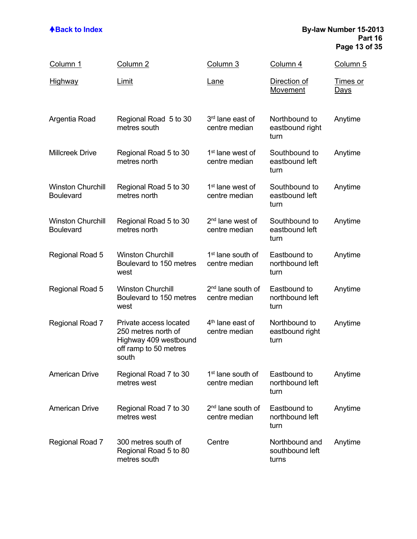### **Back to Index By-law Number 15-2013 Part 16 Page 13 of 35**

| Column 1                                     | Column 2                                                                                                 | Column 3                                       | Column 4                                   | Column 5                       |
|----------------------------------------------|----------------------------------------------------------------------------------------------------------|------------------------------------------------|--------------------------------------------|--------------------------------|
| <u>Highway</u>                               | Limit                                                                                                    | <u>Lane</u>                                    | Direction of<br><b>Movement</b>            | <u>Times or</u><br><u>Days</u> |
| Argentia Road                                | Regional Road 5 to 30<br>metres south                                                                    | 3 <sup>rd</sup> lane east of<br>centre median  | Northbound to<br>eastbound right<br>turn   | Anytime                        |
| <b>Millcreek Drive</b>                       | Regional Road 5 to 30<br>metres north                                                                    | 1 <sup>st</sup> lane west of<br>centre median  | Southbound to<br>eastbound left<br>turn    | Anytime                        |
| <b>Winston Churchill</b><br><b>Boulevard</b> | Regional Road 5 to 30<br>metres north                                                                    | 1 <sup>st</sup> lane west of<br>centre median  | Southbound to<br>eastbound left<br>turn    | Anytime                        |
| <b>Winston Churchill</b><br><b>Boulevard</b> | Regional Road 5 to 30<br>metres north                                                                    | 2 <sup>nd</sup> lane west of<br>centre median  | Southbound to<br>eastbound left<br>turn    | Anytime                        |
| Regional Road 5                              | <b>Winston Churchill</b><br>Boulevard to 150 metres<br>west                                              | 1 <sup>st</sup> lane south of<br>centre median | Eastbound to<br>northbound left<br>turn    | Anytime                        |
| Regional Road 5                              | <b>Winston Churchill</b><br>Boulevard to 150 metres<br>west                                              | 2 <sup>nd</sup> lane south of<br>centre median | Eastbound to<br>northbound left<br>turn    | Anytime                        |
| Regional Road 7                              | Private access located<br>250 metres north of<br>Highway 409 westbound<br>off ramp to 50 metres<br>south | 4 <sup>th</sup> lane east of<br>centre median  | Northbound to<br>eastbound right<br>turn   | Anytime                        |
| <b>American Drive</b>                        | Regional Road 7 to 30<br>metres west                                                                     | 1 <sup>st</sup> lane south of<br>centre median | Eastbound to<br>northbound left<br>turn    | Anytime                        |
| <b>American Drive</b>                        | Regional Road 7 to 30<br>metres west                                                                     | 2 <sup>nd</sup> lane south of<br>centre median | Eastbound to<br>northbound left<br>turn    | Anytime                        |
| Regional Road 7                              | 300 metres south of<br>Regional Road 5 to 80<br>metres south                                             | Centre                                         | Northbound and<br>southbound left<br>turns | Anytime                        |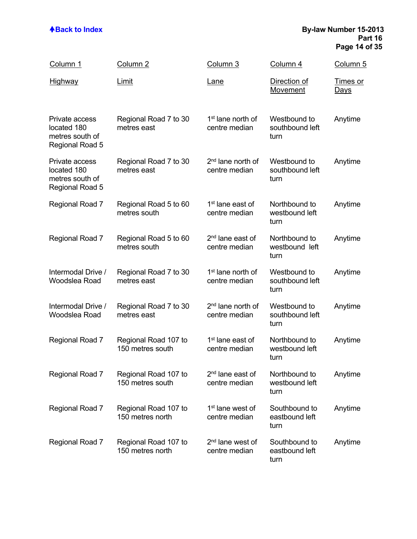### **ABack to Index By-law Number 15-2013 Part 16 Page 14 of 35**

| Column 1                                                            | Column <sub>2</sub>                      | Column 3                                       | Column 4                                | Column 5                       |
|---------------------------------------------------------------------|------------------------------------------|------------------------------------------------|-----------------------------------------|--------------------------------|
| <b>Highway</b>                                                      | Limit                                    | <u>Lane</u>                                    | Direction of<br>Movement                | <u>Times or</u><br><u>Days</u> |
| Private access<br>located 180<br>metres south of<br>Regional Road 5 | Regional Road 7 to 30<br>metres east     | 1 <sup>st</sup> lane north of<br>centre median | Westbound to<br>southbound left<br>turn | Anytime                        |
| Private access<br>located 180<br>metres south of<br>Regional Road 5 | Regional Road 7 to 30<br>metres east     | 2 <sup>nd</sup> lane north of<br>centre median | Westbound to<br>southbound left<br>turn | Anytime                        |
| Regional Road 7                                                     | Regional Road 5 to 60<br>metres south    | 1 <sup>st</sup> lane east of<br>centre median  | Northbound to<br>westbound left<br>turn | Anytime                        |
| Regional Road 7                                                     | Regional Road 5 to 60<br>metres south    | 2 <sup>nd</sup> lane east of<br>centre median  | Northbound to<br>westbound left<br>turn | Anytime                        |
| Intermodal Drive /<br>Woodslea Road                                 | Regional Road 7 to 30<br>metres east     | 1 <sup>st</sup> lane north of<br>centre median | Westbound to<br>southbound left<br>turn | Anytime                        |
| Intermodal Drive /<br>Woodslea Road                                 | Regional Road 7 to 30<br>metres east     | 2 <sup>nd</sup> lane north of<br>centre median | Westbound to<br>southbound left<br>turn | Anytime                        |
| Regional Road 7                                                     | Regional Road 107 to<br>150 metres south | 1 <sup>st</sup> lane east of<br>centre median  | Northbound to<br>westbound left<br>turn | Anytime                        |
| Regional Road 7                                                     | Regional Road 107 to<br>150 metres south | 2 <sup>nd</sup> lane east of<br>centre median  | Northbound to<br>westbound left<br>turn | Anytime                        |
| Regional Road 7                                                     | Regional Road 107 to<br>150 metres north | 1 <sup>st</sup> lane west of<br>centre median  | Southbound to<br>eastbound left<br>turn | Anytime                        |
| Regional Road 7                                                     | Regional Road 107 to<br>150 metres north | 2 <sup>nd</sup> lane west of<br>centre median  | Southbound to<br>eastbound left<br>turn | Anytime                        |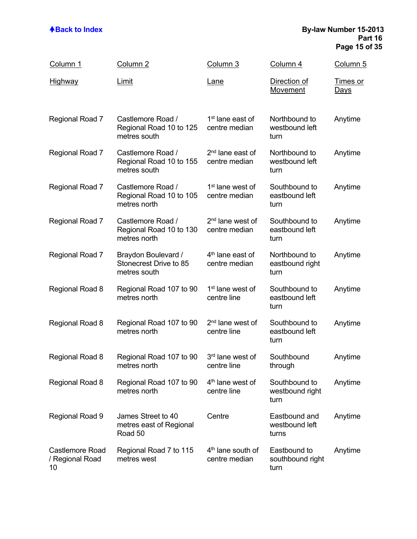### **ABack to Index By-law Number 15-2013 Part 16 Page 15 of 35**

| Column 1                                        | Column <sub>2</sub>                                           | Column 3                                       | Column 4                                 | Column 5                       |
|-------------------------------------------------|---------------------------------------------------------------|------------------------------------------------|------------------------------------------|--------------------------------|
| <b>Highway</b>                                  | Limit                                                         | <u>Lane</u>                                    | Direction of<br>Movement                 | <u>Times or</u><br><u>Days</u> |
| Regional Road 7                                 | Castlemore Road /<br>Regional Road 10 to 125<br>metres south  | 1 <sup>st</sup> lane east of<br>centre median  | Northbound to<br>westbound left<br>turn  | Anytime                        |
| Regional Road 7                                 | Castlemore Road /<br>Regional Road 10 to 155<br>metres south  | 2 <sup>nd</sup> lane east of<br>centre median  | Northbound to<br>westbound left<br>turn  | Anytime                        |
| Regional Road 7                                 | Castlemore Road /<br>Regional Road 10 to 105<br>metres north  | 1 <sup>st</sup> lane west of<br>centre median  | Southbound to<br>eastbound left<br>turn  | Anytime                        |
| Regional Road 7                                 | Castlemore Road /<br>Regional Road 10 to 130<br>metres north  | 2 <sup>nd</sup> lane west of<br>centre median  | Southbound to<br>eastbound left<br>turn  | Anytime                        |
| Regional Road 7                                 | Braydon Boulevard /<br>Stonecrest Drive to 85<br>metres south | 4 <sup>th</sup> lane east of<br>centre median  | Northbound to<br>eastbound right<br>turn | Anytime                        |
| Regional Road 8                                 | Regional Road 107 to 90<br>metres north                       | 1 <sup>st</sup> lane west of<br>centre line    | Southbound to<br>eastbound left<br>turn  | Anytime                        |
| Regional Road 8                                 | Regional Road 107 to 90<br>metres north                       | 2 <sup>nd</sup> lane west of<br>centre line    | Southbound to<br>eastbound left<br>turn  | Anytime                        |
| <b>Regional Road 8</b>                          | Regional Road 107 to 90<br>metres north                       | 3rd lane west of<br>centre line                | Southbound<br>through                    | Anytime                        |
| Regional Road 8                                 | Regional Road 107 to 90<br>metres north                       | 4 <sup>th</sup> lane west of<br>centre line    | Southbound to<br>westbound right<br>turn | Anytime                        |
| Regional Road 9                                 | James Street to 40<br>metres east of Regional<br>Road 50      | Centre                                         | Eastbound and<br>westbound left<br>turns | Anytime                        |
| <b>Castlemore Road</b><br>/ Regional Road<br>10 | Regional Road 7 to 115<br>metres west                         | 4 <sup>th</sup> lane south of<br>centre median | Eastbound to<br>southbound right<br>turn | Anytime                        |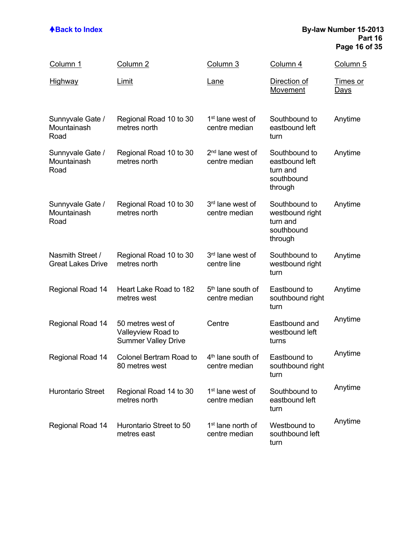### **Back to Index By-law Number 15-2013 Part 16 Page 16 of 35**

| Column 1                                     | Column <sub>2</sub>                                                   | Column 3                                       | Column 4                                                              | Column 5                       |
|----------------------------------------------|-----------------------------------------------------------------------|------------------------------------------------|-----------------------------------------------------------------------|--------------------------------|
| <u>Highway</u>                               | Limit                                                                 | <u>Lane</u>                                    | Direction of<br>Movement                                              | <u>Times or</u><br><u>Days</u> |
| Sunnyvale Gate /<br>Mountainash<br>Road      | Regional Road 10 to 30<br>metres north                                | 1 <sup>st</sup> lane west of<br>centre median  | Southbound to<br>eastbound left<br>turn                               | Anytime                        |
| Sunnyvale Gate /<br>Mountainash<br>Road      | Regional Road 10 to 30<br>metres north                                | 2 <sup>nd</sup> lane west of<br>centre median  | Southbound to<br>eastbound left<br>turn and<br>southbound<br>through  | Anytime                        |
| Sunnyvale Gate /<br>Mountainash<br>Road      | Regional Road 10 to 30<br>metres north                                | 3rd lane west of<br>centre median              | Southbound to<br>westbound right<br>turn and<br>southbound<br>through | Anytime                        |
| Nasmith Street /<br><b>Great Lakes Drive</b> | Regional Road 10 to 30<br>metres north                                | 3 <sup>rd</sup> lane west of<br>centre line    | Southbound to<br>westbound right<br>turn                              | Anytime                        |
| Regional Road 14                             | Heart Lake Road to 182<br>metres west                                 | 5 <sup>th</sup> lane south of<br>centre median | Eastbound to<br>southbound right<br>turn                              | Anytime                        |
| Regional Road 14                             | 50 metres west of<br>Valleyview Road to<br><b>Summer Valley Drive</b> | Centre                                         | Eastbound and<br>westbound left<br>turns                              | Anytime                        |
| <b>Regional Road 14</b>                      | <b>Colonel Bertram Road to</b><br>80 metres west                      | 4 <sup>th</sup> lane south of<br>centre median | Eastbound to<br>southbound right<br>turn                              | Anytime                        |
| <b>Hurontario Street</b>                     | Regional Road 14 to 30<br>metres north                                | 1 <sup>st</sup> lane west of<br>centre median  | Southbound to<br>eastbound left<br>turn                               | Anytime                        |
| Regional Road 14                             | Hurontario Street to 50<br>metres east                                | 1 <sup>st</sup> lane north of<br>centre median | Westbound to<br>southbound left<br>turn                               | Anytime                        |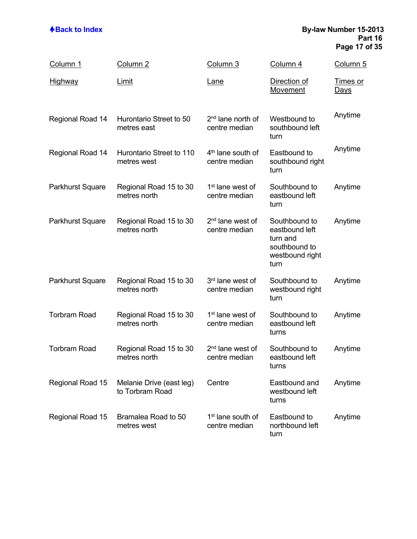### **ABack to Index By-law Number 15-2013 Part 16 Page 17 of 35**

| Column 1                | Column 2                                    | Column 3                                       | Column 4                                                                                | Column 5                       |
|-------------------------|---------------------------------------------|------------------------------------------------|-----------------------------------------------------------------------------------------|--------------------------------|
| <u>Highway</u>          | <u>Limit</u>                                | <u>Lane</u>                                    | Direction of<br>Movement                                                                | <u>Times or</u><br><u>Days</u> |
| Regional Road 14        | Hurontario Street to 50<br>metres east      | 2 <sup>nd</sup> lane north of<br>centre median | Westbound to<br>southbound left<br>turn                                                 | Anytime                        |
| Regional Road 14        | Hurontario Street to 110<br>metres west     | 4 <sup>th</sup> lane south of<br>centre median | Eastbound to<br>southbound right<br>turn                                                | Anytime                        |
| Parkhurst Square        | Regional Road 15 to 30<br>metres north      | 1 <sup>st</sup> lane west of<br>centre median  | Southbound to<br>eastbound left<br>turn                                                 | Anytime                        |
| Parkhurst Square        | Regional Road 15 to 30<br>metres north      | 2 <sup>nd</sup> lane west of<br>centre median  | Southbound to<br>eastbound left<br>turn and<br>southbound to<br>westbound right<br>turn | Anytime                        |
| <b>Parkhurst Square</b> | Regional Road 15 to 30<br>metres north      | 3rd lane west of<br>centre median              | Southbound to<br>westbound right<br>turn                                                | Anytime                        |
| <b>Torbram Road</b>     | Regional Road 15 to 30<br>metres north      | 1 <sup>st</sup> lane west of<br>centre median  | Southbound to<br>eastbound left<br>turns                                                | Anytime                        |
| <b>Torbram Road</b>     | Regional Road 15 to 30<br>metres north      | 2 <sup>nd</sup> lane west of<br>centre median  | Southbound to<br>eastbound left<br>turns                                                | Anytime                        |
| Regional Road 15        | Melanie Drive (east leg)<br>to Torbram Road | Centre                                         | Eastbound and<br>westbound left<br>turns                                                | Anytime                        |
| Regional Road 15        | Bramalea Road to 50<br>metres west          | 1 <sup>st</sup> lane south of<br>centre median | Eastbound to<br>northbound left<br>turn                                                 | Anytime                        |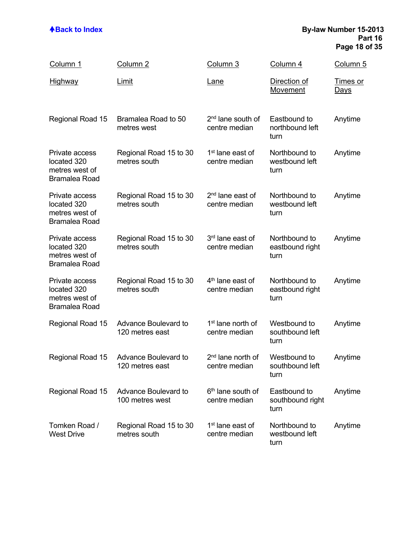### **ABack to Index By-law Number 15-2013 Part 16 Page 18 of 35**

| Column 1                                                                | Column <sub>2</sub>                            | Column 3                                       | Column 4                                 | Column 5                       |
|-------------------------------------------------------------------------|------------------------------------------------|------------------------------------------------|------------------------------------------|--------------------------------|
| <u>Highway</u>                                                          | <u>Limit</u>                                   | <u>Lane</u>                                    | Direction of<br><b>Movement</b>          | <u>Times or</u><br><u>Days</u> |
| Regional Road 15                                                        | Bramalea Road to 50<br>metres west             | 2 <sup>nd</sup> lane south of<br>centre median | Eastbound to<br>northbound left<br>turn  | Anytime                        |
| Private access<br>located 320<br>metres west of<br><b>Bramalea Road</b> | Regional Road 15 to 30<br>metres south         | 1 <sup>st</sup> lane east of<br>centre median  | Northbound to<br>westbound left<br>turn  | Anytime                        |
| Private access<br>located 320<br>metres west of<br><b>Bramalea Road</b> | Regional Road 15 to 30<br>metres south         | 2 <sup>nd</sup> lane east of<br>centre median  | Northbound to<br>westbound left<br>turn  | Anytime                        |
| Private access<br>located 320<br>metres west of<br><b>Bramalea Road</b> | Regional Road 15 to 30<br>metres south         | 3 <sup>rd</sup> lane east of<br>centre median  | Northbound to<br>eastbound right<br>turn | Anytime                        |
| Private access<br>located 320<br>metres west of<br><b>Bramalea Road</b> | Regional Road 15 to 30<br>metres south         | 4 <sup>th</sup> lane east of<br>centre median  | Northbound to<br>eastbound right<br>turn | Anytime                        |
| Regional Road 15                                                        | Advance Boulevard to<br>120 metres east        | 1 <sup>st</sup> lane north of<br>centre median | Westbound to<br>southbound left<br>turn  | Anytime                        |
| Regional Road 15                                                        | <b>Advance Boulevard to</b><br>120 metres east | 2 <sup>nd</sup> lane north of<br>centre median | Westbound to<br>southbound left<br>turn  | Anytime                        |
| Regional Road 15                                                        | Advance Boulevard to<br>100 metres west        | 6 <sup>th</sup> lane south of<br>centre median | Eastbound to<br>southbound right<br>turn | Anytime                        |
| Tomken Road /<br><b>West Drive</b>                                      | Regional Road 15 to 30<br>metres south         | 1 <sup>st</sup> lane east of<br>centre median  | Northbound to<br>westbound left<br>turn  | Anytime                        |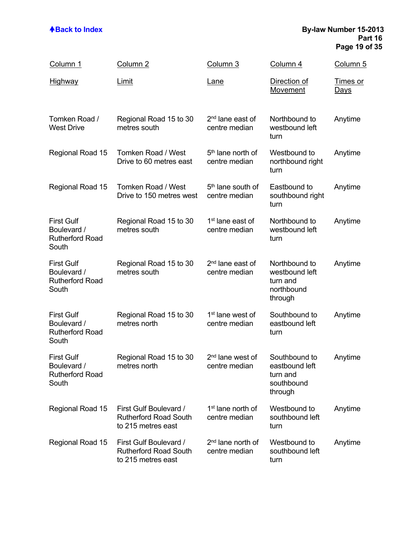### **ABack to Index By-law Number 15-2013 Part 16 Page 19 of 35**

| Column 1                                                            | Column <sub>2</sub>                                                          | Column 3                                       | Column 4                                                             | <u>Column 5</u>                |
|---------------------------------------------------------------------|------------------------------------------------------------------------------|------------------------------------------------|----------------------------------------------------------------------|--------------------------------|
| <b>Highway</b>                                                      | <b>Limit</b>                                                                 | <u>Lane</u>                                    | Direction of<br>Movement                                             | <u>Times or</u><br><u>Days</u> |
| Tomken Road /<br><b>West Drive</b>                                  | Regional Road 15 to 30<br>metres south                                       | 2 <sup>nd</sup> lane east of<br>centre median  | Northbound to<br>westbound left<br>turn                              | Anytime                        |
| Regional Road 15                                                    | <b>Tomken Road / West</b><br>Drive to 60 metres east                         | 5 <sup>th</sup> lane north of<br>centre median | Westbound to<br>northbound right<br>turn                             | Anytime                        |
| Regional Road 15                                                    | Tomken Road / West<br>Drive to 150 metres west                               | 5 <sup>th</sup> lane south of<br>centre median | Eastbound to<br>southbound right<br>turn                             | Anytime                        |
| <b>First Gulf</b><br>Boulevard /<br><b>Rutherford Road</b><br>South | Regional Road 15 to 30<br>metres south                                       | 1 <sup>st</sup> lane east of<br>centre median  | Northbound to<br>westbound left<br>turn                              | Anytime                        |
| <b>First Gulf</b><br>Boulevard /<br><b>Rutherford Road</b><br>South | Regional Road 15 to 30<br>metres south                                       | 2 <sup>nd</sup> lane east of<br>centre median  | Northbound to<br>westbound left<br>turn and<br>northbound<br>through | Anytime                        |
| <b>First Gulf</b><br>Boulevard /<br><b>Rutherford Road</b><br>South | Regional Road 15 to 30<br>metres north                                       | 1 <sup>st</sup> lane west of<br>centre median  | Southbound to<br>eastbound left<br>turn                              | Anytime                        |
| <b>First Gulf</b><br>Boulevard /<br><b>Rutherford Road</b><br>South | Regional Road 15 to 30<br>metres north                                       | 2 <sup>nd</sup> lane west of<br>centre median  | Southbound to<br>eastbound left<br>turn and<br>southbound<br>through | Anytime                        |
| Regional Road 15                                                    | First Gulf Boulevard /<br><b>Rutherford Road South</b><br>to 215 metres east | 1 <sup>st</sup> lane north of<br>centre median | Westbound to<br>southbound left<br>turn                              | Anytime                        |
| Regional Road 15                                                    | First Gulf Boulevard /<br><b>Rutherford Road South</b><br>to 215 metres east | 2 <sup>nd</sup> lane north of<br>centre median | Westbound to<br>southbound left<br>turn                              | Anytime                        |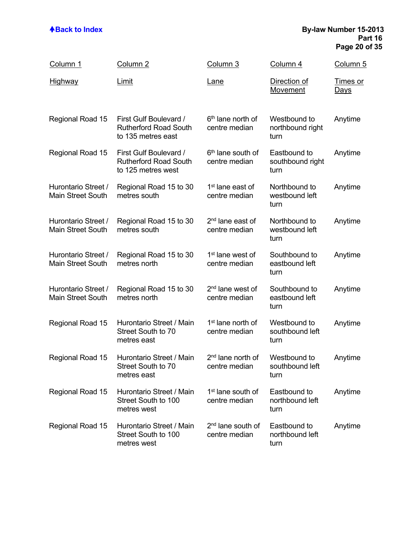### **ABack to Index By-law Number 15-2013 Part 16 Page 20 of 35**

| Column 1                                        | Column <sub>2</sub>                                                          | Column 3                                       | Column 4                                 | Column 5                       |
|-------------------------------------------------|------------------------------------------------------------------------------|------------------------------------------------|------------------------------------------|--------------------------------|
| <b>Highway</b>                                  | Limit                                                                        | <u>Lane</u>                                    | Direction of<br>Movement                 | <b>Times or</b><br><u>Days</u> |
| Regional Road 15                                | First Gulf Boulevard /<br><b>Rutherford Road South</b><br>to 135 metres east | 6 <sup>th</sup> lane north of<br>centre median | Westbound to<br>northbound right<br>turn | Anytime                        |
| Regional Road 15                                | First Gulf Boulevard /<br><b>Rutherford Road South</b><br>to 125 metres west | 6 <sup>th</sup> lane south of<br>centre median | Eastbound to<br>southbound right<br>turn | Anytime                        |
| Hurontario Street /<br>Main Street South        | Regional Road 15 to 30<br>metres south                                       | 1 <sup>st</sup> lane east of<br>centre median  | Northbound to<br>westbound left<br>turn  | Anytime                        |
| Hurontario Street /<br><b>Main Street South</b> | Regional Road 15 to 30<br>metres south                                       | 2 <sup>nd</sup> lane east of<br>centre median  | Northbound to<br>westbound left<br>turn  | Anytime                        |
| Hurontario Street /<br><b>Main Street South</b> | Regional Road 15 to 30<br>metres north                                       | 1 <sup>st</sup> lane west of<br>centre median  | Southbound to<br>eastbound left<br>turn  | Anytime                        |
| Hurontario Street /<br>Main Street South        | Regional Road 15 to 30<br>metres north                                       | 2 <sup>nd</sup> lane west of<br>centre median  | Southbound to<br>eastbound left<br>turn  | Anytime                        |
| Regional Road 15                                | Hurontario Street / Main<br>Street South to 70<br>metres east                | 1 <sup>st</sup> lane north of<br>centre median | Westbound to<br>southbound left<br>turn  | Anytime                        |
| Regional Road 15                                | Hurontario Street / Main<br>Street South to 70<br>metres east                | 2 <sup>nd</sup> lane north of<br>centre median | Westbound to<br>southbound left<br>turn  | Anytime                        |
| Regional Road 15                                | Hurontario Street / Main<br>Street South to 100<br>metres west               | 1 <sup>st</sup> lane south of<br>centre median | Eastbound to<br>northbound left<br>turn  | Anytime                        |
| Regional Road 15                                | Hurontario Street / Main<br>Street South to 100<br>metres west               | 2 <sup>nd</sup> lane south of<br>centre median | Eastbound to<br>northbound left<br>turn  | Anytime                        |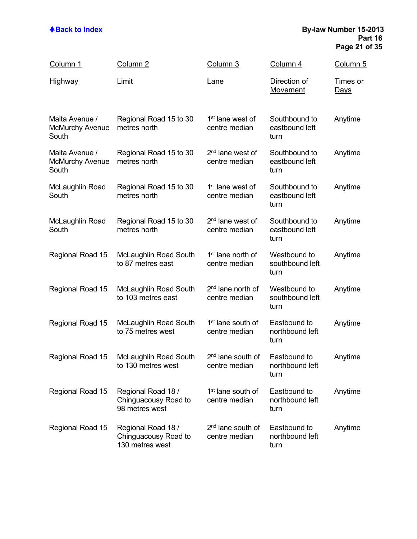### **ABack to Index By-law Number 15-2013 Part 16 Page 21 of 35**

| Column 1                                          | Column <sub>2</sub>                                           | Column 3                                       | Column 4                                | <u>Column 5</u>                |
|---------------------------------------------------|---------------------------------------------------------------|------------------------------------------------|-----------------------------------------|--------------------------------|
| <u>Highway</u>                                    | <b>Limit</b>                                                  | <u>Lane</u>                                    | Direction of<br>Movement                | <u>Times or</u><br><u>Days</u> |
| Malta Avenue /<br><b>McMurchy Avenue</b><br>South | Regional Road 15 to 30<br>metres north                        | 1 <sup>st</sup> lane west of<br>centre median  | Southbound to<br>eastbound left<br>turn | Anytime                        |
| Malta Avenue /<br><b>McMurchy Avenue</b><br>South | Regional Road 15 to 30<br>metres north                        | 2 <sup>nd</sup> lane west of<br>centre median  | Southbound to<br>eastbound left<br>turn | Anytime                        |
| McLaughlin Road<br>South                          | Regional Road 15 to 30<br>metres north                        | 1 <sup>st</sup> lane west of<br>centre median  | Southbound to<br>eastbound left<br>turn | Anytime                        |
| McLaughlin Road<br>South                          | Regional Road 15 to 30<br>metres north                        | 2 <sup>nd</sup> lane west of<br>centre median  | Southbound to<br>eastbound left<br>turn | Anytime                        |
| Regional Road 15                                  | <b>McLaughlin Road South</b><br>to 87 metres east             | 1 <sup>st</sup> lane north of<br>centre median | Westbound to<br>southbound left<br>turn | Anytime                        |
| Regional Road 15                                  | <b>McLaughlin Road South</b><br>to 103 metres east            | 2 <sup>nd</sup> lane north of<br>centre median | Westbound to<br>southbound left<br>turn | Anytime                        |
| Regional Road 15                                  | <b>McLaughlin Road South</b><br>to 75 metres west             | 1 <sup>st</sup> lane south of<br>centre median | Eastbound to<br>northbound left<br>turn | Anytime                        |
| Regional Road 15                                  | <b>McLaughlin Road South</b><br>to 130 metres west            | 2 <sup>nd</sup> lane south of<br>centre median | Eastbound to<br>northbound left<br>turn | Anytime                        |
| Regional Road 15                                  | Regional Road 18 /<br>Chinguacousy Road to<br>98 metres west  | 1 <sup>st</sup> lane south of<br>centre median | Eastbound to<br>northbound left<br>turn | Anytime                        |
| Regional Road 15                                  | Regional Road 18 /<br>Chinguacousy Road to<br>130 metres west | 2 <sup>nd</sup> lane south of<br>centre median | Eastbound to<br>northbound left<br>turn | Anytime                        |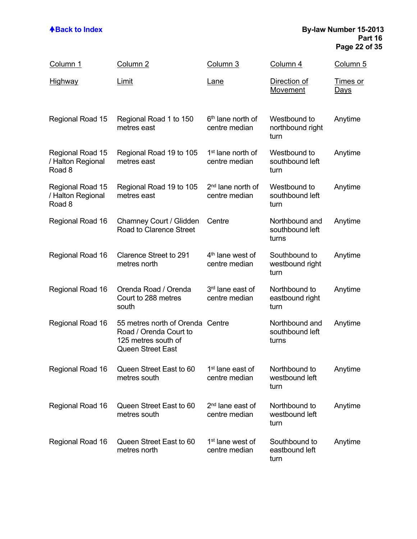### **ABack to Index By-law Number 15-2013 Part 16 Page 22 of 35**

| Column 1                                        | Column 2                                                                                                      | Column 3                                       | Column 4                                   | <u>Column 5</u>         |
|-------------------------------------------------|---------------------------------------------------------------------------------------------------------------|------------------------------------------------|--------------------------------------------|-------------------------|
| Highway                                         | <u>Limit</u>                                                                                                  | <u>Lane</u>                                    | Direction of<br>Movement                   | Times or<br><u>Days</u> |
| Regional Road 15                                | Regional Road 1 to 150<br>metres east                                                                         | 6 <sup>th</sup> lane north of<br>centre median | Westbound to<br>northbound right<br>turn   | Anytime                 |
| Regional Road 15<br>/ Halton Regional<br>Road 8 | Regional Road 19 to 105<br>metres east                                                                        | 1 <sup>st</sup> lane north of<br>centre median | Westbound to<br>southbound left<br>turn    | Anytime                 |
| Regional Road 15<br>/ Halton Regional<br>Road 8 | Regional Road 19 to 105<br>metres east                                                                        | 2 <sup>nd</sup> lane north of<br>centre median | Westbound to<br>southbound left<br>turn    | Anytime                 |
| Regional Road 16                                | Chamney Court / Glidden<br>Road to Clarence Street                                                            | Centre                                         | Northbound and<br>southbound left<br>turns | Anytime                 |
| Regional Road 16                                | <b>Clarence Street to 291</b><br>metres north                                                                 | 4 <sup>th</sup> lane west of<br>centre median  | Southbound to<br>westbound right<br>turn   | Anytime                 |
| Regional Road 16                                | Orenda Road / Orenda<br>Court to 288 metres<br>south                                                          | 3 <sup>rd</sup> lane east of<br>centre median  | Northbound to<br>eastbound right<br>turn   | Anytime                 |
| Regional Road 16                                | 55 metres north of Orenda Centre<br>Road / Orenda Court to<br>125 metres south of<br><b>Queen Street East</b> |                                                | Northbound and<br>southbound left<br>turns | Anytime                 |
| Regional Road 16                                | Queen Street East to 60<br>metres south                                                                       | 1 <sup>st</sup> lane east of<br>centre median  | Northbound to<br>westbound left<br>turn    | Anytime                 |
| Regional Road 16                                | Queen Street East to 60<br>metres south                                                                       | 2 <sup>nd</sup> lane east of<br>centre median  | Northbound to<br>westbound left<br>turn    | Anytime                 |
| Regional Road 16                                | Queen Street East to 60<br>metres north                                                                       | 1 <sup>st</sup> lane west of<br>centre median  | Southbound to<br>eastbound left<br>turn    | Anytime                 |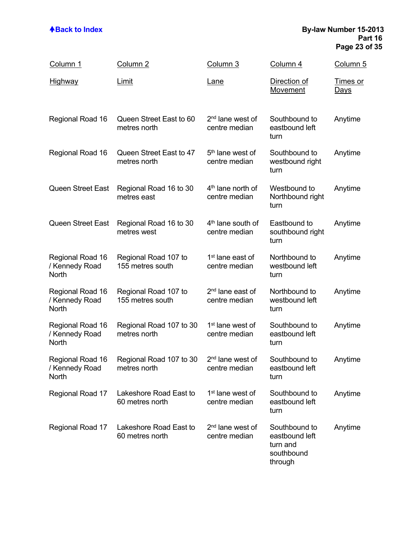### **ABack to Index By-law Number 15-2013 Part 16 Page 23 of 35**

| Column 1                                    | Column 2                                  | Column 3                                       | Column 4                                                             | Column 5                       |
|---------------------------------------------|-------------------------------------------|------------------------------------------------|----------------------------------------------------------------------|--------------------------------|
| <b>Highway</b>                              | <b>Limit</b>                              | <u>Lane</u>                                    | Direction of<br><b>Movement</b>                                      | <u>Times or</u><br><u>Days</u> |
| Regional Road 16                            | Queen Street East to 60<br>metres north   | 2 <sup>nd</sup> lane west of<br>centre median  | Southbound to<br>eastbound left<br>turn                              | Anytime                        |
| Regional Road 16                            | Queen Street East to 47<br>metres north   | 5 <sup>th</sup> lane west of<br>centre median  | Southbound to<br>westbound right<br>turn                             | Anytime                        |
| Queen Street East                           | Regional Road 16 to 30<br>metres east     | 4 <sup>th</sup> lane north of<br>centre median | Westbound to<br>Northbound right<br>turn                             | Anytime                        |
| Queen Street East                           | Regional Road 16 to 30<br>metres west     | $4th$ lane south of<br>centre median           | Eastbound to<br>southbound right<br>turn                             | Anytime                        |
| Regional Road 16<br>/ Kennedy Road<br>North | Regional Road 107 to<br>155 metres south  | 1 <sup>st</sup> lane east of<br>centre median  | Northbound to<br>westbound left<br>turn                              | Anytime                        |
| Regional Road 16<br>/ Kennedy Road<br>North | Regional Road 107 to<br>155 metres south  | 2 <sup>nd</sup> lane east of<br>centre median  | Northbound to<br>westbound left<br>turn                              | Anytime                        |
| Regional Road 16<br>/ Kennedy Road<br>North | Regional Road 107 to 30<br>metres north   | 1 <sup>st</sup> lane west of<br>centre median  | Southbound to<br>eastbound left<br>turn                              | Anytime                        |
| Regional Road 16<br>/ Kennedy Road<br>North | Regional Road 107 to 30<br>metres north   | 2 <sup>nd</sup> lane west of<br>centre median  | Southbound to<br>eastbound left<br>turn                              | Anytime                        |
| Regional Road 17                            | Lakeshore Road East to<br>60 metres north | 1 <sup>st</sup> lane west of<br>centre median  | Southbound to<br>eastbound left<br>turn                              | Anytime                        |
| Regional Road 17                            | Lakeshore Road East to<br>60 metres north | 2 <sup>nd</sup> lane west of<br>centre median  | Southbound to<br>eastbound left<br>turn and<br>southbound<br>through | Anytime                        |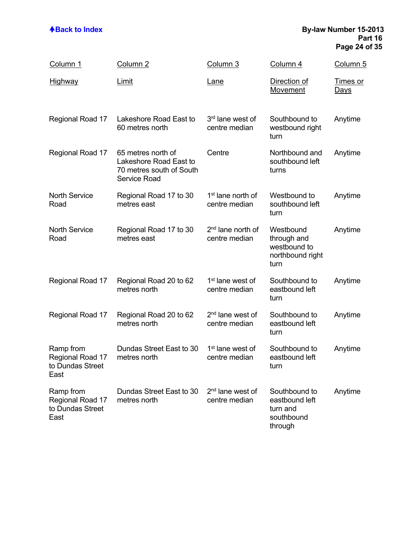### **ABack to Index By-law Number 15-2013 Part 16 Page 24 of 35**

| Column 1                                                  | Column <sub>2</sub>                                                                             | Column 3                                       | Column 4                                                             | Column 5                       |
|-----------------------------------------------------------|-------------------------------------------------------------------------------------------------|------------------------------------------------|----------------------------------------------------------------------|--------------------------------|
| <u>Highway</u>                                            | Limit                                                                                           | <u>Lane</u>                                    | Direction of<br>Movement                                             | <u>Times or</u><br><u>Days</u> |
| Regional Road 17                                          | Lakeshore Road East to<br>60 metres north                                                       | 3 <sup>rd</sup> lane west of<br>centre median  | Southbound to<br>westbound right<br>turn                             | Anytime                        |
| Regional Road 17                                          | 65 metres north of<br>Lakeshore Road East to<br>70 metres south of South<br><b>Service Road</b> | Centre                                         | Northbound and<br>southbound left<br>turns                           | Anytime                        |
| <b>North Service</b><br>Road                              | Regional Road 17 to 30<br>metres east                                                           | 1 <sup>st</sup> lane north of<br>centre median | Westbound to<br>southbound left<br>turn                              | Anytime                        |
| <b>North Service</b><br>Road                              | Regional Road 17 to 30<br>metres east                                                           | 2 <sup>nd</sup> lane north of<br>centre median | Westbound<br>through and<br>westbound to<br>northbound right<br>turn | Anytime                        |
| Regional Road 17                                          | Regional Road 20 to 62<br>metres north                                                          | 1 <sup>st</sup> lane west of<br>centre median  | Southbound to<br>eastbound left<br>turn                              | Anytime                        |
| Regional Road 17                                          | Regional Road 20 to 62<br>metres north                                                          | 2 <sup>nd</sup> lane west of<br>centre median  | Southbound to<br>eastbound left<br>turn                              | Anytime                        |
| Ramp from<br>Regional Road 17<br>to Dundas Street<br>East | Dundas Street East to 30<br>metres north                                                        | 1 <sup>st</sup> lane west of<br>centre median  | Southbound to<br>eastbound left<br>turn                              | Anytime                        |
| Ramp from<br>Regional Road 17<br>to Dundas Street<br>East | Dundas Street East to 30<br>metres north                                                        | 2 <sup>nd</sup> lane west of<br>centre median  | Southbound to<br>eastbound left<br>turn and<br>southbound<br>through | Anytime                        |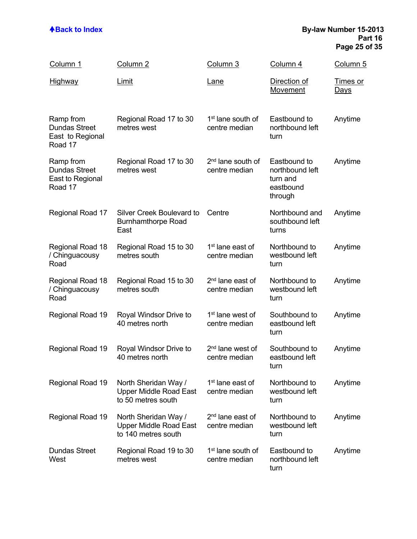### **ABack to Index By-law Number 15-2013 Part 16 Page 25 of 35**

| Column 1                                                         | Column <sub>2</sub>                                                          | Column 3                                       | Column 4                                                            | Column 5                       |
|------------------------------------------------------------------|------------------------------------------------------------------------------|------------------------------------------------|---------------------------------------------------------------------|--------------------------------|
| <u>Highway</u>                                                   | Limit                                                                        | <b>Lane</b>                                    | Direction of<br>Movement                                            | <u>Times or</u><br><u>Days</u> |
| Ramp from<br><b>Dundas Street</b><br>East to Regional<br>Road 17 | Regional Road 17 to 30<br>metres west                                        | 1 <sup>st</sup> lane south of<br>centre median | Eastbound to<br>northbound left<br>turn                             | Anytime                        |
| Ramp from<br><b>Dundas Street</b><br>East to Regional<br>Road 17 | Regional Road 17 to 30<br>metres west                                        | 2 <sup>nd</sup> lane south of<br>centre median | Eastbound to<br>northbound left<br>turn and<br>eastbound<br>through | Anytime                        |
| Regional Road 17                                                 | Silver Creek Boulevard to<br><b>Burnhamthorpe Road</b><br>East               | Centre                                         | Northbound and<br>southbound left<br>turns                          | Anytime                        |
| Regional Road 18<br>/ Chinguacousy<br>Road                       | Regional Road 15 to 30<br>metres south                                       | 1 <sup>st</sup> lane east of<br>centre median  | Northbound to<br>westbound left<br>turn                             | Anytime                        |
| Regional Road 18<br>/ Chinguacousy<br>Road                       | Regional Road 15 to 30<br>metres south                                       | 2 <sup>nd</sup> lane east of<br>centre median  | Northbound to<br>westbound left<br>turn                             | Anytime                        |
| Regional Road 19                                                 | Royal Windsor Drive to<br>40 metres north                                    | 1 <sup>st</sup> lane west of<br>centre median  | Southbound to<br>eastbound left<br>turn                             | Anytime                        |
| Regional Road 19                                                 | Royal Windsor Drive to<br>40 metres north                                    | 2 <sup>nd</sup> lane west of<br>centre median  | Southbound to<br>eastbound left<br>turn                             | Anytime                        |
| Regional Road 19                                                 | North Sheridan Way /<br><b>Upper Middle Road East</b><br>to 50 metres south  | 1 <sup>st</sup> lane east of<br>centre median  | Northbound to<br>westbound left<br>turn                             | Anytime                        |
| Regional Road 19                                                 | North Sheridan Way /<br><b>Upper Middle Road East</b><br>to 140 metres south | 2 <sup>nd</sup> lane east of<br>centre median  | Northbound to<br>westbound left<br>turn                             | Anytime                        |
| <b>Dundas Street</b><br>West                                     | Regional Road 19 to 30<br>metres west                                        | 1 <sup>st</sup> lane south of<br>centre median | Eastbound to<br>northbound left<br>turn                             | Anytime                        |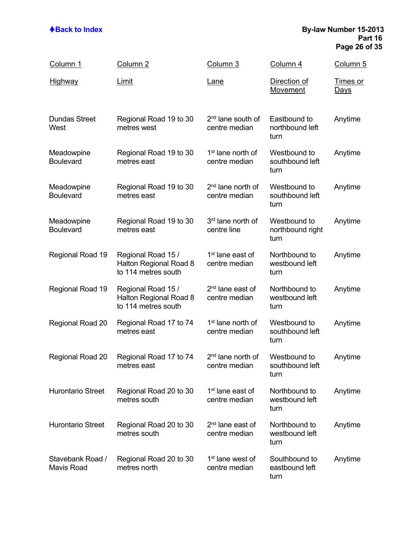### **ABack to Index By-law Number 15-2013 Part 16 Page 26 of 35**

| Column 1                       | Column <sub>2</sub>                                                 | Column 3                                       | Column 4                                 | Column 5                       |
|--------------------------------|---------------------------------------------------------------------|------------------------------------------------|------------------------------------------|--------------------------------|
| <b>Highway</b>                 | Limit                                                               | <u>Lane</u>                                    | Direction of<br>Movement                 | <b>Times or</b><br><u>Days</u> |
| <b>Dundas Street</b><br>West   | Regional Road 19 to 30<br>metres west                               | 2 <sup>nd</sup> lane south of<br>centre median | Eastbound to<br>northbound left<br>turn  | Anytime                        |
| Meadowpine<br><b>Boulevard</b> | Regional Road 19 to 30<br>metres east                               | 1 <sup>st</sup> lane north of<br>centre median | Westbound to<br>southbound left<br>turn  | Anytime                        |
| Meadowpine<br><b>Boulevard</b> | Regional Road 19 to 30<br>metres east                               | 2 <sup>nd</sup> lane north of<br>centre median | Westbound to<br>southbound left<br>turn  | Anytime                        |
| Meadowpine<br><b>Boulevard</b> | Regional Road 19 to 30<br>metres east                               | 3rd lane north of<br>centre line               | Westbound to<br>northbound right<br>turn | Anytime                        |
| Regional Road 19               | Regional Road 15 /<br>Halton Regional Road 8<br>to 114 metres south | 1 <sup>st</sup> lane east of<br>centre median  | Northbound to<br>westbound left<br>turn  | Anytime                        |
| Regional Road 19               | Regional Road 15 /<br>Halton Regional Road 8<br>to 114 metres south | 2 <sup>nd</sup> lane east of<br>centre median  | Northbound to<br>westbound left<br>turn  | Anytime                        |
| Regional Road 20               | Regional Road 17 to 74<br>metres east                               | 1 <sup>st</sup> lane north of<br>centre median | Westbound to<br>southbound left<br>turn  | Anytime                        |
| Regional Road 20               | Regional Road 17 to 74<br>metres east                               | 2 <sup>nd</sup> lane north of<br>centre median | Westbound to<br>southbound left<br>turn  | Anytime                        |
| <b>Hurontario Street</b>       | Regional Road 20 to 30<br>metres south                              | 1 <sup>st</sup> lane east of<br>centre median  | Northbound to<br>westbound left<br>turn  | Anytime                        |
| <b>Hurontario Street</b>       | Regional Road 20 to 30<br>metres south                              | 2 <sup>nd</sup> lane east of<br>centre median  | Northbound to<br>westbound left<br>turn  | Anytime                        |
| Stavebank Road /<br>Mavis Road | Regional Road 20 to 30<br>metres north                              | 1 <sup>st</sup> lane west of<br>centre median  | Southbound to<br>eastbound left<br>turn  | Anytime                        |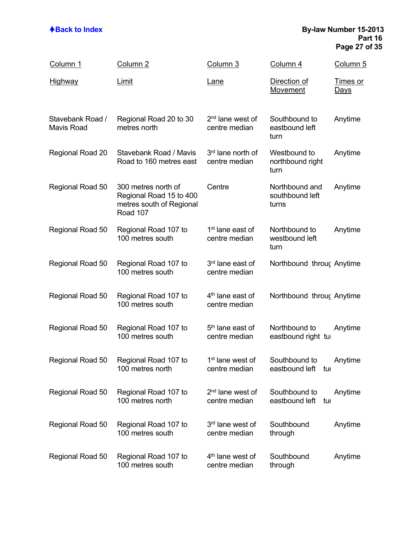### **ABack to Index By-law Number 15-2013 Part 16 Page 27 of 35**

| Column 1                              | Column 2                                                                               | Column 3                                      | Column 4                                   | Column 5                       |
|---------------------------------------|----------------------------------------------------------------------------------------|-----------------------------------------------|--------------------------------------------|--------------------------------|
| <u>Highway</u>                        | <b>Limit</b>                                                                           | Lane                                          | Direction of<br>Movement                   | <u>Times or</u><br><u>Days</u> |
| Stavebank Road /<br><b>Mavis Road</b> | Regional Road 20 to 30<br>metres north                                                 | 2 <sup>nd</sup> lane west of<br>centre median | Southbound to<br>eastbound left<br>turn    | Anytime                        |
| Regional Road 20                      | Stavebank Road / Mavis<br>Road to 160 metres east                                      | 3rd lane north of<br>centre median            | Westbound to<br>northbound right<br>turn   | Anytime                        |
| Regional Road 50                      | 300 metres north of<br>Regional Road 15 to 400<br>metres south of Regional<br>Road 107 | Centre                                        | Northbound and<br>southbound left<br>turns | Anytime                        |
| Regional Road 50                      | Regional Road 107 to<br>100 metres south                                               | 1 <sup>st</sup> lane east of<br>centre median | Northbound to<br>westbound left<br>turn    | Anytime                        |
| Regional Road 50                      | Regional Road 107 to<br>100 metres south                                               | 3rd lane east of<br>centre median             | Northbound throug Anytime                  |                                |
| Regional Road 50                      | Regional Road 107 to<br>100 metres south                                               | 4 <sup>th</sup> lane east of<br>centre median | Northbound throug Anytime                  |                                |
| Regional Road 50                      | Regional Road 107 to<br>100 metres south                                               | 5 <sup>th</sup> lane east of<br>centre median | Northbound to<br>eastbound right tu        | Anytime                        |
| Regional Road 50                      | Regional Road 107 to<br>100 metres north                                               | 1 <sup>st</sup> lane west of<br>centre median | Southbound to<br>eastbound left tul        | Anytime                        |
| Regional Road 50                      | Regional Road 107 to<br>100 metres north                                               | 2 <sup>nd</sup> lane west of<br>centre median | Southbound to<br>eastbound left<br>tuı     | Anytime                        |
| Regional Road 50                      | Regional Road 107 to<br>100 metres south                                               | 3rd lane west of<br>centre median             | Southbound<br>through                      | Anytime                        |
| Regional Road 50                      | Regional Road 107 to<br>100 metres south                                               | 4 <sup>th</sup> lane west of<br>centre median | Southbound<br>through                      | Anytime                        |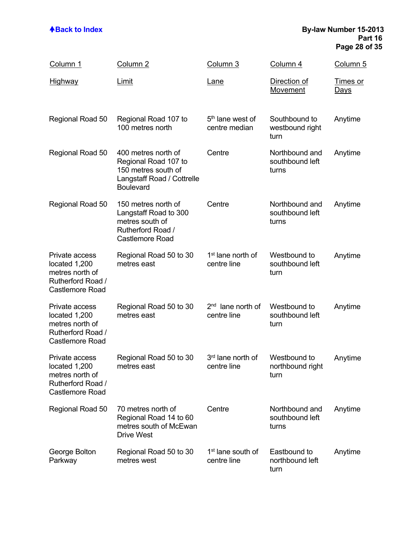### **ABack to Index By-law Number 15-2013 Part 16 Page 28 of 35**

| Column 1                                                                                          | Column <sub>2</sub>                                                                                                  | Column 3                                      | Column 4                                   | Column 5                |
|---------------------------------------------------------------------------------------------------|----------------------------------------------------------------------------------------------------------------------|-----------------------------------------------|--------------------------------------------|-------------------------|
| <u>Highway</u>                                                                                    | Limit                                                                                                                | <u>Lane</u>                                   | Direction of<br>Movement                   | Times or<br><u>Days</u> |
| Regional Road 50                                                                                  | Regional Road 107 to<br>100 metres north                                                                             | 5 <sup>th</sup> lane west of<br>centre median | Southbound to<br>westbound right<br>turn   | Anytime                 |
| Regional Road 50                                                                                  | 400 metres north of<br>Regional Road 107 to<br>150 metres south of<br>Langstaff Road / Cottrelle<br><b>Boulevard</b> | Centre                                        | Northbound and<br>southbound left<br>turns | Anytime                 |
| Regional Road 50                                                                                  | 150 metres north of<br>Langstaff Road to 300<br>metres south of<br>Rutherford Road /<br><b>Castlemore Road</b>       | Centre                                        | Northbound and<br>southbound left<br>turns | Anytime                 |
| Private access<br>located 1,200<br>metres north of<br>Rutherford Road /<br><b>Castlemore Road</b> | Regional Road 50 to 30<br>metres east                                                                                | 1 <sup>st</sup> lane north of<br>centre line  | Westbound to<br>southbound left<br>turn    | Anytime                 |
| Private access<br>located 1,200<br>metres north of<br>Rutherford Road /<br><b>Castlemore Road</b> | Regional Road 50 to 30<br>metres east                                                                                | $2nd$ lane north of<br>centre line            | Westbound to<br>southbound left<br>turn    | Anytime                 |
| Private access<br>located 1,200<br>metres north of<br>Rutherford Road /<br><b>Castlemore Road</b> | Regional Road 50 to 30<br>metres east                                                                                | 3 <sup>rd</sup> lane north of<br>centre line  | Westbound to<br>northbound right<br>turn   | Anytime                 |
| Regional Road 50                                                                                  | 70 metres north of<br>Regional Road 14 to 60<br>metres south of McEwan<br><b>Drive West</b>                          | Centre                                        | Northbound and<br>southbound left<br>turns | Anytime                 |
| George Bolton<br>Parkway                                                                          | Regional Road 50 to 30<br>metres west                                                                                | 1 <sup>st</sup> lane south of<br>centre line  | Eastbound to<br>northbound left<br>turn    | Anytime                 |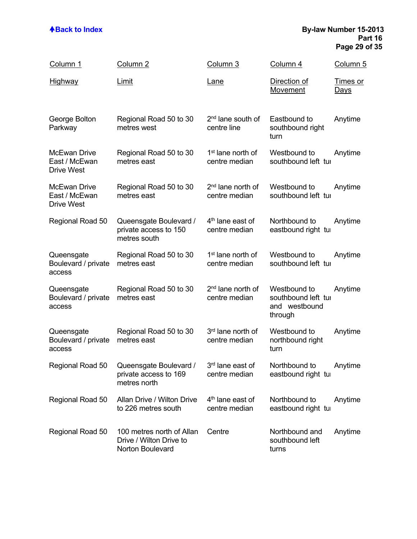### **ABack to Index By-law Number 15-2013 Part 16 Page 29 of 35**

| Column 1                                                  | Column <sub>2</sub>                                                      | Column 3                                       | Column 4                                                        | Column 5                |
|-----------------------------------------------------------|--------------------------------------------------------------------------|------------------------------------------------|-----------------------------------------------------------------|-------------------------|
| <u>Highway</u>                                            | <u>Limit</u>                                                             | <u>Lane</u>                                    | Direction of<br>Movement                                        | Times or<br><u>Days</u> |
| George Bolton<br>Parkway                                  | Regional Road 50 to 30<br>metres west                                    | 2 <sup>nd</sup> lane south of<br>centre line   | Eastbound to<br>southbound right<br>turn                        | Anytime                 |
| <b>McEwan Drive</b><br>East / McEwan<br><b>Drive West</b> | Regional Road 50 to 30<br>metres east                                    | 1 <sup>st</sup> lane north of<br>centre median | Westbound to<br>southbound left tui                             | Anytime                 |
| <b>McEwan Drive</b><br>East / McEwan<br><b>Drive West</b> | Regional Road 50 to 30<br>metres east                                    | 2 <sup>nd</sup> lane north of<br>centre median | Westbound to<br>southbound left tui                             | Anytime                 |
| Regional Road 50                                          | Queensgate Boulevard /<br>private access to 150<br>metres south          | 4 <sup>th</sup> lane east of<br>centre median  | Northbound to<br>eastbound right tur                            | Anytime                 |
| Queensgate<br>Boulevard / private<br>access               | Regional Road 50 to 30<br>metres east                                    | 1 <sup>st</sup> lane north of<br>centre median | Westbound to<br>southbound left tui                             | Anytime                 |
| Queensgate<br>Boulevard / private<br>access               | Regional Road 50 to 30<br>metres east                                    | 2 <sup>nd</sup> lane north of<br>centre median | Westbound to<br>southbound left tui<br>and westbound<br>through | Anytime                 |
| Queensgate<br>Boulevard / private<br>access               | Regional Road 50 to 30<br>metres east                                    | 3rd lane north of<br>centre median             | Westbound to<br>northbound right<br>turn                        | Anytime                 |
| Regional Road 50                                          | Queensgate Boulevard /<br>private access to 169<br>metres north          | 3 <sup>rd</sup> lane east of<br>centre median  | Northbound to<br>eastbound right tur                            | Anytime                 |
| Regional Road 50                                          | Allan Drive / Wilton Drive<br>to 226 metres south                        | 4 <sup>th</sup> lane east of<br>centre median  | Northbound to<br>eastbound right tur                            | Anytime                 |
| Regional Road 50                                          | 100 metres north of Allan<br>Drive / Wilton Drive to<br>Norton Boulevard | Centre                                         | Northbound and<br>southbound left<br>turns                      | Anytime                 |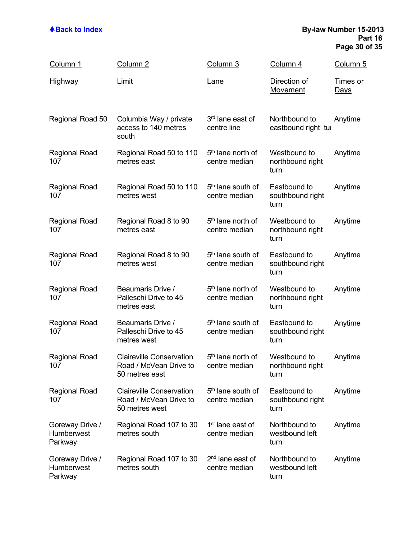### **ABack to Index By-law Number 15-2013 Part 16 Page 30 of 35**

| Column 1                                        | Column 2                                                                    | Column 3                                       | Column 4                                 | Column 5                       |
|-------------------------------------------------|-----------------------------------------------------------------------------|------------------------------------------------|------------------------------------------|--------------------------------|
| <u>Highway</u>                                  | Limit                                                                       | <u>Lane</u>                                    | Direction of<br><b>Movement</b>          | <u>Times or</u><br><u>Days</u> |
| Regional Road 50                                | Columbia Way / private<br>access to 140 metres<br>south                     | 3 <sup>rd</sup> lane east of<br>centre line    | Northbound to<br>eastbound right tur     | Anytime                        |
| <b>Regional Road</b><br>107                     | Regional Road 50 to 110<br>metres east                                      | 5 <sup>th</sup> lane north of<br>centre median | Westbound to<br>northbound right<br>turn | Anytime                        |
| <b>Regional Road</b><br>107                     | Regional Road 50 to 110<br>metres west                                      | 5 <sup>th</sup> lane south of<br>centre median | Eastbound to<br>southbound right<br>turn | Anytime                        |
| <b>Regional Road</b><br>107                     | Regional Road 8 to 90<br>metres east                                        | 5 <sup>th</sup> lane north of<br>centre median | Westbound to<br>northbound right<br>turn | Anytime                        |
| <b>Regional Road</b><br>107                     | Regional Road 8 to 90<br>metres west                                        | 5 <sup>th</sup> lane south of<br>centre median | Eastbound to<br>southbound right<br>turn | Anytime                        |
| <b>Regional Road</b><br>107                     | Beaumaris Drive /<br>Palleschi Drive to 45<br>metres east                   | 5 <sup>th</sup> lane north of<br>centre median | Westbound to<br>northbound right<br>turn | Anytime                        |
| <b>Regional Road</b><br>107                     | Beaumaris Drive /<br>Palleschi Drive to 45<br>metres west                   | 5 <sup>th</sup> lane south of<br>centre median | Eastbound to<br>southbound right<br>turn | Anytime                        |
| <b>Regional Road</b><br>107                     | <b>Claireville Conservation</b><br>Road / McVean Drive to<br>50 metres east | 5 <sup>th</sup> lane north of<br>centre median | Westbound to<br>northbound right<br>turn | Anytime                        |
| <b>Regional Road</b><br>107                     | <b>Claireville Conservation</b><br>Road / McVean Drive to<br>50 metres west | 5 <sup>th</sup> lane south of<br>centre median | Eastbound to<br>southbound right<br>turn | Anytime                        |
| Goreway Drive /<br>Humberwest<br>Parkway        | Regional Road 107 to 30<br>metres south                                     | 1 <sup>st</sup> lane east of<br>centre median  | Northbound to<br>westbound left<br>turn  | Anytime                        |
| Goreway Drive /<br><b>Humberwest</b><br>Parkway | Regional Road 107 to 30<br>metres south                                     | 2 <sup>nd</sup> lane east of<br>centre median  | Northbound to<br>westbound left<br>turn  | Anytime                        |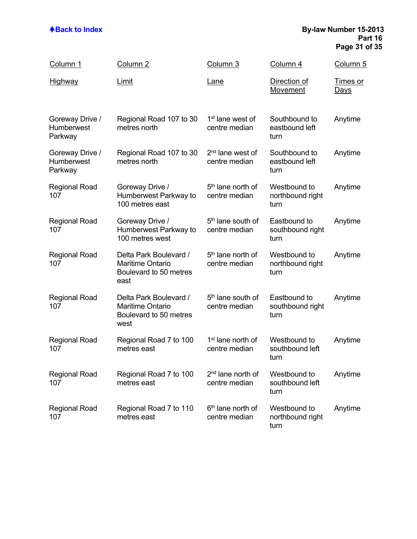### **ABack to Index By-law Number 15-2013 Part 16 Page 31 of 35**

| Column 1                                        | Column <sub>2</sub>                                                                 | Column 3                                       | Column 4                                 | Column 5                       |
|-------------------------------------------------|-------------------------------------------------------------------------------------|------------------------------------------------|------------------------------------------|--------------------------------|
| <u>Highway</u>                                  | <u>Limit</u>                                                                        | <u>Lane</u>                                    | Direction of<br>Movement                 | <u>Times or</u><br><u>Days</u> |
| Goreway Drive /<br>Humberwest<br>Parkway        | Regional Road 107 to 30<br>metres north                                             | 1 <sup>st</sup> lane west of<br>centre median  | Southbound to<br>eastbound left<br>turn  | Anytime                        |
| Goreway Drive /<br><b>Humberwest</b><br>Parkway | Regional Road 107 to 30<br>metres north                                             | 2 <sup>nd</sup> lane west of<br>centre median  | Southbound to<br>eastbound left<br>turn  | Anytime                        |
| <b>Regional Road</b><br>107                     | Goreway Drive /<br>Humberwest Parkway to<br>100 metres east                         | 5 <sup>th</sup> lane north of<br>centre median | Westbound to<br>northbound right<br>turn | Anytime                        |
| <b>Regional Road</b><br>107                     | Goreway Drive /<br>Humberwest Parkway to<br>100 metres west                         | 5 <sup>th</sup> lane south of<br>centre median | Eastbound to<br>southbound right<br>turn | Anytime                        |
| <b>Regional Road</b><br>107                     | Delta Park Boulevard /<br><b>Maritime Ontario</b><br>Boulevard to 50 metres<br>east | 5 <sup>th</sup> lane north of<br>centre median | Westbound to<br>northbound right<br>turn | Anytime                        |
| <b>Regional Road</b><br>107                     | Delta Park Boulevard /<br><b>Maritime Ontario</b><br>Boulevard to 50 metres<br>west | 5 <sup>th</sup> lane south of<br>centre median | Eastbound to<br>southbound right<br>turn | Anytime                        |
| <b>Regional Road</b><br>107                     | Regional Road 7 to 100<br>metres east                                               | 1 <sup>st</sup> lane north of<br>centre median | Westbound to<br>southbound left<br>turn  | Anytime                        |
| <b>Regional Road</b><br>107                     | Regional Road 7 to 100<br>metres east                                               | 2 <sup>nd</sup> lane north of<br>centre median | Westbound to<br>southbound left<br>turn  | Anytime                        |
| <b>Regional Road</b><br>107                     | Regional Road 7 to 110<br>metres east                                               | 6 <sup>th</sup> lane north of<br>centre median | Westbound to<br>northbound right<br>turn | Anytime                        |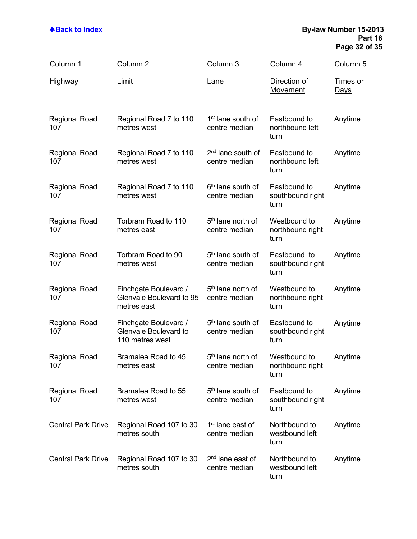### **ABack to Index By-law Number 15-2013 Part 16 Page 32 of 35**

| Column 1                    | Column <sub>2</sub>                                               | Column 3                                       | Column 4                                 | Column 5                       |
|-----------------------------|-------------------------------------------------------------------|------------------------------------------------|------------------------------------------|--------------------------------|
| <u>Highway</u>              | Limit                                                             | <u>Lane</u>                                    | Direction of<br>Movement                 | <u>Times or</u><br><u>Days</u> |
| <b>Regional Road</b><br>107 | Regional Road 7 to 110<br>metres west                             | 1 <sup>st</sup> lane south of<br>centre median | Eastbound to<br>northbound left<br>turn  | Anytime                        |
| <b>Regional Road</b><br>107 | Regional Road 7 to 110<br>metres west                             | 2 <sup>nd</sup> lane south of<br>centre median | Eastbound to<br>northbound left<br>turn  | Anytime                        |
| <b>Regional Road</b><br>107 | Regional Road 7 to 110<br>metres west                             | 6 <sup>th</sup> lane south of<br>centre median | Eastbound to<br>southbound right<br>turn | Anytime                        |
| <b>Regional Road</b><br>107 | Torbram Road to 110<br>metres east                                | 5 <sup>th</sup> lane north of<br>centre median | Westbound to<br>northbound right<br>turn | Anytime                        |
| <b>Regional Road</b><br>107 | Torbram Road to 90<br>metres west                                 | 5 <sup>th</sup> lane south of<br>centre median | Eastbound to<br>southbound right<br>turn | Anytime                        |
| <b>Regional Road</b><br>107 | Finchgate Boulevard /<br>Glenvale Boulevard to 95<br>metres east  | 5 <sup>th</sup> lane north of<br>centre median | Westbound to<br>northbound right<br>turn | Anytime                        |
| <b>Regional Road</b><br>107 | Finchgate Boulevard /<br>Glenvale Boulevard to<br>110 metres west | 5 <sup>th</sup> lane south of<br>centre median | Eastbound to<br>southbound right<br>turn | Anytime                        |
| <b>Regional Road</b><br>107 | Bramalea Road to 45<br>metres east                                | 5 <sup>th</sup> lane north of<br>centre median | Westbound to<br>northbound right<br>turn | Anytime                        |
| <b>Regional Road</b><br>107 | Bramalea Road to 55<br>metres west                                | 5 <sup>th</sup> lane south of<br>centre median | Eastbound to<br>southbound right<br>turn | Anytime                        |
| <b>Central Park Drive</b>   | Regional Road 107 to 30<br>metres south                           | 1 <sup>st</sup> lane east of<br>centre median  | Northbound to<br>westbound left<br>turn  | Anytime                        |
| <b>Central Park Drive</b>   | Regional Road 107 to 30<br>metres south                           | 2 <sup>nd</sup> lane east of<br>centre median  | Northbound to<br>westbound left<br>turn  | Anytime                        |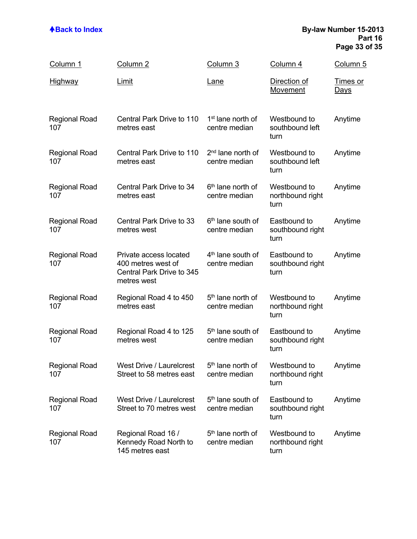### **ABack to Index By-law Number 15-2013 Part 16 Page 33 of 35**

| Column 1                    | Column 2                                                                                 | Column 3                                       | Column 4                                 | Column 5                       |
|-----------------------------|------------------------------------------------------------------------------------------|------------------------------------------------|------------------------------------------|--------------------------------|
| <u>Highway</u>              | <u>Limit</u>                                                                             | <u>Lane</u>                                    | Direction of<br>Movement                 | <u>Times or</u><br><u>Days</u> |
| <b>Regional Road</b><br>107 | Central Park Drive to 110<br>metres east                                                 | 1 <sup>st</sup> lane north of<br>centre median | Westbound to<br>southbound left<br>turn  | Anytime                        |
| <b>Regional Road</b><br>107 | Central Park Drive to 110<br>metres east                                                 | 2 <sup>nd</sup> lane north of<br>centre median | Westbound to<br>southbound left<br>turn  | Anytime                        |
| <b>Regional Road</b><br>107 | Central Park Drive to 34<br>metres east                                                  | 6 <sup>th</sup> lane north of<br>centre median | Westbound to<br>northbound right<br>turn | Anytime                        |
| <b>Regional Road</b><br>107 | Central Park Drive to 33<br>metres west                                                  | 6 <sup>th</sup> lane south of<br>centre median | Eastbound to<br>southbound right<br>turn | Anytime                        |
| <b>Regional Road</b><br>107 | Private access located<br>400 metres west of<br>Central Park Drive to 345<br>metres west | 4 <sup>th</sup> lane south of<br>centre median | Eastbound to<br>southbound right<br>turn | Anytime                        |
| <b>Regional Road</b><br>107 | Regional Road 4 to 450<br>metres east                                                    | 5 <sup>th</sup> lane north of<br>centre median | Westbound to<br>northbound right<br>turn | Anytime                        |
| <b>Regional Road</b><br>107 | Regional Road 4 to 125<br>metres west                                                    | 5 <sup>th</sup> lane south of<br>centre median | Eastbound to<br>southbound right<br>turn | Anytime                        |
| <b>Regional Road</b><br>107 | <b>West Drive / Laurelcrest</b><br>Street to 58 metres east                              | 5 <sup>th</sup> lane north of<br>centre median | Westbound to<br>northbound right<br>turn | Anytime                        |
| <b>Regional Road</b><br>107 | West Drive / Laurelcrest<br>Street to 70 metres west                                     | 5 <sup>th</sup> lane south of<br>centre median | Eastbound to<br>southbound right<br>turn | Anytime                        |
| <b>Regional Road</b><br>107 | Regional Road 16 /<br>Kennedy Road North to<br>145 metres east                           | 5 <sup>th</sup> lane north of<br>centre median | Westbound to<br>northbound right<br>turn | Anytime                        |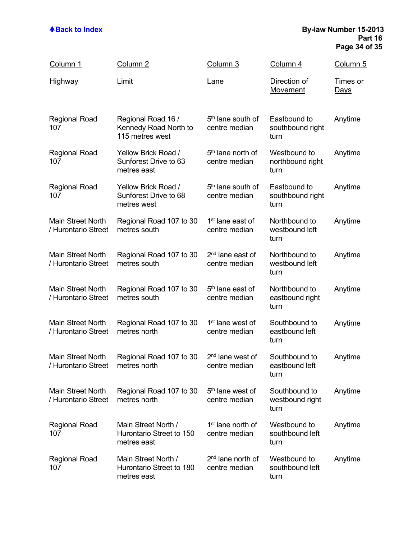### **ABack to Index By-law Number 15-2013 Part 16 Page 34 of 35**

| Column 1                                        | Column <sub>2</sub>                                            | Column 3                                       | Column 4                                 | Column 5                       |
|-------------------------------------------------|----------------------------------------------------------------|------------------------------------------------|------------------------------------------|--------------------------------|
| <u>Highway</u>                                  | <b>Limit</b>                                                   | <u>Lane</u>                                    | Direction of<br>Movement                 | <u>Times or</u><br><u>Days</u> |
| <b>Regional Road</b><br>107                     | Regional Road 16 /<br>Kennedy Road North to<br>115 metres west | 5 <sup>th</sup> lane south of<br>centre median | Eastbound to<br>southbound right<br>turn | Anytime                        |
| <b>Regional Road</b><br>107                     | Yellow Brick Road /<br>Sunforest Drive to 63<br>metres east    | 5 <sup>th</sup> lane north of<br>centre median | Westbound to<br>northbound right<br>turn | Anytime                        |
| <b>Regional Road</b><br>107                     | Yellow Brick Road /<br>Sunforest Drive to 68<br>metres west    | 5 <sup>th</sup> lane south of<br>centre median | Eastbound to<br>southbound right<br>turn | Anytime                        |
| <b>Main Street North</b><br>/ Hurontario Street | Regional Road 107 to 30<br>metres south                        | 1 <sup>st</sup> lane east of<br>centre median  | Northbound to<br>westbound left<br>turn  | Anytime                        |
| <b>Main Street North</b><br>/ Hurontario Street | Regional Road 107 to 30<br>metres south                        | 2 <sup>nd</sup> lane east of<br>centre median  | Northbound to<br>westbound left<br>turn  | Anytime                        |
| <b>Main Street North</b><br>/ Hurontario Street | Regional Road 107 to 30<br>metres south                        | 5 <sup>th</sup> lane east of<br>centre median  | Northbound to<br>eastbound right<br>turn | Anytime                        |
| <b>Main Street North</b><br>/ Hurontario Street | Regional Road 107 to 30<br>metres north                        | 1 <sup>st</sup> lane west of<br>centre median  | Southbound to<br>eastbound left<br>turn  | Anytime                        |
| <b>Main Street North</b><br>/ Hurontario Street | Regional Road 107 to 30<br>metres north                        | 2 <sup>nd</sup> lane west of<br>centre median  | Southbound to<br>eastbound left<br>turn  | Anytime                        |
| Main Street North<br>/ Hurontario Street        | Regional Road 107 to 30<br>metres north                        | 5 <sup>th</sup> lane west of<br>centre median  | Southbound to<br>westbound right<br>turn | Anytime                        |
| <b>Regional Road</b><br>107                     | Main Street North /<br>Hurontario Street to 150<br>metres east | 1 <sup>st</sup> lane north of<br>centre median | Westbound to<br>southbound left<br>turn  | Anytime                        |
| <b>Regional Road</b><br>107                     | Main Street North /<br>Hurontario Street to 180<br>metres east | 2 <sup>nd</sup> lane north of<br>centre median | Westbound to<br>southbound left<br>turn  | Anytime                        |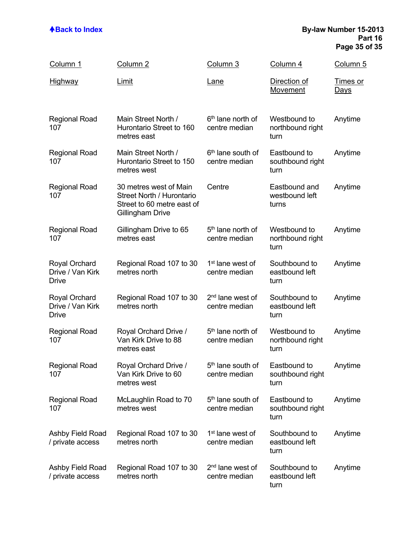### **ABack to Index By-law Number 15-2013 Part 16 Page 35 of 35**

| Column 1                                                 | Column 2                                                                                              | Column 3                                       | Column 4                                 | Column 5                       |
|----------------------------------------------------------|-------------------------------------------------------------------------------------------------------|------------------------------------------------|------------------------------------------|--------------------------------|
| <u>Highway</u>                                           | Limit                                                                                                 | <u>Lane</u>                                    | Direction of<br>Movement                 | <u>Times or</u><br><u>Days</u> |
| <b>Regional Road</b><br>107                              | Main Street North /<br>Hurontario Street to 160<br>metres east                                        | 6 <sup>th</sup> lane north of<br>centre median | Westbound to<br>northbound right<br>turn | Anytime                        |
| <b>Regional Road</b><br>107                              | Main Street North /<br>Hurontario Street to 150<br>metres west                                        | 6 <sup>th</sup> lane south of<br>centre median | Eastbound to<br>southbound right<br>turn | Anytime                        |
| <b>Regional Road</b><br>107                              | 30 metres west of Main<br>Street North / Hurontario<br>Street to 60 metre east of<br>Gillingham Drive | Centre                                         | Eastbound and<br>westbound left<br>turns | Anytime                        |
| <b>Regional Road</b><br>107                              | Gillingham Drive to 65<br>metres east                                                                 | 5 <sup>th</sup> lane north of<br>centre median | Westbound to<br>northbound right<br>turn | Anytime                        |
| <b>Royal Orchard</b><br>Drive / Van Kirk<br><b>Drive</b> | Regional Road 107 to 30<br>metres north                                                               | 1 <sup>st</sup> lane west of<br>centre median  | Southbound to<br>eastbound left<br>turn  | Anytime                        |
| <b>Royal Orchard</b><br>Drive / Van Kirk<br>Drive        | Regional Road 107 to 30<br>metres north                                                               | 2 <sup>nd</sup> lane west of<br>centre median  | Southbound to<br>eastbound left<br>turn  | Anytime                        |
| <b>Regional Road</b><br>107                              | Royal Orchard Drive /<br>Van Kirk Drive to 88<br>metres east                                          | 5 <sup>th</sup> lane north of<br>centre median | Westbound to<br>northbound right<br>turn | Anytime                        |
| <b>Regional Road</b><br>107                              | Royal Orchard Drive /<br>Van Kirk Drive to 60<br>metres west                                          | 5 <sup>th</sup> lane south of<br>centre median | Eastbound to<br>southbound right<br>turn | Anytime                        |
| <b>Regional Road</b><br>107                              | McLaughlin Road to 70<br>metres west                                                                  | 5 <sup>th</sup> lane south of<br>centre median | Eastbound to<br>southbound right<br>turn | Anytime                        |
| Ashby Field Road<br>/ private access                     | Regional Road 107 to 30<br>metres north                                                               | 1 <sup>st</sup> lane west of<br>centre median  | Southbound to<br>eastbound left<br>turn  | Anytime                        |
| Ashby Field Road<br>/ private access                     | Regional Road 107 to 30<br>metres north                                                               | 2 <sup>nd</sup> lane west of<br>centre median  | Southbound to<br>eastbound left<br>turn  | Anytime                        |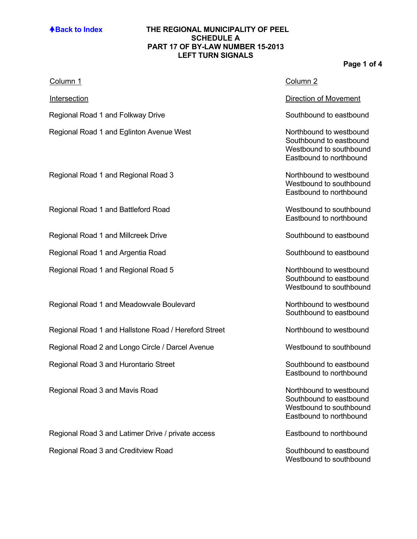### **ABack to Index THE REGIONAL MUNICIPALITY OF PEEL SCHEDULE A PART 17 OF BY-LAW NUMBER 15-2013 LEFT TURN SIGNALS**

## **Page 1 of 4**

| <u>Column 1</u>                                      | Column <sub>2</sub>                                                                                      |
|------------------------------------------------------|----------------------------------------------------------------------------------------------------------|
| <b>Intersection</b>                                  | <b>Direction of Movement</b>                                                                             |
| Regional Road 1 and Folkway Drive                    | Southbound to eastbound                                                                                  |
| Regional Road 1 and Eglinton Avenue West             | Northbound to westbound<br>Southbound to eastbound<br>Westbound to southbound<br>Eastbound to northbound |
| Regional Road 1 and Regional Road 3                  | Northbound to westbound<br>Westbound to southbound<br>Eastbound to northbound                            |
| Regional Road 1 and Battleford Road                  | Westbound to southbound<br>Eastbound to northbound                                                       |
| Regional Road 1 and Millcreek Drive                  | Southbound to eastbound                                                                                  |
| Regional Road 1 and Argentia Road                    | Southbound to eastbound                                                                                  |
| Regional Road 1 and Regional Road 5                  | Northbound to westbound<br>Southbound to eastbound<br>Westbound to southbound                            |
| Regional Road 1 and Meadowvale Boulevard             | Northbound to westbound<br>Southbound to eastbound                                                       |
| Regional Road 1 and Hallstone Road / Hereford Street | Northbound to westbound                                                                                  |
| Regional Road 2 and Longo Circle / Darcel Avenue     | Westbound to southbound                                                                                  |
| Regional Road 3 and Hurontario Street                | Southbound to eastbound<br>Eastbound to northbound                                                       |
| Regional Road 3 and Mavis Road                       | Northbound to westbound<br>Southbound to eastbound<br>Westbound to southbound<br>Eastbound to northbound |
| Regional Road 3 and Latimer Drive / private access   | Eastbound to northbound                                                                                  |
| Regional Road 3 and Creditview Road                  | Southbound to eastbound<br>Westbound to southbound                                                       |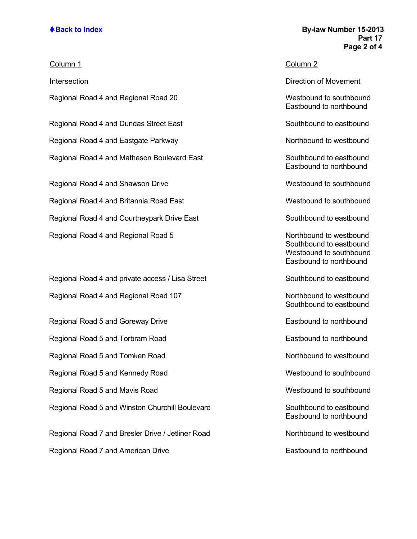## **ABack to Index By-law Number 15-2013 Part 17 Page 2 of 4**

| Column 1                                         | Column <sub>2</sub>                                                                                      |
|--------------------------------------------------|----------------------------------------------------------------------------------------------------------|
| Intersection                                     | <b>Direction of Movement</b>                                                                             |
| Regional Road 4 and Regional Road 20             | Westbound to southbound<br>Eastbound to northbound                                                       |
| Regional Road 4 and Dundas Street East           | Southbound to eastbound                                                                                  |
| Regional Road 4 and Eastgate Parkway             | Northbound to westbound                                                                                  |
| Regional Road 4 and Matheson Boulevard East      | Southbound to eastbound<br>Eastbound to northbound                                                       |
| Regional Road 4 and Shawson Drive                | Westbound to southbound                                                                                  |
| Regional Road 4 and Britannia Road East          | Westbound to southbound                                                                                  |
| Regional Road 4 and Courtneypark Drive East      | Southbound to eastbound                                                                                  |
| Regional Road 4 and Regional Road 5              | Northbound to westbound<br>Southbound to eastbound<br>Westbound to southbound<br>Eastbound to northbound |
| Regional Road 4 and private access / Lisa Street | Southbound to eastbound                                                                                  |
| Regional Road 4 and Regional Road 107            | Northbound to westbound<br>Southbound to eastbound                                                       |
| Regional Road 5 and Goreway Drive                | Eastbound to northbound                                                                                  |
| Regional Road 5 and Torbram Road                 | Eastbound to northbound                                                                                  |
| Regional Road 5 and Tomken Road                  | Northbound to westbound                                                                                  |
| Regional Road 5 and Kennedy Road                 | Westbound to southbound                                                                                  |

Regional Road 5 and Mavis Road Westbound to southbound Regional Road 5 and Winston Churchill Boulevard Southbound to eastbound

Regional Road 7 and Bresler Drive / Jetliner Road Northbound to westbound Regional Road 7 and American Drive **Eastbound to northbound** Eastbound to northbound

Eastbound to northbound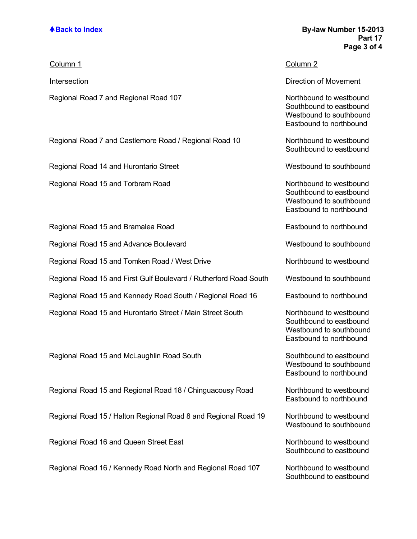| Column 1                                                          | Column 2                                                                                                 |
|-------------------------------------------------------------------|----------------------------------------------------------------------------------------------------------|
| <b>Intersection</b>                                               | <b>Direction of Movement</b>                                                                             |
| Regional Road 7 and Regional Road 107                             | Northbound to westbound<br>Southbound to eastbound<br>Westbound to southbound<br>Eastbound to northbound |
| Regional Road 7 and Castlemore Road / Regional Road 10            | Northbound to westbound<br>Southbound to eastbound                                                       |
| Regional Road 14 and Hurontario Street                            | Westbound to southbound                                                                                  |
| Regional Road 15 and Torbram Road                                 | Northbound to westbound<br>Southbound to eastbound<br>Westbound to southbound<br>Eastbound to northbound |
| Regional Road 15 and Bramalea Road                                | Eastbound to northbound                                                                                  |
| Regional Road 15 and Advance Boulevard                            | Westbound to southbound                                                                                  |
| Regional Road 15 and Tomken Road / West Drive                     | Northbound to westbound                                                                                  |
| Regional Road 15 and First Gulf Boulevard / Rutherford Road South | Westbound to southbound                                                                                  |
| Regional Road 15 and Kennedy Road South / Regional Road 16        | Eastbound to northbound                                                                                  |
| Regional Road 15 and Hurontario Street / Main Street South        | Northbound to westbound<br>Southbound to eastbound<br>Westbound to southbound<br>Eastbound to northbound |
| Regional Road 15 and McLaughlin Road South                        | Southbound to eastbound<br>Westbound to southbound<br>Eastbound to northbound                            |
| Regional Road 15 and Regional Road 18 / Chinguacousy Road         | Northbound to westbound<br>Eastbound to northbound                                                       |
| Regional Road 15 / Halton Regional Road 8 and Regional Road 19    | Northbound to westbound<br>Westbound to southbound                                                       |
| Regional Road 16 and Queen Street East                            | Northbound to westbound<br>Southbound to eastbound                                                       |
| Regional Road 16 / Kennedy Road North and Regional Road 107       | Northbound to westbound                                                                                  |

Southbound to eastbound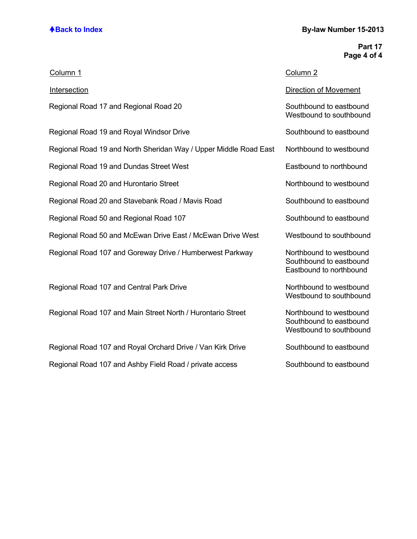# **ABack to Index By-law Number 15-2013**

## **Part 17 Page 4 of 4**

| Column 1                                                         | Column <sub>2</sub>                                                           |
|------------------------------------------------------------------|-------------------------------------------------------------------------------|
| Intersection                                                     | <b>Direction of Movement</b>                                                  |
| Regional Road 17 and Regional Road 20                            | Southbound to eastbound<br>Westbound to southbound                            |
| Regional Road 19 and Royal Windsor Drive                         | Southbound to eastbound                                                       |
| Regional Road 19 and North Sheridan Way / Upper Middle Road East | Northbound to westbound                                                       |
| Regional Road 19 and Dundas Street West                          | Eastbound to northbound                                                       |
| Regional Road 20 and Hurontario Street                           | Northbound to westbound                                                       |
| Regional Road 20 and Stavebank Road / Mavis Road                 | Southbound to eastbound                                                       |
| Regional Road 50 and Regional Road 107                           | Southbound to eastbound                                                       |
| Regional Road 50 and McEwan Drive East / McEwan Drive West       | Westbound to southbound                                                       |
| Regional Road 107 and Goreway Drive / Humberwest Parkway         | Northbound to westbound<br>Southbound to eastbound<br>Eastbound to northbound |
| Regional Road 107 and Central Park Drive                         | Northbound to westbound<br>Westbound to southbound                            |
| Regional Road 107 and Main Street North / Hurontario Street      | Northbound to westbound<br>Southbound to eastbound<br>Westbound to southbound |
| Regional Road 107 and Royal Orchard Drive / Van Kirk Drive       | Southbound to eastbound                                                       |
| Regional Road 107 and Ashby Field Road / private access          | Southbound to eastbound                                                       |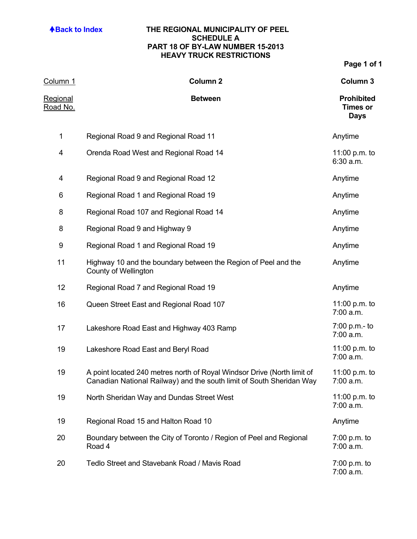## **ABack to Index THE REGIONAL MUNICIPALITY OF PEEL SCHEDULE A PART 18 OF BY-LAW NUMBER 15-2013 HEAVY TRUCK RESTRICTIONS**

| <u>Column 1</u>      | <b>Column 2</b>                                                                                                                                 | Column 3                                            |
|----------------------|-------------------------------------------------------------------------------------------------------------------------------------------------|-----------------------------------------------------|
| Regional<br>Road No. | <b>Between</b>                                                                                                                                  | <b>Prohibited</b><br><b>Times or</b><br><b>Days</b> |
| $\mathbf 1$          | Regional Road 9 and Regional Road 11                                                                                                            | Anytime                                             |
| 4                    | Orenda Road West and Regional Road 14                                                                                                           | 11:00 p.m. to<br>6:30 a.m.                          |
| 4                    | Regional Road 9 and Regional Road 12                                                                                                            | Anytime                                             |
| 6                    | Regional Road 1 and Regional Road 19                                                                                                            | Anytime                                             |
| 8                    | Regional Road 107 and Regional Road 14                                                                                                          | Anytime                                             |
| 8                    | Regional Road 9 and Highway 9                                                                                                                   | Anytime                                             |
| 9                    | Regional Road 1 and Regional Road 19                                                                                                            | Anytime                                             |
| 11                   | Highway 10 and the boundary between the Region of Peel and the<br><b>County of Wellington</b>                                                   | Anytime                                             |
| 12                   | Regional Road 7 and Regional Road 19                                                                                                            | Anytime                                             |
| 16                   | Queen Street East and Regional Road 107                                                                                                         | 11:00 p.m. to<br>7:00 a.m.                          |
| 17                   | Lakeshore Road East and Highway 403 Ramp                                                                                                        | 7:00 p.m.- to<br>7:00 a.m.                          |
| 19                   | Lakeshore Road East and Beryl Road                                                                                                              | 11:00 p.m. to<br>7:00 a.m.                          |
| 19                   | A point located 240 metres north of Royal Windsor Drive (North limit of<br>Canadian National Railway) and the south limit of South Sheridan Way | 11:00 p.m. to<br>7:00 a.m.                          |
| 19                   | North Sheridan Way and Dundas Street West                                                                                                       | 11:00 p.m. to<br>7:00 a.m.                          |
| 19                   | Regional Road 15 and Halton Road 10                                                                                                             | Anytime                                             |
| 20                   | Boundary between the City of Toronto / Region of Peel and Regional<br>Road 4                                                                    | $7:00$ p.m. to<br>7:00 a.m.                         |
| 20                   | Tedlo Street and Stavebank Road / Mavis Road                                                                                                    | $7:00$ p.m. to<br>7:00 a.m.                         |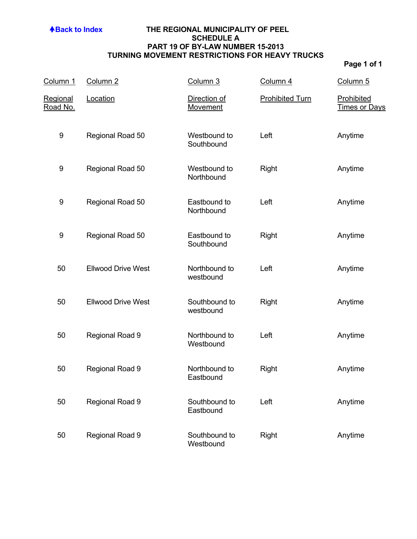## **ABack to Index THE REGIONAL MUNICIPALITY OF PEEL SCHEDULE A PART 19 OF BY-LAW NUMBER 15-2013 TURNING MOVEMENT RESTRICTIONS FOR HEAVY TRUCKS**

| Column 1             | Column <sub>2</sub>       | Column 3                   | Column 4               | Column <sub>5</sub>                |
|----------------------|---------------------------|----------------------------|------------------------|------------------------------------|
| Regional<br>Road No. | Location                  | Direction of<br>Movement   | <b>Prohibited Turn</b> | Prohibited<br><b>Times or Days</b> |
| $\boldsymbol{9}$     | Regional Road 50          | Westbound to<br>Southbound | Left                   | Anytime                            |
| 9                    | Regional Road 50          | Westbound to<br>Northbound | <b>Right</b>           | Anytime                            |
| 9                    | Regional Road 50          | Eastbound to<br>Northbound | Left                   | Anytime                            |
| 9                    | Regional Road 50          | Eastbound to<br>Southbound | <b>Right</b>           | Anytime                            |
| 50                   | <b>Ellwood Drive West</b> | Northbound to<br>westbound | Left                   | Anytime                            |
| 50                   | <b>Ellwood Drive West</b> | Southbound to<br>westbound | Right                  | Anytime                            |
| 50                   | Regional Road 9           | Northbound to<br>Westbound | Left                   | Anytime                            |
| 50                   | Regional Road 9           | Northbound to<br>Eastbound | Right                  | Anytime                            |
| 50                   | Regional Road 9           | Southbound to<br>Eastbound | Left                   | Anytime                            |
| 50                   | Regional Road 9           | Southbound to<br>Westbound | Right                  | Anytime                            |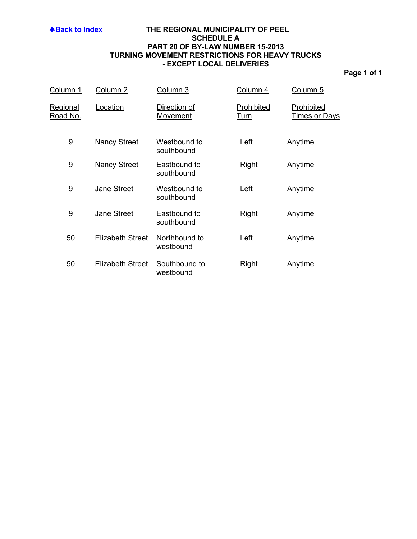## **ABack to Index THE REGIONAL MUNICIPALITY OF PEEL SCHEDULE A PART 20 OF BY-LAW NUMBER 15-2013 TURNING MOVEMENT RESTRICTIONS FOR HEAVY TRUCKS - EXCEPT LOCAL DELIVERIES**

| Column 1                           | Column 2            | Column 3                        | Column 4                  | Column 5                           |
|------------------------------------|---------------------|---------------------------------|---------------------------|------------------------------------|
| <u>Regional</u><br><u>Road No.</u> | Location            | Direction of<br><b>Movement</b> | Prohibited<br><u>Turn</u> | Prohibited<br><u>Times or Days</u> |
| 9                                  | Nancy Street        | Westbound to<br>southbound      | Left                      | Anytime                            |
| 9                                  | <b>Nancy Street</b> | Eastbound to<br>southbound      | Right                     | Anytime                            |
| 9                                  | <b>Jane Street</b>  | Westbound to<br>southbound      | Left                      | Anytime                            |
| 9                                  | <b>Jane Street</b>  | Eastbound to<br>southbound      | Right                     | Anytime                            |
| 50                                 | Elizabeth Street    | Northbound to<br>westbound      | Left                      | Anytime                            |
| 50                                 | Elizabeth Street    | Southbound to<br>westbound      | Right                     | Anytime                            |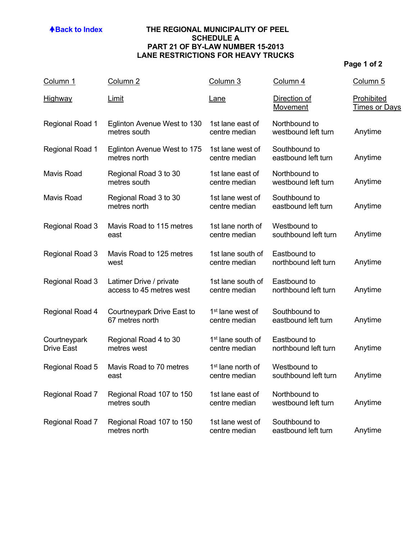## **ABack to Index THE REGIONAL MUNICIPALITY OF PEEL SCHEDULE A PART 21 OF BY-LAW NUMBER 15-2013 LANE RESTRICTIONS FOR HEAVY TRUCKS**

| Column 1                          | Column <sub>2</sub>                                 | Column 3                                       | Column 4                             | Column <sub>5</sub>                       |
|-----------------------------------|-----------------------------------------------------|------------------------------------------------|--------------------------------------|-------------------------------------------|
| <b>Highway</b>                    | <b>Limit</b>                                        | Lane                                           | Direction of<br>Movement             | <b>Prohibited</b><br><u>Times or Days</u> |
| Regional Road 1                   | Eglinton Avenue West to 130<br>metres south         | 1st lane east of<br>centre median              | Northbound to<br>westbound left turn | Anytime                                   |
| Regional Road 1                   | Eglinton Avenue West to 175<br>metres north         | 1st lane west of<br>centre median              | Southbound to<br>eastbound left turn | Anytime                                   |
| <b>Mavis Road</b>                 | Regional Road 3 to 30<br>metres south               | 1st lane east of<br>centre median              | Northbound to<br>westbound left turn | Anytime                                   |
| <b>Mavis Road</b>                 | Regional Road 3 to 30<br>metres north               | 1st lane west of<br>centre median              | Southbound to<br>eastbound left turn | Anytime                                   |
| Regional Road 3                   | Mavis Road to 115 metres<br>east                    | 1st lane north of<br>centre median             | Westbound to<br>southbound left turn | Anytime                                   |
| Regional Road 3                   | Mavis Road to 125 metres<br>west                    | 1st lane south of<br>centre median             | Eastbound to<br>northbound left turn | Anytime                                   |
| Regional Road 3                   | Latimer Drive / private<br>access to 45 metres west | 1st lane south of<br>centre median             | Eastbound to<br>northbound left turn | Anytime                                   |
| Regional Road 4                   | Courtneypark Drive East to<br>67 metres north       | 1 <sup>st</sup> lane west of<br>centre median  | Southbound to<br>eastbound left turn | Anytime                                   |
| Courtneypark<br><b>Drive East</b> | Regional Road 4 to 30<br>metres west                | 1 <sup>st</sup> lane south of<br>centre median | Eastbound to<br>northbound left turn | Anytime                                   |
| Regional Road 5                   | Mavis Road to 70 metres<br>east                     | 1 <sup>st</sup> lane north of<br>centre median | Westbound to<br>southbound left turn | Anytime                                   |
| Regional Road 7                   | Regional Road 107 to 150<br>metres south            | 1st lane east of<br>centre median              | Northbound to<br>westbound left turn | Anytime                                   |
| Regional Road 7                   | Regional Road 107 to 150<br>metres north            | 1st lane west of<br>centre median              | Southbound to<br>eastbound left turn | Anytime                                   |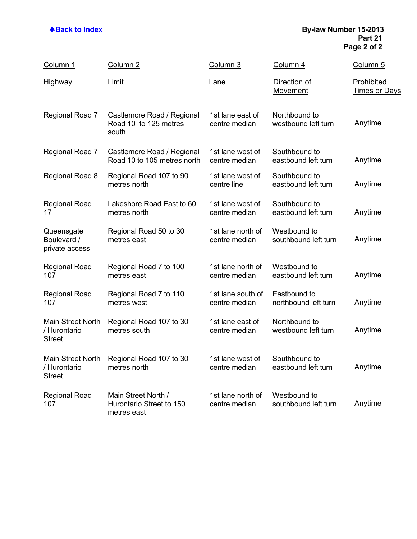## **ABack to Index By-law Number 15-2013 Part 21 Page 2 of 2**

| Column 1                                           | Column <sub>2</sub>                                            | Column 3                           | Column 4                             | Column 5                           |
|----------------------------------------------------|----------------------------------------------------------------|------------------------------------|--------------------------------------|------------------------------------|
| <u>Highway</u>                                     | <b>Limit</b>                                                   | <u>Lane</u>                        | Direction of<br>Movement             | Prohibited<br><u>Times or Days</u> |
| Regional Road 7                                    | Castlemore Road / Regional<br>Road 10 to 125 metres<br>south   | 1st lane east of<br>centre median  | Northbound to<br>westbound left turn | Anytime                            |
| Regional Road 7                                    | Castlemore Road / Regional<br>Road 10 to 105 metres north      | 1st lane west of<br>centre median  | Southbound to<br>eastbound left turn | Anytime                            |
| Regional Road 8                                    | Regional Road 107 to 90<br>metres north                        | 1st lane west of<br>centre line    | Southbound to<br>eastbound left turn | Anytime                            |
| <b>Regional Road</b><br>17                         | Lakeshore Road East to 60<br>metres north                      | 1st lane west of<br>centre median  | Southbound to<br>eastbound left turn | Anytime                            |
| Queensgate<br>Boulevard /<br>private access        | Regional Road 50 to 30<br>metres east                          | 1st lane north of<br>centre median | Westbound to<br>southbound left turn | Anytime                            |
| <b>Regional Road</b><br>107                        | Regional Road 7 to 100<br>metres east                          | 1st lane north of<br>centre median | Westbound to<br>eastbound left turn  | Anytime                            |
| <b>Regional Road</b><br>107                        | Regional Road 7 to 110<br>metres west                          | 1st lane south of<br>centre median | Eastbound to<br>northbound left turn | Anytime                            |
| Main Street North<br>/ Hurontario<br><b>Street</b> | Regional Road 107 to 30<br>metres south                        | 1st lane east of<br>centre median  | Northbound to<br>westbound left turn | Anytime                            |
| / Hurontario<br><b>Street</b>                      | Main Street North Regional Road 107 to 30<br>metres north      | 1st lane west of<br>centre median  | Southbound to<br>eastbound left turn | Anytime                            |
| <b>Regional Road</b><br>107                        | Main Street North /<br>Hurontario Street to 150<br>metres east | 1st lane north of<br>centre median | Westbound to<br>southbound left turn | Anytime                            |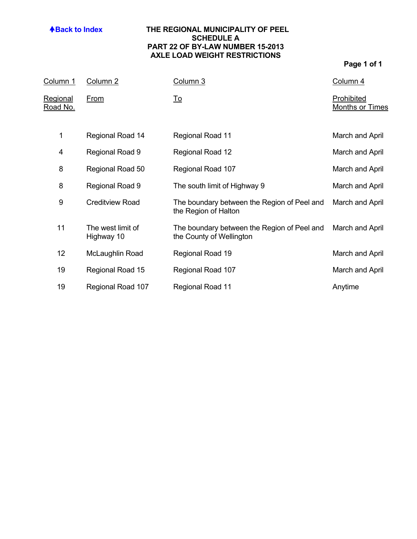## **ABack to Index THE REGIONAL MUNICIPALITY OF PEEL SCHEDULE A PART 22 OF BY-LAW NUMBER 15-2013 AXLE LOAD WEIGHT RESTRICTIONS**

| <u>Column 1</u>                    | Column <sub>2</sub>             | Column 3                                                                | Column 4                             |
|------------------------------------|---------------------------------|-------------------------------------------------------------------------|--------------------------------------|
| <b>Regional</b><br><u>Road No.</u> | <b>From</b>                     | <u>To</u>                                                               | Prohibited<br><b>Months or Times</b> |
| 1                                  | Regional Road 14                | Regional Road 11                                                        | March and April                      |
| 4                                  | Regional Road 9                 | Regional Road 12                                                        | March and April                      |
| 8                                  | Regional Road 50                | Regional Road 107                                                       | March and April                      |
| 8                                  | Regional Road 9                 | The south limit of Highway 9                                            | March and April                      |
| 9                                  | <b>Creditview Road</b>          | The boundary between the Region of Peel and<br>the Region of Halton     | March and April                      |
| 11                                 | The west limit of<br>Highway 10 | The boundary between the Region of Peel and<br>the County of Wellington | March and April                      |
| 12 <sub>2</sub>                    | McLaughlin Road                 | Regional Road 19                                                        | March and April                      |
| 19                                 | Regional Road 15                | Regional Road 107                                                       | March and April                      |
| 19                                 | Regional Road 107               | Regional Road 11                                                        | Anytime                              |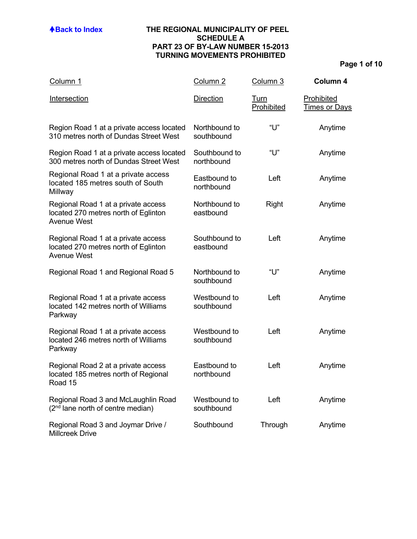## **ABack to Index THE REGIONAL MUNICIPALITY OF PEEL SCHEDULE A PART 23 OF BY-LAW NUMBER 15-2013 TURNING MOVEMENTS PROHIBITED**

| Column 1                                                                                          | Column <sub>2</sub>         | Column 3           | Column 4                           |
|---------------------------------------------------------------------------------------------------|-----------------------------|--------------------|------------------------------------|
| Intersection                                                                                      | <b>Direction</b>            | Turn<br>Prohibited | Prohibited<br><u>Times or Days</u> |
| Region Road 1 at a private access located<br>310 metres north of Dundas Street West               | Northbound to<br>southbound | "U"                | Anytime                            |
| Region Road 1 at a private access located<br>300 metres north of Dundas Street West               | Southbound to<br>northbound | "U"                | Anytime                            |
| Regional Road 1 at a private access<br>located 185 metres south of South<br>Millway               | Eastbound to<br>northbound  | Left               | Anytime                            |
| Regional Road 1 at a private access<br>located 270 metres north of Eglinton<br><b>Avenue West</b> | Northbound to<br>eastbound  | Right              | Anytime                            |
| Regional Road 1 at a private access<br>located 270 metres north of Eglinton<br><b>Avenue West</b> | Southbound to<br>eastbound  | Left               | Anytime                            |
| Regional Road 1 and Regional Road 5                                                               | Northbound to<br>southbound | "U"                | Anytime                            |
| Regional Road 1 at a private access<br>located 142 metres north of Williams<br>Parkway            | Westbound to<br>southbound  | Left               | Anytime                            |
| Regional Road 1 at a private access<br>located 246 metres north of Williams<br>Parkway            | Westbound to<br>southbound  | Left               | Anytime                            |
| Regional Road 2 at a private access<br>located 185 metres north of Regional<br>Road 15            | Eastbound to<br>northbound  | Left               | Anytime                            |
| Regional Road 3 and McLaughlin Road<br>(2 <sup>nd</sup> lane north of centre median)              | Westbound to<br>southbound  | Left               | Anytime                            |
| Regional Road 3 and Joymar Drive /<br><b>Millcreek Drive</b>                                      | Southbound                  | Through            | Anytime                            |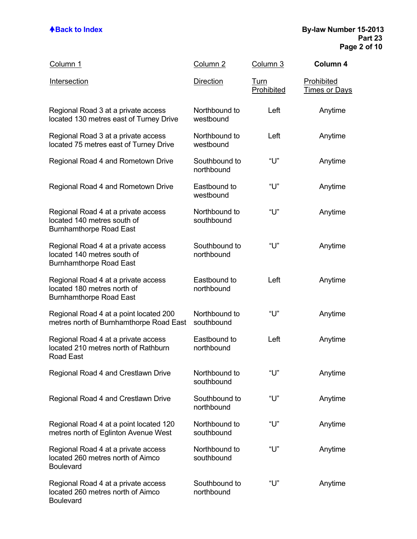| Column 1                                                                                             | Column <sub>2</sub>         | Column 3                  | Column 4                                  |
|------------------------------------------------------------------------------------------------------|-----------------------------|---------------------------|-------------------------------------------|
| <b>Intersection</b>                                                                                  | <b>Direction</b>            | <u>Turn</u><br>Prohibited | <u>Prohibited</u><br><u>Times or Days</u> |
| Regional Road 3 at a private access<br>located 130 metres east of Turney Drive                       | Northbound to<br>westbound  | Left                      | Anytime                                   |
| Regional Road 3 at a private access<br>located 75 metres east of Turney Drive                        | Northbound to<br>westbound  | Left                      | Anytime                                   |
| Regional Road 4 and Rometown Drive                                                                   | Southbound to<br>northbound | "U"                       | Anytime                                   |
| Regional Road 4 and Rometown Drive                                                                   | Eastbound to<br>westbound   | "U"                       | Anytime                                   |
| Regional Road 4 at a private access<br>located 140 metres south of<br><b>Burnhamthorpe Road East</b> | Northbound to<br>southbound | "U"                       | Anytime                                   |
| Regional Road 4 at a private access<br>located 140 metres south of<br><b>Burnhamthorpe Road East</b> | Southbound to<br>northbound | "U"                       | Anytime                                   |
| Regional Road 4 at a private access<br>located 180 metres north of<br><b>Burnhamthorpe Road East</b> | Eastbound to<br>northbound  | Left                      | Anytime                                   |
| Regional Road 4 at a point located 200<br>metres north of Burnhamthorpe Road East                    | Northbound to<br>southbound | "U"                       | Anytime                                   |
| Regional Road 4 at a private access<br>located 210 metres north of Rathburn<br>Road East             | Eastbound to<br>northbound  | Left                      | Anytime                                   |
| Regional Road 4 and Crestlawn Drive                                                                  | Northbound to<br>southbound | "U"                       | Anytime                                   |
| Regional Road 4 and Crestlawn Drive                                                                  | Southbound to<br>northbound | "ሀ"                       | Anytime                                   |
| Regional Road 4 at a point located 120<br>metres north of Eglinton Avenue West                       | Northbound to<br>southbound | "U"                       | Anytime                                   |
| Regional Road 4 at a private access<br>located 260 metres north of Aimco<br><b>Boulevard</b>         | Northbound to<br>southbound | "ሀ"                       | Anytime                                   |
| Regional Road 4 at a private access<br>located 260 metres north of Aimco<br><b>Boulevard</b>         | Southbound to<br>northbound | "ሀ"                       | Anytime                                   |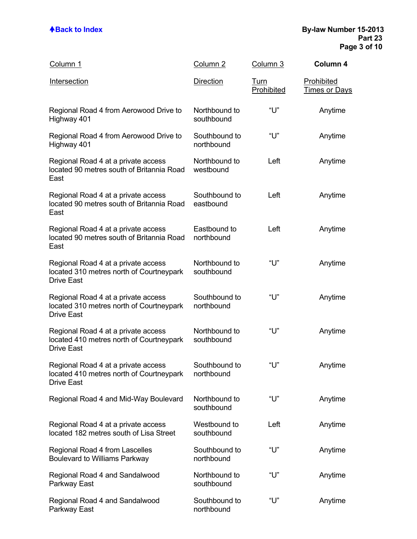| Column 1                                                                                             | Column <sub>2</sub>         | Column 3           | Column 4                           |
|------------------------------------------------------------------------------------------------------|-----------------------------|--------------------|------------------------------------|
| Intersection                                                                                         | <b>Direction</b>            | Turn<br>Prohibited | Prohibited<br><b>Times or Days</b> |
| Regional Road 4 from Aerowood Drive to<br>Highway 401                                                | Northbound to<br>southbound | "ሀ"                | Anytime                            |
| Regional Road 4 from Aerowood Drive to<br>Highway 401                                                | Southbound to<br>northbound | "U"                | Anytime                            |
| Regional Road 4 at a private access<br>located 90 metres south of Britannia Road<br>East             | Northbound to<br>westbound  | Left               | Anytime                            |
| Regional Road 4 at a private access<br>located 90 metres south of Britannia Road<br>East             | Southbound to<br>eastbound  | Left               | Anytime                            |
| Regional Road 4 at a private access<br>located 90 metres south of Britannia Road<br>East             | Eastbound to<br>northbound  | Left               | Anytime                            |
| Regional Road 4 at a private access<br>located 310 metres north of Courtneypark<br><b>Drive East</b> | Northbound to<br>southbound | "U"                | Anytime                            |
| Regional Road 4 at a private access<br>located 310 metres north of Courtneypark<br><b>Drive East</b> | Southbound to<br>northbound | "U"                | Anytime                            |
| Regional Road 4 at a private access<br>located 410 metres north of Courtneypark<br><b>Drive East</b> | Northbound to<br>southbound | "U"                | Anytime                            |
| Regional Road 4 at a private access<br>located 410 metres north of Courtneypark<br><b>Drive East</b> | Southbound to<br>northbound | "U"                | Anytime                            |
| Regional Road 4 and Mid-Way Boulevard                                                                | Northbound to<br>southbound | "U"                | Anytime                            |
| Regional Road 4 at a private access<br>located 182 metres south of Lisa Street                       | Westbound to<br>southbound  | Left               | Anytime                            |
| Regional Road 4 from Lascelles<br><b>Boulevard to Williams Parkway</b>                               | Southbound to<br>northbound | "U"                | Anytime                            |
| Regional Road 4 and Sandalwood<br>Parkway East                                                       | Northbound to<br>southbound | "U"                | Anytime                            |
| Regional Road 4 and Sandalwood<br>Parkway East                                                       | Southbound to<br>northbound | "U"                | Anytime                            |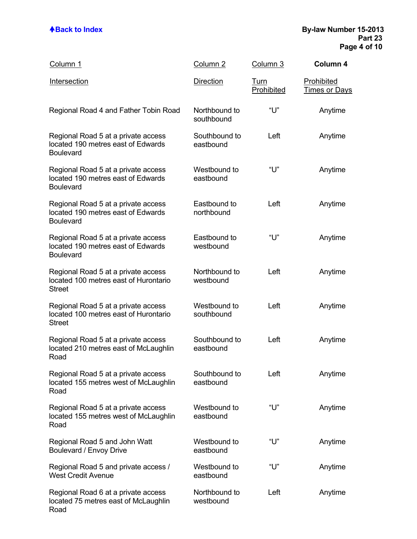| Column 1                                                                                      | Column 2                    | Column 3                  | Column 4                           |
|-----------------------------------------------------------------------------------------------|-----------------------------|---------------------------|------------------------------------|
| Intersection                                                                                  | <b>Direction</b>            | <u>Turn</u><br>Prohibited | <b>Prohibited</b><br>Times or Days |
| Regional Road 4 and Father Tobin Road                                                         | Northbound to<br>southbound | "U"                       | Anytime                            |
| Regional Road 5 at a private access<br>located 190 metres east of Edwards<br><b>Boulevard</b> | Southbound to<br>eastbound  | Left                      | Anytime                            |
| Regional Road 5 at a private access<br>located 190 metres east of Edwards<br><b>Boulevard</b> | Westbound to<br>eastbound   | "ሀ"                       | Anytime                            |
| Regional Road 5 at a private access<br>located 190 metres east of Edwards<br><b>Boulevard</b> | Eastbound to<br>northbound  | Left                      | Anytime                            |
| Regional Road 5 at a private access<br>located 190 metres east of Edwards<br><b>Boulevard</b> | Eastbound to<br>westbound   | "U"                       | Anytime                            |
| Regional Road 5 at a private access<br>located 100 metres east of Hurontario<br><b>Street</b> | Northbound to<br>westbound  | Left                      | Anytime                            |
| Regional Road 5 at a private access<br>located 100 metres east of Hurontario<br><b>Street</b> | Westbound to<br>southbound  | Left                      | Anytime                            |
| Regional Road 5 at a private access<br>located 210 metres east of McLaughlin<br>Road          | Southbound to<br>eastbound  | Left                      | Anytime                            |
| Regional Road 5 at a private access<br>located 155 metres west of McLaughlin<br>Road          | Southbound to<br>eastbound  | Left                      | Anytime                            |
| Regional Road 5 at a private access<br>located 155 metres west of McLaughlin<br>Road          | Westbound to<br>eastbound   | "ሀ"                       | Anytime                            |
| Regional Road 5 and John Watt<br><b>Boulevard / Envoy Drive</b>                               | Westbound to<br>eastbound   | "ሀ"                       | Anytime                            |
| Regional Road 5 and private access /<br><b>West Credit Avenue</b>                             | Westbound to<br>eastbound   | "ሀ"                       | Anytime                            |
| Regional Road 6 at a private access<br>located 75 metres east of McLaughlin<br>Road           | Northbound to<br>westbound  | Left                      | Anytime                            |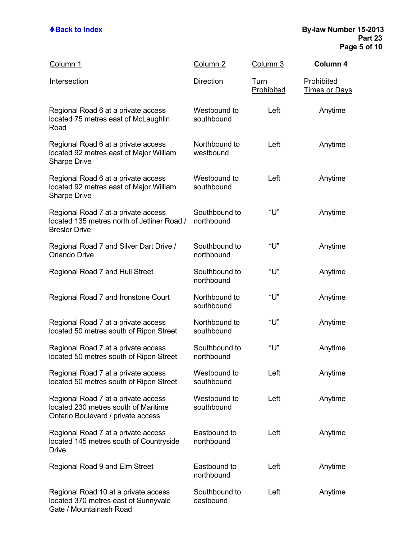Gate / Mountainash Road

| Column 1                                                                                                          | Column <sub>2</sub>         | Column 3                  | Column 4                           |
|-------------------------------------------------------------------------------------------------------------------|-----------------------------|---------------------------|------------------------------------|
| Intersection                                                                                                      | <b>Direction</b>            | <u>Turn</u><br>Prohibited | <b>Prohibited</b><br>Times or Days |
| Regional Road 6 at a private access<br>located 75 metres east of McLaughlin<br>Road                               | Westbound to<br>southbound  | Left                      | Anytime                            |
| Regional Road 6 at a private access<br>located 92 metres east of Major William<br><b>Sharpe Drive</b>             | Northbound to<br>westbound  | Left                      | Anytime                            |
| Regional Road 6 at a private access<br>located 92 metres east of Major William<br><b>Sharpe Drive</b>             | Westbound to<br>southbound  | Left                      | Anytime                            |
| Regional Road 7 at a private access<br>located 135 metres north of Jetliner Road /<br><b>Bresler Drive</b>        | Southbound to<br>northbound | "U"                       | Anytime                            |
| Regional Road 7 and Silver Dart Drive /<br><b>Orlando Drive</b>                                                   | Southbound to<br>northbound | "U"                       | Anytime                            |
| Regional Road 7 and Hull Street                                                                                   | Southbound to<br>northbound | "U"                       | Anytime                            |
| Regional Road 7 and Ironstone Court                                                                               | Northbound to<br>southbound | "U"                       | Anytime                            |
| Regional Road 7 at a private access<br>located 50 metres south of Ripon Street                                    | Northbound to<br>southbound | "U"                       | Anytime                            |
| Regional Road 7 at a private access<br>located 50 metres south of Ripon Street                                    | Southbound to<br>northbound | "U"                       | Anytime                            |
| Regional Road 7 at a private access<br>located 50 metres south of Ripon Street                                    | Westbound to<br>southbound  | Left                      | Anytime                            |
| Regional Road 7 at a private access<br>located 230 metres south of Maritime<br>Ontario Boulevard / private access | Westbound to<br>southbound  | Left                      | Anytime                            |
| Regional Road 7 at a private access<br>located 145 metres south of Countryside<br><b>Drive</b>                    | Eastbound to<br>northbound  | Left                      | Anytime                            |
| Regional Road 9 and Elm Street                                                                                    | Eastbound to<br>northbound  | Left                      | Anytime                            |
| Regional Road 10 at a private access<br>located 370 metres east of Sunnyvale                                      | Southbound to<br>eastbound  | Left                      | Anytime                            |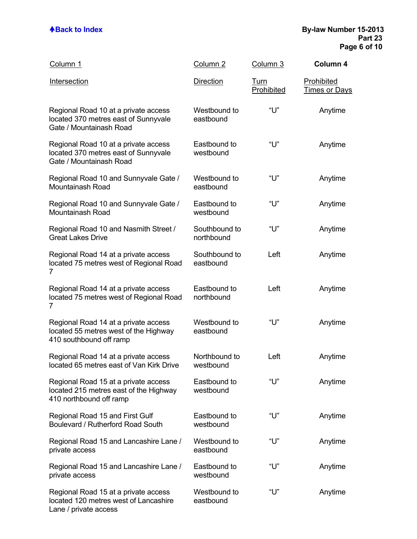| Column 1                                                                                                  | Column 2                    | Column 3                  | Column 4                           |
|-----------------------------------------------------------------------------------------------------------|-----------------------------|---------------------------|------------------------------------|
| Intersection                                                                                              | <b>Direction</b>            | <b>Turn</b><br>Prohibited | <b>Prohibited</b><br>Times or Days |
| Regional Road 10 at a private access<br>located 370 metres east of Sunnyvale<br>Gate / Mountainash Road   | Westbound to<br>eastbound   | "U"                       | Anytime                            |
| Regional Road 10 at a private access<br>located 370 metres east of Sunnyvale<br>Gate / Mountainash Road   | Eastbound to<br>westbound   | "U"                       | Anytime                            |
| Regional Road 10 and Sunnyvale Gate /<br><b>Mountainash Road</b>                                          | Westbound to<br>eastbound   | "U"                       | Anytime                            |
| Regional Road 10 and Sunnyvale Gate /<br><b>Mountainash Road</b>                                          | Eastbound to<br>westbound   | "U"                       | Anytime                            |
| Regional Road 10 and Nasmith Street /<br><b>Great Lakes Drive</b>                                         | Southbound to<br>northbound | "U"                       | Anytime                            |
| Regional Road 14 at a private access<br>located 75 metres west of Regional Road<br>7                      | Southbound to<br>eastbound  | Left                      | Anytime                            |
| Regional Road 14 at a private access<br>located 75 metres west of Regional Road<br>7                      | Eastbound to<br>northbound  | Left                      | Anytime                            |
| Regional Road 14 at a private access<br>located 55 metres west of the Highway<br>410 southbound off ramp  | Westbound to<br>eastbound   | "ሀ"                       | Anytime                            |
| Regional Road 14 at a private access<br>located 65 metres east of Van Kirk Drive                          | Northbound to<br>westbound  | Left                      | Anytime                            |
| Regional Road 15 at a private access<br>located 215 metres east of the Highway<br>410 northbound off ramp | Eastbound to<br>westbound   | "l l"                     | Anytime                            |
| Regional Road 15 and First Gulf<br>Boulevard / Rutherford Road South                                      | Eastbound to<br>westbound   | "U"                       | Anytime                            |
| Regional Road 15 and Lancashire Lane /<br>private access                                                  | Westbound to<br>eastbound   | "U"                       | Anytime                            |
| Regional Road 15 and Lancashire Lane /<br>private access                                                  | Eastbound to<br>westbound   | "U"                       | Anytime                            |
| Regional Road 15 at a private access<br>located 120 metres west of Lancashire                             | Westbound to<br>eastbound   | "l l"                     | Anytime                            |

Lane / private access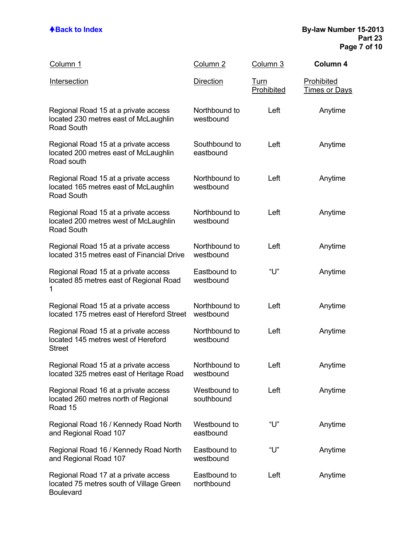| Column 1                                                                                             | Column 2                   | Column 3           | Column 4                           |
|------------------------------------------------------------------------------------------------------|----------------------------|--------------------|------------------------------------|
| <b>Intersection</b>                                                                                  | <b>Direction</b>           | Turn<br>Prohibited | Prohibited<br><u>Times or Days</u> |
| Regional Road 15 at a private access<br>located 230 metres east of McLaughlin<br><b>Road South</b>   | Northbound to<br>westbound | Left               | Anytime                            |
| Regional Road 15 at a private access<br>located 200 metres east of McLaughlin<br>Road south          | Southbound to<br>eastbound | Left               | Anytime                            |
| Regional Road 15 at a private access<br>located 165 metres east of McLaughlin<br>Road South          | Northbound to<br>westbound | Left               | Anytime                            |
| Regional Road 15 at a private access<br>located 200 metres west of McLaughlin<br><b>Road South</b>   | Northbound to<br>westbound | Left               | Anytime                            |
| Regional Road 15 at a private access<br>located 315 metres east of Financial Drive                   | Northbound to<br>westbound | Left               | Anytime                            |
| Regional Road 15 at a private access<br>located 85 metres east of Regional Road<br>1                 | Eastbound to<br>westbound  | "U"                | Anytime                            |
| Regional Road 15 at a private access<br>located 175 metres east of Hereford Street                   | Northbound to<br>westbound | Left               | Anytime                            |
| Regional Road 15 at a private access<br>located 145 metres west of Hereford<br><b>Street</b>         | Northbound to<br>westbound | Left               | Anytime                            |
| Regional Road 15 at a private access<br>located 325 metres east of Heritage Road                     | Northbound to<br>westbound | Left               | Anytime                            |
| Regional Road 16 at a private access<br>located 260 metres north of Regional<br>Road 15              | Westbound to<br>southbound | Left               | Anytime                            |
| Regional Road 16 / Kennedy Road North<br>and Regional Road 107                                       | Westbound to<br>eastbound  | "ሀ"                | Anytime                            |
| Regional Road 16 / Kennedy Road North<br>and Regional Road 107                                       | Eastbound to<br>westbound  | "U"                | Anytime                            |
| Regional Road 17 at a private access<br>located 75 metres south of Village Green<br><b>Boulevard</b> | Eastbound to<br>northbound | Left               | Anytime                            |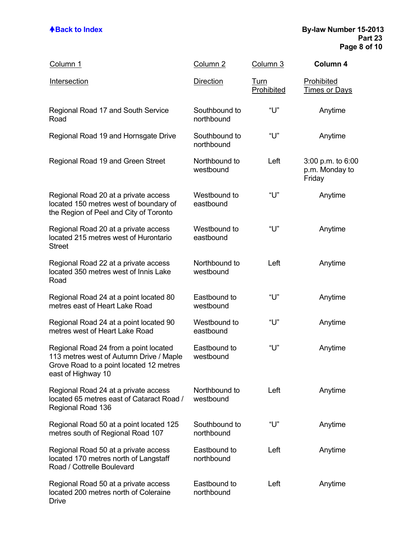| Column 1                                                                                                                                          | Column <sub>2</sub>         | Column 3                  | Column 4                                      |
|---------------------------------------------------------------------------------------------------------------------------------------------------|-----------------------------|---------------------------|-----------------------------------------------|
| <b>Intersection</b>                                                                                                                               | <b>Direction</b>            | <u>Turn</u><br>Prohibited | Prohibited<br><b>Times or Days</b>            |
| Regional Road 17 and South Service<br>Road                                                                                                        | Southbound to<br>northbound | "U"                       | Anytime                                       |
| Regional Road 19 and Hornsgate Drive                                                                                                              | Southbound to<br>northbound | "U"                       | Anytime                                       |
| Regional Road 19 and Green Street                                                                                                                 | Northbound to<br>westbound  | Left                      | 3:00 p.m. to 6:00<br>p.m. Monday to<br>Friday |
| Regional Road 20 at a private access<br>located 150 metres west of boundary of<br>the Region of Peel and City of Toronto                          | Westbound to<br>eastbound   | "U"                       | Anytime                                       |
| Regional Road 20 at a private access<br>located 215 metres west of Hurontario<br><b>Street</b>                                                    | Westbound to<br>eastbound   | "U"                       | Anytime                                       |
| Regional Road 22 at a private access<br>located 350 metres west of Innis Lake<br>Road                                                             | Northbound to<br>westbound  | Left                      | Anytime                                       |
| Regional Road 24 at a point located 80<br>metres east of Heart Lake Road                                                                          | Eastbound to<br>westbound   | "U"                       | Anytime                                       |
| Regional Road 24 at a point located 90<br>metres west of Heart Lake Road                                                                          | Westbound to<br>eastbound   | "U"                       | Anytime                                       |
| Regional Road 24 from a point located<br>113 metres west of Autumn Drive / Maple<br>Grove Road to a point located 12 metres<br>east of Highway 10 | Eastbound to<br>westbound   | "U"                       | Anytime                                       |
| Regional Road 24 at a private access<br>located 65 metres east of Cataract Road /<br>Regional Road 136                                            | Northbound to<br>westbound  | Left                      | Anytime                                       |
| Regional Road 50 at a point located 125<br>metres south of Regional Road 107                                                                      | Southbound to<br>northbound | "U"                       | Anytime                                       |
| Regional Road 50 at a private access<br>located 170 metres north of Langstaff<br>Road / Cottrelle Boulevard                                       | Eastbound to<br>northbound  | Left                      | Anytime                                       |
| Regional Road 50 at a private access<br>located 200 metres north of Coleraine<br><b>Drive</b>                                                     | Eastbound to<br>northbound  | Left                      | Anytime                                       |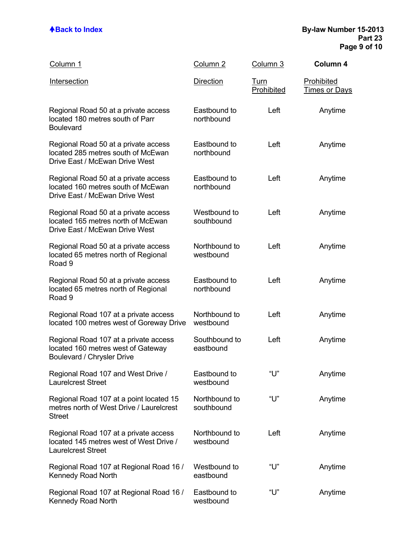| Column 1                                                                                                      | Column <sub>2</sub>         | Column 3                  | Column 4                           |
|---------------------------------------------------------------------------------------------------------------|-----------------------------|---------------------------|------------------------------------|
| Intersection                                                                                                  | <b>Direction</b>            | <u>Turn</u><br>Prohibited | Prohibited<br><u>Times or Days</u> |
| Regional Road 50 at a private access<br>located 180 metres south of Parr<br><b>Boulevard</b>                  | Eastbound to<br>northbound  | Left                      | Anytime                            |
| Regional Road 50 at a private access<br>located 285 metres south of McEwan<br>Drive East / McEwan Drive West  | Eastbound to<br>northbound  | Left                      | Anytime                            |
| Regional Road 50 at a private access<br>located 160 metres south of McEwan<br>Drive East / McEwan Drive West  | Eastbound to<br>northbound  | Left                      | Anytime                            |
| Regional Road 50 at a private access<br>located 165 metres north of McEwan<br>Drive East / McEwan Drive West  | Westbound to<br>southbound  | Left                      | Anytime                            |
| Regional Road 50 at a private access<br>located 65 metres north of Regional<br>Road 9                         | Northbound to<br>westbound  | Left                      | Anytime                            |
| Regional Road 50 at a private access<br>located 65 metres north of Regional<br>Road 9                         | Eastbound to<br>northbound  | Left                      | Anytime                            |
| Regional Road 107 at a private access<br>located 100 metres west of Goreway Drive                             | Northbound to<br>westbound  | Left                      | Anytime                            |
| Regional Road 107 at a private access<br>located 160 metres west of Gateway<br>Boulevard / Chrysler Drive     | Southbound to<br>eastbound  | Left                      | Anytime                            |
| Regional Road 107 and West Drive /<br><b>Laurelcrest Street</b>                                               | Eastbound to<br>westbound   | "U"                       | Anytime                            |
| Regional Road 107 at a point located 15<br>metres north of West Drive / Laurelcrest<br><b>Street</b>          | Northbound to<br>southbound | "U"                       | Anytime                            |
| Regional Road 107 at a private access<br>located 145 metres west of West Drive /<br><b>Laurelcrest Street</b> | Northbound to<br>westbound  | Left                      | Anytime                            |
| Regional Road 107 at Regional Road 16 /<br>Kennedy Road North                                                 | Westbound to<br>eastbound   | "U"                       | Anytime                            |
| Regional Road 107 at Regional Road 16 /<br>Kennedy Road North                                                 | Eastbound to<br>westbound   | "U"                       | Anytime                            |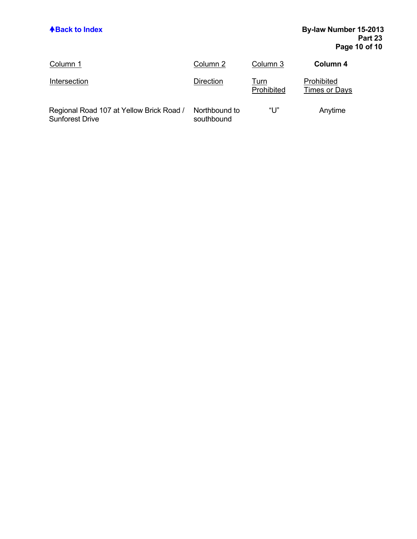| Column 1                                                           | Column 2                    | Column 3                  | Column 4                    |
|--------------------------------------------------------------------|-----------------------------|---------------------------|-----------------------------|
| Intersection                                                       | Direction                   | <u>Turn</u><br>Prohibited | Prohibited<br>Times or Days |
| Regional Road 107 at Yellow Brick Road /<br><b>Sunforest Drive</b> | Northbound to<br>southbound | "U"                       | Anytime                     |